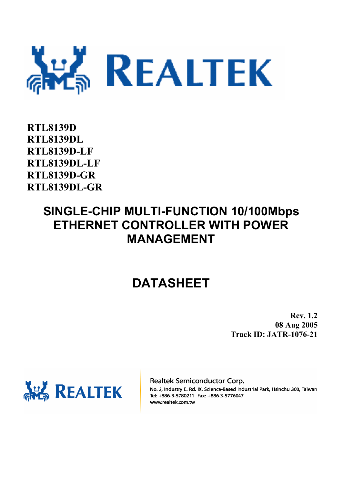

**RTL8139D RTL8139DL RTL8139D-LF RTL8139DL-LF RTL8139D-GR RTL8139DL-GR** 

## **SINGLE-CHIP MULTI-FUNCTION 10/100Mbps ETHERNET CONTROLLER WITH POWER MANAGEMENT**

## **DATASHEET**

**Rev. 1.2 08 Aug 2005 Track ID: JATR-1076-21** 



Realtek Semiconductor Corp.

No. 2, Industry E. Rd. IX, Science-Based Industrial Park, Hsinchu 300, Taiwan Tel: +886-3-5780211 Fax: +886-3-5776047 www.realtek.com.tw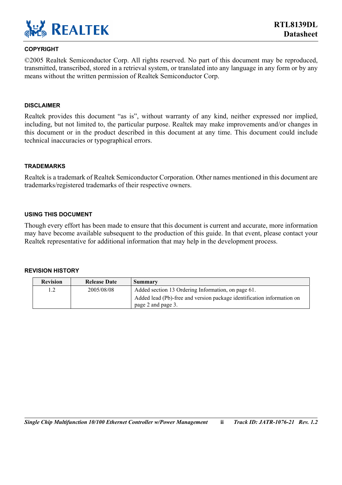

#### **COPYRIGHT**

©2005 Realtek Semiconductor Corp. All rights reserved. No part of this document may be reproduced, transmitted, transcribed, stored in a retrieval system, or translated into any language in any form or by any means without the written permission of Realtek Semiconductor Corp.

#### **DISCLAIMER**

Realtek provides this document "as is", without warranty of any kind, neither expressed nor implied, including, but not limited to, the particular purpose. Realtek may make improvements and/or changes in this document or in the product described in this document at any time. This document could include technical inaccuracies or typographical errors.

#### **TRADEMARKS**

Realtek is a trademark of Realtek Semiconductor Corporation. Other names mentioned in this document are trademarks/registered trademarks of their respective owners.

#### **USING THIS DOCUMENT**

Though every effort has been made to ensure that this document is current and accurate, more information may have become available subsequent to the production of this guide. In that event, please contact your Realtek representative for additional information that may help in the development process.

#### **REVISION HISTORY**

| <b>Revision</b> | <b>Release Date</b> | Summary                                                                |
|-----------------|---------------------|------------------------------------------------------------------------|
|                 | 2005/08/08          | Added section 13 Ordering Information, on page 61.                     |
|                 |                     | Added lead (Pb)-free and version package identification information on |
|                 |                     | page 2 and page 3.                                                     |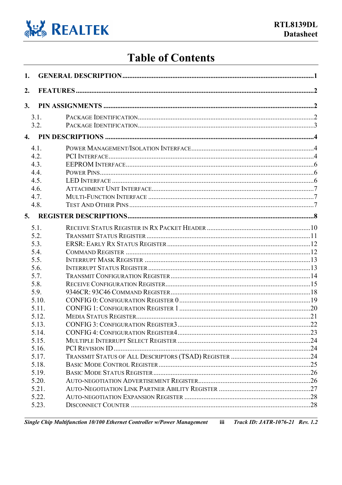

## **Table of Contents**

| 1. |                                                                                                                                               |  |
|----|-----------------------------------------------------------------------------------------------------------------------------------------------|--|
| 2. |                                                                                                                                               |  |
| 3. |                                                                                                                                               |  |
|    | 3.1.<br>3.2.                                                                                                                                  |  |
| 4. |                                                                                                                                               |  |
|    | 4.1.<br>4.2.<br>4.3.<br>4.4.<br>4.5.<br>4.6.<br>4.7.                                                                                          |  |
| 5. | 4.8.                                                                                                                                          |  |
|    | 5.2.<br>5.3.<br>5.4.<br>5.5.<br>5.6.<br>5.7.<br>5.8.<br>5.9.<br>5.10.<br>5.11.<br>5 1 2<br>5.13.<br>5.14.<br>5.15.<br>5.16.<br>5.17.<br>5.18. |  |
|    | 5.19.<br>5.20.<br>5.21.<br>5.22.<br>5.23.                                                                                                     |  |

Single Chip Multifunction 10/100 Ethernet Controller w/Power Management  $\overline{\text{iii}}$ **Track ID: JATR-1076-21 Rev. 1.2**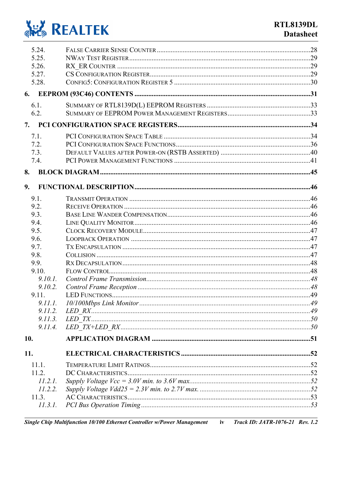

| 5.24.        |  |
|--------------|--|
| 5.25.        |  |
| 5.26.        |  |
| 5.27.        |  |
| 5.28.        |  |
| 6.           |  |
| 6.1.         |  |
| 6.2.         |  |
| 7.           |  |
| 7.1.         |  |
| 7.2.         |  |
| 7.3.         |  |
| 7.4.         |  |
| 8.           |  |
| 9.           |  |
|              |  |
| 9.1.         |  |
| 9.2.         |  |
| 9.3.<br>9.4. |  |
| 9.5.         |  |
| 9.6.         |  |
| 9.7.         |  |
| 9.8.         |  |
| 9.9.         |  |
| 9.10.        |  |
| 9.10.1.      |  |
| 9.10.2.      |  |
| 9.11.        |  |
|              |  |
| 9.11.2.      |  |
| 9.11.3.      |  |
| 9.11.4.      |  |
| 10.          |  |
| 11.          |  |
| 11.1.        |  |
| 11.2.        |  |
| 11.2.1.      |  |
| 11.2.2.      |  |
| 11.3.        |  |
| 11.3.1.      |  |
|              |  |

Single Chip Multifunction 10/100 Ethernet Controller w/Power Management **Track ID: JATR-1076-21 Rev. 1.2**  $\mathbf{iv}$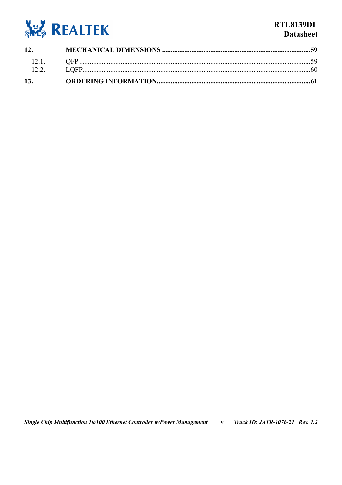

### **RTL8139DL Datasheet**

| 12. |  |
|-----|--|
|     |  |
|     |  |
| 13. |  |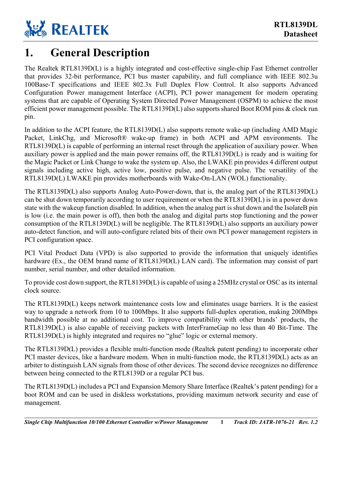

### <span id="page-5-0"></span>**1. General Description**

The Realtek RTL8139D(L) is a highly integrated and cost-effective single-chip Fast Ethernet controller that provides 32-bit performance, PCI bus master capability, and full compliance with IEEE 802.3u 100Base-T specifications and IEEE 802.3x Full Duplex Flow Control. It also supports Advanced Configuration Power management Interface (ACPI), PCI power management for modern operating systems that are capable of Operating System Directed Power Management (OSPM) to achieve the most efficient power management possible. The RTL8139D(L) also supports shared Boot ROM pins & clock run pin.

In addition to the ACPI feature, the RTL8139D(L) also supports remote wake-up (including AMD Magic Packet, LinkChg, and Microsoft® wake-up frame) in both ACPI and APM environments. The RTL8139D(L) is capable of performing an internal reset through the application of auxiliary power. When auxiliary power is applied and the main power remains off, the RTL8139D(L) is ready and is waiting for the Magic Packet or Link Change to wake the system up. Also, the LWAKE pin provides 4 different output signals including active high, active low, positive pulse, and negative pulse. The versatility of the RTL8139D(L) LWAKE pin provides motherboards with Wake-On-LAN (WOL) functionality.

The RTL8139D(L) also supports Analog Auto-Power-down, that is, the analog part of the RTL8139D(L) can be shut down temporarily according to user requirement or when the RTL8139D(L) is in a power down state with the wakeup function disabled. In addition, when the analog part is shut down and the IsolateB pin is low (i.e. the main power is off), then both the analog and digital parts stop functioning and the power consumption of the RTL8139D(L) will be negligible. The RTL8139D(L) also supports an auxiliary power auto-detect function, and will auto-configure related bits of their own PCI power management registers in PCI configuration space.

PCI Vital Product Data (VPD) is also supported to provide the information that uniquely identifies hardware (Ex., the OEM brand name of RTL8139D(L) LAN card). The information may consist of part number, serial number, and other detailed information.

To provide cost down support, the RTL8139D(L) is capable of using a 25MHz crystal or OSC as its internal clock source.

The RTL8139D(L) keeps network maintenance costs low and eliminates usage barriers. It is the easiest way to upgrade a network from 10 to 100Mbps. It also supports full-duplex operation, making 200Mbps bandwidth possible at no additional cost. To improve compatibility with other brands' products, the RTL8139D(L) is also capable of receiving packets with InterFrameGap no less than 40 Bit-Time. The RTL8139D(L) is highly integrated and requires no "glue" logic or external memory.

The RTL8139D(L) provides a flexible multi-function mode (Realtek patent pending) to incorporate other PCI master devices, like a hardware modem. When in multi-function mode, the RTL8139D(L) acts as an arbiter to distinguish LAN signals from those of other devices. The second device recognizes no difference between being connected to the RTL8139D or a regular PCI bus.

The RTL8139D(L) includes a PCI and Expansion Memory Share Interface (Realtek's patent pending) for a boot ROM and can be used in diskless workstations, providing maximum network security and ease of management.

*Single Chip Multifunction 10/100 Ethernet Controller w/Power Management* **1** *Track ID: JATR-1076-21 Rev. 1.2*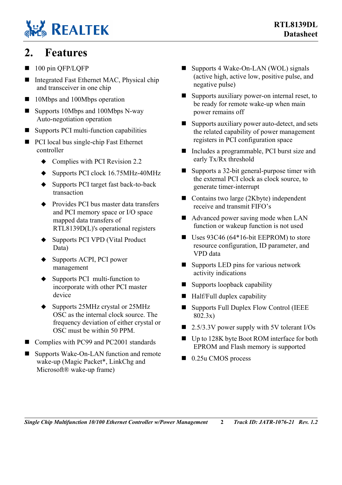# **REALTEK**

### <span id="page-6-0"></span>**2. Features**

- 100 pin QFP/LQFP
- Integrated Fast Ethernet MAC, Physical chip and transceiver in one chip
- 10Mbps and 100Mbps operation
- $\blacksquare$  Supports 10Mbps and 100Mbps N-way Auto-negotiation operation
- $\blacksquare$  Supports PCI multi-function capabilities
- **PCI** local bus single-chip Fast Ethernet controller
	- $\triangleleft$  Complies with PCI Revision 2.2
	- ◆ Supports PCI clock 16.75MHz-40MHz
	- ◆ Supports PCI target fast back-to-back transaction
	- ◆ Provides PCI bus master data transfers and PCI memory space or I/O space mapped data transfers of RTL8139D(L)'s operational registers
	- ◆ Supports PCI VPD (Vital Product Data)
	- ◆ Supports ACPI, PCI power management
	- Supports PCI multi-function to incorporate with other PCI master device
	- ◆ Supports 25MHz crystal or 25MHz OSC as the internal clock source. The frequency deviation of either crystal or OSC must be within 50 PPM.
- Complies with PC99 and PC2001 standards
- Supports Wake-On-LAN function and remote wake-up (Magic Packet\*, LinkChg and Microsoft® wake-up frame)
- Supports 4 Wake-On-LAN (WOL) signals (active high, active low, positive pulse, and negative pulse)
- Supports auxiliary power-on internal reset, to be ready for remote wake-up when main power remains off
- Supports auxiliary power auto-detect, and sets the related capability of power management registers in PCI configuration space
- Includes a programmable, PCI burst size and early Tx/Rx threshold
- Supports a 32-bit general-purpose timer with the external PCI clock as clock source, to generate timer-interrupt
- Contains two large (2Kbyte) independent receive and transmit FIFO's
- Advanced power saving mode when LAN function or wakeup function is not used
- Uses  $93C46 (64*16-bit EEPROM)$  to store resource configuration, ID parameter, and VPD data
- Supports LED pins for various network activity indications
- Supports loopback capability
- $\blacksquare$  Half/Full duplex capability
- Supports Full Duplex Flow Control (IEEE 802.3x)
- $\blacksquare$  2.5/3.3V power supply with 5V tolerant I/Os
- Up to 128K byte Boot ROM interface for both EPROM and Flash memory is supported
- $\Box$  0.25u CMOS process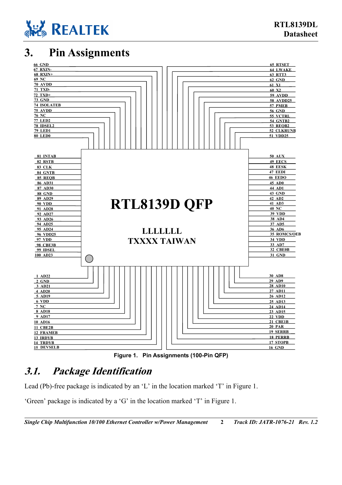

### **3. Pin Assignments**

<span id="page-7-1"></span>

<span id="page-7-2"></span>**Figure 1. Pin Assignments (100-Pin QFP)** 

### <span id="page-7-0"></span>**3.1. Package Identification**

Lead (Pb)-free package is indicated by an 'L' in the location marked 'T' in [Figure 1.](#page-7-2)

'Green' package is indicated by a 'G' in the location marked 'T' in [Figure 1.](#page-7-2)

*Single Chip Multifunction 10/100 Ethernet Controller w/Power Management* **2** *Track ID: JATR-1076-21 Rev. 1.2*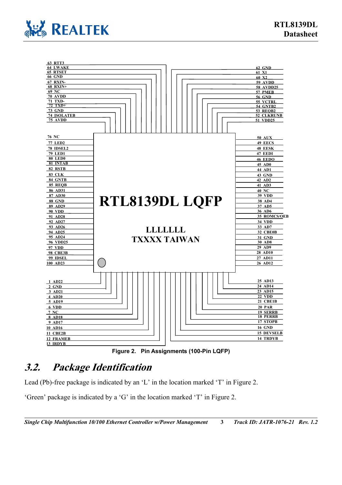



<span id="page-8-1"></span>**Figure 2. Pin Assignments (100-Pin LQFP)** 

### <span id="page-8-0"></span>**3.2. Package Identification**

Lead (Pb)-free package is indicated by an 'L' in the location marked 'T' in [Figure 2.](#page-8-1)

'Green' package is indicated by a 'G' in the location marked 'T' in [Figure 2.](#page-8-1)

*Single Chip Multifunction 10/100 Ethernet Controller w/Power Management* **3** *Track ID: JATR-1076-21 Rev. 1.2*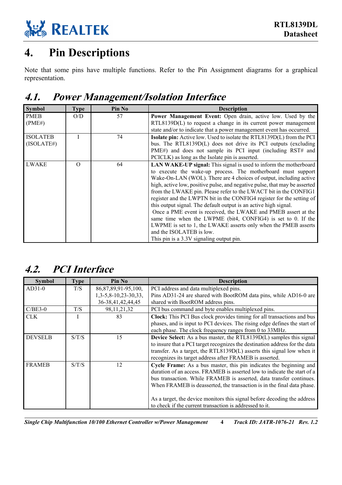

## <span id="page-9-0"></span>**4. Pin Descriptions**

Note that some pins have multiple functions. Refer to the Pin Assignment diagrams for a graphical representation.

## <span id="page-9-1"></span>**4.1. Power Management/Isolation Interface**

| <b>Symbol</b>   | <b>Type</b> | Pin No | <b>Description</b>                                                           |
|-----------------|-------------|--------|------------------------------------------------------------------------------|
| <b>PMEB</b>     | O/D         | 57     | Power Management Event: Open drain, active low. Used by the                  |
| (PME#)          |             |        | $RTL8139D(L)$ to request a change in its current power management            |
|                 |             |        | state and/or to indicate that a power management event has occurred.         |
| <b>ISOLATEB</b> |             | 74     | <b>Isolate pin:</b> Active low. Used to isolate the RTL8139D(L) from the PCI |
| (ISOLATE#)      |             |        | bus. The RTL8139D(L) does not drive its PCI outputs (excluding               |
|                 |             |        | PME#) and does not sample its PCI input (including RST# and                  |
|                 |             |        | PCICLK) as long as the Isolate pin is asserted.                              |
| <b>LWAKE</b>    | $\Omega$    | 64     | LAN WAKE-UP signal: This signal is used to inform the motherboard            |
|                 |             |        | to execute the wake-up process. The motherboard must support                 |
|                 |             |        | Wake-On-LAN (WOL). There are 4 choices of output, including active           |
|                 |             |        | high, active low, positive pulse, and negative pulse, that may be asserted   |
|                 |             |        | from the LWAKE pin. Please refer to the LWACT bit in the CONFIG1             |
|                 |             |        | register and the LWPTN bit in the CONFIG4 register for the setting of        |
|                 |             |        | this output signal. The default output is an active high signal.             |
|                 |             |        | Once a PME event is received, the LWAKE and PMEB assert at the               |
|                 |             |        | same time when the LWPME (bit4, CONFIG4) is set to 0. If the                 |
|                 |             |        | LWPME is set to 1, the LWAKE asserts only when the PMEB asserts              |
|                 |             |        | and the ISOLATEB is low.                                                     |
|                 |             |        | This pin is a 3.3V signaling output pin.                                     |

### <span id="page-9-2"></span>**4.2. PCI Interface**

| <b>Symbol</b>  | <b>Type</b> | Pin No                    | <b>Description</b>                                                          |
|----------------|-------------|---------------------------|-----------------------------------------------------------------------------|
| $AD31-0$       | T/S         | 86, 87, 89, 91 - 95, 100, | PCI address and data multiplexed pins.                                      |
|                |             | $1,3-5,8-10,23-30,33,$    | Pins AD31-24 are shared with BootROM data pins, while AD16-0 are            |
|                |             | 36-38,41,42,44,45         | shared with BootROM address pins.                                           |
| $C/BE3-0$      | T/S         | 98, 11, 21, 32            | PCI bus command and byte enables multiplexed pins.                          |
| CLK.           |             | 83                        | Clock: This PCI Bus clock provides timing for all transactions and bus      |
|                |             |                           | phases, and is input to PCI devices. The rising edge defines the start of   |
|                |             |                           | each phase. The clock frequency ranges from 0 to 33MHz.                     |
| <b>DEVSELB</b> | S/T/S       | 15                        | <b>Device Select:</b> As a bus master, the RTL8139D(L) samples this signal  |
|                |             |                           | to insure that a PCI target recognizes the destination address for the data |
|                |             |                           | transfer. As a target, the RTL8139D(L) asserts this signal low when it      |
|                |             |                           | recognizes its target address after FRAMEB is asserted.                     |
| <b>FRAMEB</b>  | S/T/S       | 12                        | Cycle Frame: As a bus master, this pin indicates the beginning and          |
|                |             |                           | duration of an access. FRAMEB is asserted low to indicate the start of a    |
|                |             |                           | bus transaction. While FRAMEB is asserted, data transfer continues.         |
|                |             |                           | When FRAMEB is deasserted, the transaction is in the final data phase.      |
|                |             |                           |                                                                             |
|                |             |                           | As a target, the device monitors this signal before decoding the address    |
|                |             |                           | to check if the current transaction is addressed to it.                     |

*Single Chip Multifunction 10/100 Ethernet Controller w/Power Management* **4** *Track ID: JATR-1076-21 Rev. 1.2*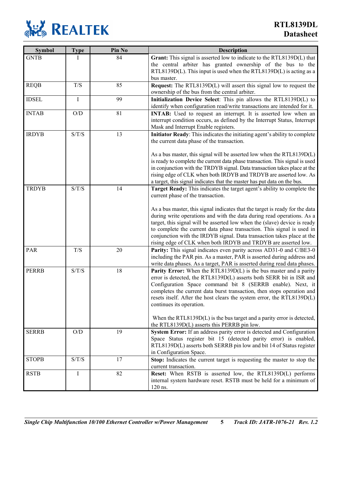

| <b>Symbol</b> | <b>Type</b>             | Pin No | <b>Description</b>                                                           |
|---------------|-------------------------|--------|------------------------------------------------------------------------------|
| <b>GNTB</b>   |                         | 84     | Grant: This signal is asserted low to indicate to the RTL8139D(L) that       |
|               |                         |        | the central arbiter has granted ownership of the bus to the                  |
|               |                         |        | RTL8139D(L). This input is used when the RTL8139D(L) is acting as a          |
|               |                         |        | bus master.                                                                  |
| <b>REQB</b>   | T/S                     | 85     | <b>Request:</b> The RTL8139D(L) will assert this signal low to request the   |
|               |                         |        | ownership of the bus from the central arbiter.                               |
| <b>IDSEL</b>  | $\bf I$                 | 99     | Initialization Device Select: This pin allows the RTL8139D(L) to             |
|               |                         |        | identify when configuration read/write transactions are intended for it.     |
| <b>INTAB</b>  | $\mathrm{O}/\mathrm{D}$ | 81     | <b>INTAB:</b> Used to request an interrupt. It is asserted low when an       |
|               |                         |        | interrupt condition occurs, as defined by the Interrupt Status, Interrupt    |
|               |                         |        | Mask and Interrupt Enable registers.                                         |
| <b>IRDYB</b>  | S/T/S                   | 13     | Initiator Ready: This indicates the initiating agent's ability to complete   |
|               |                         |        | the current data phase of the transaction.                                   |
|               |                         |        | As a bus master, this signal will be asserted low when the RTL8139D(L)       |
|               |                         |        | is ready to complete the current data phase transaction. This signal is used |
|               |                         |        | in conjunction with the TRDYB signal. Data transaction takes place at the    |
|               |                         |        | rising edge of CLK when both IRDYB and TRDYB are asserted low. As            |
|               |                         |        | a target, this signal indicates that the master has put data on the bus.     |
| <b>TRDYB</b>  | S/T/S                   | 14     | Target Ready: This indicates the target agent's ability to complete the      |
|               |                         |        | current phase of the transaction.                                            |
|               |                         |        |                                                                              |
|               |                         |        | As a bus master, this signal indicates that the target is ready for the data |
|               |                         |        | during write operations and with the data during read operations. As a       |
|               |                         |        | target, this signal will be asserted low when the (slave) device is ready    |
|               |                         |        | to complete the current data phase transaction. This signal is used in       |
|               |                         |        | conjunction with the IRDYB signal. Data transaction takes place at the       |
|               |                         |        | rising edge of CLK when both IRDYB and TRDYB are asserted low.               |
| PAR           | T/S                     | 20     | Parity: This signal indicates even parity across AD31-0 and C/BE3-0          |
|               |                         |        | including the PAR pin. As a master, PAR is asserted during address and       |
|               |                         |        | write data phases. As a target, PAR is asserted during read data phases.     |
| <b>PERRB</b>  | S/T/S                   | 18     | <b>Parity Error:</b> When the RTL8139D(L) is the bus master and a parity     |
|               |                         |        | error is detected, the RTL8139D(L) asserts both SERR bit in ISR and          |
|               |                         |        | Configuration Space command bit 8 (SERRB enable). Next, it                   |
|               |                         |        | completes the current data burst transaction, then stops operation and       |
|               |                         |        | resets itself. After the host clears the system error, the RTL8139D(L)       |
|               |                         |        | continues its operation.                                                     |
|               |                         |        | When the RTL8139D $(L)$ is the bus target and a parity error is detected,    |
|               |                         |        | the RTL8139D(L) asserts this PERRB pin low.                                  |
| <b>SERRB</b>  | $\mathrm{O}/\mathrm{D}$ | 19     | System Error: If an address parity error is detected and Configuration       |
|               |                         |        | Space Status register bit 15 (detected parity error) is enabled,             |
|               |                         |        | RTL8139D(L) asserts both SERRB pin low and bit 14 of Status register         |
|               |                         |        | in Configuration Space.                                                      |
| <b>STOPB</b>  | S/T/S                   | 17     | Stop: Indicates the current target is requesting the master to stop the      |
|               |                         |        | current transaction.                                                         |
| <b>RSTB</b>   | I                       | 82     | Reset: When RSTB is asserted low, the RTL8139D(L) performs                   |
|               |                         |        | internal system hardware reset. RSTB must be held for a minimum of           |
|               |                         |        | 120 ns.                                                                      |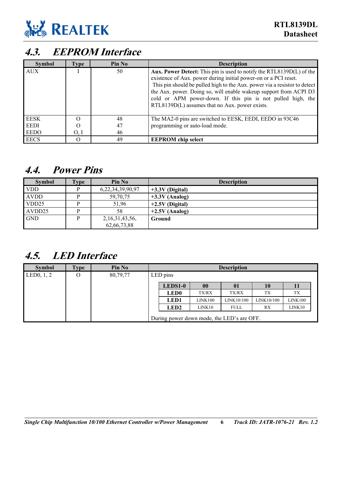

## <span id="page-11-0"></span>**4.3. EEPROM Interface**

| <b>Symbol</b> | Type | Pin No | <b>Description</b>                                                                                                                                                                                                                                                                                                                                                                                                |
|---------------|------|--------|-------------------------------------------------------------------------------------------------------------------------------------------------------------------------------------------------------------------------------------------------------------------------------------------------------------------------------------------------------------------------------------------------------------------|
| <b>AUX</b>    |      | 50     | <b>Aux. Power Detect:</b> This pin is used to notify the RTL8139D(L) of the<br>existence of Aux. power during initial power-on or a PCI reset.<br>This pin should be pulled high to the Aux. power via a resistor to detect<br>the Aux. power. Doing so, will enable wakeup support from ACPI D3<br>cold or APM power-down. If this pin is not pulled high, the<br>RTL8139D(L) assumes that no Aux. power exists. |
| <b>EESK</b>   |      | 48     | The MA2-0 pins are switched to EESK, EEDI, EEDO in 93C46                                                                                                                                                                                                                                                                                                                                                          |
| <b>EEDI</b>   |      | 47     | programming or auto-load mode.                                                                                                                                                                                                                                                                                                                                                                                    |
| <b>EEDO</b>   | O, I | 46     |                                                                                                                                                                                                                                                                                                                                                                                                                   |
| <b>EECS</b>   |      | 49     | <b>EEPROM</b> chip select                                                                                                                                                                                                                                                                                                                                                                                         |

### <span id="page-11-1"></span>**4.4. Power Pins**

| <b>Symbol</b> | <b>Type</b> | Pin No             | <b>Description</b> |
|---------------|-------------|--------------------|--------------------|
| <b>VDD</b>    |             | 6,22,34,39,90,97   | $+3.3V$ (Digital)  |
| <b>AVDD</b>   |             | 59,70,75           | $+3.3V$ (Analog)   |
| VDD25         |             | 51,96              | $+2.5V$ (Digital)  |
| AVDD25        |             | 58                 | $+2.5V$ (Analog)   |
| <b>GND</b>    |             | 2, 16, 31, 43, 56, | Ground             |
|               |             | 62,66,73,88        |                    |

### <span id="page-11-2"></span>**4.5. LED Interface**

| <b>Symbol</b>             | <b>Type</b> | Pin No   |             |              | <b>Description</b>                         |            |         |
|---------------------------|-------------|----------|-------------|--------------|--------------------------------------------|------------|---------|
| LED <sub>0</sub> , $1, 2$ | O           | 80,79,77 | LED pins    |              |                                            |            |         |
|                           |             |          | LEDS1-0     | $\bf{00}$    | 01                                         | 10         | 11      |
|                           |             |          | <b>LED0</b> | <b>TX/RX</b> | TX/RX                                      | TX         | TX      |
|                           |             |          | <b>LED1</b> | LINK100      | LINK10/100                                 | LINK10/100 | LINK100 |
|                           |             |          | <b>LED2</b> | LINK10       | <b>FULL</b>                                | RX         | LINK10  |
|                           |             |          |             |              | During power down mode, the LED's are OFF. |            |         |

*Single Chip Multifunction 10/100 Ethernet Controller w/Power Management* **6** *Track ID: JATR-1076-21 Rev. 1.2*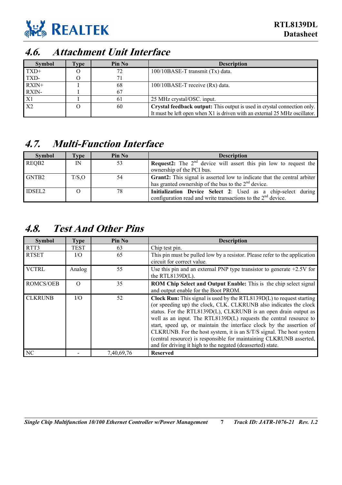

### <span id="page-12-0"></span>**4.6. Attachment Unit Interface**

| <b>Symbol</b>  | l`ype | Pin No | <b>Description</b>                                                         |
|----------------|-------|--------|----------------------------------------------------------------------------|
| $TXD+$         |       | 72     | 100/10BASE-T transmit (Tx) data.                                           |
| TXD-           |       | 71     |                                                                            |
| $RXIN+$        |       | 68     | 100/10BASE-T receive (Rx) data.                                            |
| RXIN-          |       | 67     |                                                                            |
| X1             |       | 61     | 25 MHz crystal/OSC. input.                                                 |
| X <sub>2</sub> |       | 60     | Crystal feedback output: This output is used in crystal connection only.   |
|                |       |        | It must be left open when X1 is driven with an external 25 MHz oscillator. |

### <span id="page-12-1"></span>**4.7. Multi-Function Interface**

| <b>Symbol</b>     | l'vpe  | Pin No | <b>Description</b>                                                              |
|-------------------|--------|--------|---------------------------------------------------------------------------------|
| REQB <sub>2</sub> | IN     | 53     | <b>Request2:</b> The $2^{nd}$ device will assert this pin low to request the    |
|                   |        |        | ownership of the PCI bus.                                                       |
| GNTB2             | T/S, O | 54     | <b>Grant2:</b> This signal is asserted low to indicate that the central arbiter |
|                   |        |        | has granted ownership of the bus to the $2nd$ device.                           |
| <b>IDSEL2</b>     |        | 78     | Initialization Device Select 2: Used as a chip-select during                    |
|                   |        |        | configuration read and write transactions to the $2nd$ device.                  |

### <span id="page-12-2"></span>**4.8. Test And Other Pins**

| <b>Symbol</b>    | <b>Type</b> | Pin No     | <b>Description</b>                                                                                                                                                                                                                                                                                                                                                                                                                                                                                                                                                                 |  |  |  |  |  |
|------------------|-------------|------------|------------------------------------------------------------------------------------------------------------------------------------------------------------------------------------------------------------------------------------------------------------------------------------------------------------------------------------------------------------------------------------------------------------------------------------------------------------------------------------------------------------------------------------------------------------------------------------|--|--|--|--|--|
| RTT3             | <b>TEST</b> | 63         | Chip test pin.                                                                                                                                                                                                                                                                                                                                                                                                                                                                                                                                                                     |  |  |  |  |  |
| <b>RTSET</b>     | I/O         | 65         | This pin must be pulled low by a resistor. Please refer to the application<br>circuit for correct value.                                                                                                                                                                                                                                                                                                                                                                                                                                                                           |  |  |  |  |  |
| <b>VCTRL</b>     | Analog      | 55         | Use this pin and an external PNP type transistor to generate $+2.5V$ for<br>the RTL8139 $D(L)$ .                                                                                                                                                                                                                                                                                                                                                                                                                                                                                   |  |  |  |  |  |
| <b>ROMCS/OEB</b> | $\Omega$    | 35         | ROM Chip Select and Output Enable: This is the chip select signal<br>and output enable for the Boot PROM.                                                                                                                                                                                                                                                                                                                                                                                                                                                                          |  |  |  |  |  |
| <b>CLKRUNB</b>   | I/O         | 52         | <b>Clock Run:</b> This signal is used by the RTL8139 $D(L)$ to request starting<br>(or speeding up) the clock, CLK. CLKRUNB also indicates the clock<br>status. For the RTL8139D(L), CLKRUNB is an open drain output as<br>well as an input. The RTL8139D(L) requests the central resource to<br>start, speed up, or maintain the interface clock by the assertion of<br>CLKRUNB. For the host system, it is an S/T/S signal. The host system<br>(central resource) is responsible for maintaining CLKRUNB asserted,<br>and for driving it high to the negated (deasserted) state. |  |  |  |  |  |
| NC               |             | 7,40,69,76 | <b>Reserved</b>                                                                                                                                                                                                                                                                                                                                                                                                                                                                                                                                                                    |  |  |  |  |  |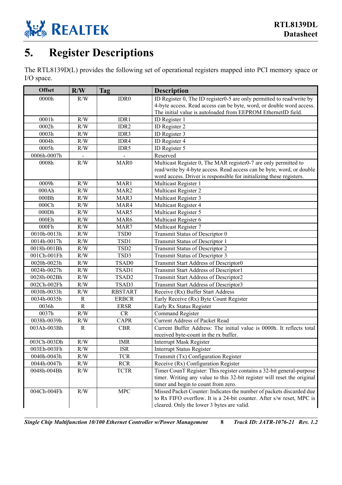

## <span id="page-13-0"></span>**5. Register Descriptions**

The RTL8139D(L) provides the following set of operational registers mapped into PCI memory space or I/O space.

| <b>Offset</b> | R/W         | <b>Tag</b>       | <b>Description</b>                                                       |  |  |  |  |  |
|---------------|-------------|------------------|--------------------------------------------------------------------------|--|--|--|--|--|
| 0000h         | R/W         | IDR <sub>0</sub> | ID Register 0, The ID register0-5 are only permitted to read/write by    |  |  |  |  |  |
|               |             |                  | 4-byte access. Read access can be byte, word, or double word access.     |  |  |  |  |  |
|               |             |                  | The initial value is autoloaded from EEPROM EthernetID field.            |  |  |  |  |  |
| 0001h         | R/W         | IDR1             | ID Register 1                                                            |  |  |  |  |  |
| 0002h         | R/W         | IDR2             | ID Register 2                                                            |  |  |  |  |  |
| 0003h         | R/W         | IDR3             | ID Register 3                                                            |  |  |  |  |  |
| 0004h         | R/W         | IDR4             | ID Register 4                                                            |  |  |  |  |  |
| 0005h         | R/W         | IDR5             | ID Register 5                                                            |  |  |  |  |  |
| 0006h-0007h   |             |                  | Reserved                                                                 |  |  |  |  |  |
| 0008h         | R/W         | MAR <sub>0</sub> | Multicast Register 0, The MAR register0-7 are only permitted to          |  |  |  |  |  |
|               |             |                  | read/write by 4-byte access. Read access can be byte, word, or double    |  |  |  |  |  |
|               |             |                  | word access. Driver is responsible for initializing these registers.     |  |  |  |  |  |
| 0009h         | R/W         | MAR1             | Multicast Register 1                                                     |  |  |  |  |  |
| 000Ah         | R/W         | MAR <sub>2</sub> | Multicast Register 2                                                     |  |  |  |  |  |
| 000Bh         | R/W         | MAR3             | Multicast Register 3                                                     |  |  |  |  |  |
| 000Ch         | R/W         | MAR4             | Multicast Register 4                                                     |  |  |  |  |  |
| 000Dh         | R/W         | MAR5             | Multicast Register 5                                                     |  |  |  |  |  |
| 000Eh         | R/W         | MAR6             | Multicast Register 6                                                     |  |  |  |  |  |
| 000Fh         | R/W         | MAR7             | Multicast Register 7                                                     |  |  |  |  |  |
| 0010h-0013h   | R/W         | TSD <sub>0</sub> | Transmit Status of Descriptor 0                                          |  |  |  |  |  |
| 0014h-0017h   | R/W         | TSD1             | Transmit Status of Descriptor 1                                          |  |  |  |  |  |
| 0018h-001Bh   | R/W         | TSD <sub>2</sub> | Transmit Status of Descriptor 2                                          |  |  |  |  |  |
| 001Ch-001Fh   | R/W         | TSD3             | Transmit Status of Descriptor 3                                          |  |  |  |  |  |
| 0020h-0023h   | R/W         | TSAD0            | Transmit Start Address of Descriptor0                                    |  |  |  |  |  |
| 0024h-0027h   | R/W         | TSAD1            | <b>Transmit Start Address of Descriptor1</b>                             |  |  |  |  |  |
| 0028h-002Bh   | R/W         | TSAD2            | <b>Transmit Start Address of Descriptor2</b>                             |  |  |  |  |  |
| 002Ch-002Fh   | R/W         | TSAD3            | Transmit Start Address of Descriptor3                                    |  |  |  |  |  |
| 0030h-0033h   | R/W         | <b>RBSTART</b>   | Receive (Rx) Buffer Start Address                                        |  |  |  |  |  |
| 0034h-0035h   | ${\bf R}$   | <b>ERBCR</b>     | Early Receive (Rx) Byte Count Register                                   |  |  |  |  |  |
| 0036h         | $\mathbf R$ | <b>ERSR</b>      | Early Rx Status Register                                                 |  |  |  |  |  |
| 0037h         | R/W         | CR               | Command Register                                                         |  |  |  |  |  |
| 0038h-0039h   | R/W         | <b>CAPR</b>      | <b>Current Address of Packet Read</b>                                    |  |  |  |  |  |
| 003Ah-003Bh   | R           | <b>CBR</b>       | Current Buffer Address: The initial value is 0000h. It reflects total    |  |  |  |  |  |
|               |             |                  | received byte-count in the rx buffer.                                    |  |  |  |  |  |
| 003Ch-003Dh   | R/W         | <b>IMR</b>       | <b>Interrupt Mask Register</b>                                           |  |  |  |  |  |
| 003Eh-003Fh   | $\rm R/W$   | <b>ISR</b>       | <b>Interrupt Status Register</b>                                         |  |  |  |  |  |
| 0040h-0043h   | R/W         | <b>TCR</b>       | Transmit (Tx) Configuration Register                                     |  |  |  |  |  |
| 0044h-0047h   | R/W         | <b>RCR</b>       | Receive (Rx) Configuration Register                                      |  |  |  |  |  |
| 0048h-004Bh   | R/W         | <b>TCTR</b>      | Timer CounT Register: This register contains a 32-bit general-purpose    |  |  |  |  |  |
|               |             |                  | timer. Writing any value to this 32-bit register will reset the original |  |  |  |  |  |
|               |             |                  | timer and begin to count from zero.                                      |  |  |  |  |  |
| 004Ch-004Fh   | R/W         | MPC              | Missed Packet Counter: Indicates the number of packets discarded due     |  |  |  |  |  |
|               |             |                  | to Rx FIFO overflow. It is a 24-bit counter. After s/w reset, MPC is     |  |  |  |  |  |
|               |             |                  | cleared. Only the lower 3 bytes are valid.                               |  |  |  |  |  |

*Single Chip Multifunction 10/100 Ethernet Controller w/Power Management* **8** *Track ID: JATR-1076-21 Rev. 1.2*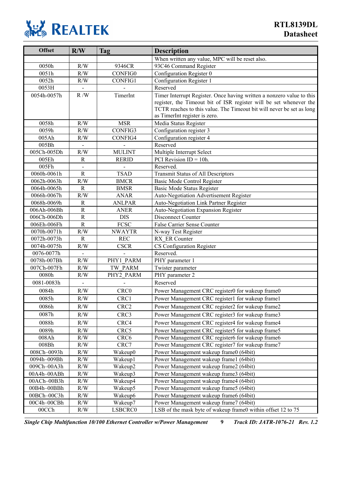

| <b>Offset</b>              | R/W                           | <b>Tag</b>                | <b>Description</b>                                                    |  |  |  |  |
|----------------------------|-------------------------------|---------------------------|-----------------------------------------------------------------------|--|--|--|--|
|                            |                               |                           | When written any value, MPC will be reset also.                       |  |  |  |  |
| 0050h                      | R/W                           | 9346CR                    | 93C46 Command Register                                                |  |  |  |  |
| 0051h                      | R/W                           | <b>CONFIG0</b>            | Configuration Register 0                                              |  |  |  |  |
| 0052h                      | R/W                           | <b>CONFIG1</b>            | Configuration Register 1                                              |  |  |  |  |
| 0053H                      | $\blacksquare$                |                           | Reserved                                                              |  |  |  |  |
| 0054h-0057h                | R/W                           | TimerInt                  | Timer Interrupt Register. Once having written a nonzero value to this |  |  |  |  |
|                            |                               |                           | register, the Timeout bit of ISR register will be set whenever the    |  |  |  |  |
|                            |                               |                           | TCTR reaches to this value. The Timeout bit will never be set as long |  |  |  |  |
|                            |                               |                           | as TimerInt register is zero.                                         |  |  |  |  |
| 0058h                      | R/W                           | <b>MSR</b>                | Media Status Register                                                 |  |  |  |  |
| 0059h                      | R/W                           | CONFIG3                   | Configuration register 3                                              |  |  |  |  |
| 005Ah                      | R/W                           | CONFIG4                   | Configuration register 4                                              |  |  |  |  |
| 005Bh                      |                               |                           | Reserved                                                              |  |  |  |  |
| 005Ch-005Dh                | R/W                           | <b>MULINT</b>             | Multiple Interrupt Select                                             |  |  |  |  |
| 005Eh                      | $\mathbb{R}$                  | <b>RERID</b>              | PCI Revision $ID = 10h$ .                                             |  |  |  |  |
| 005Fh                      |                               |                           | Reserved.                                                             |  |  |  |  |
| 0060h-0061h                | $\mathbf R$                   | <b>TSAD</b>               | <b>Transmit Status of All Descriptors</b>                             |  |  |  |  |
| 0062h-0063h                | R/W                           | <b>BMCR</b>               | Basic Mode Control Register                                           |  |  |  |  |
| 0064h-0065h                | $\mathbf R$                   | <b>BMSR</b>               | <b>Basic Mode Status Register</b>                                     |  |  |  |  |
| 0066h-0067h                | R/W                           | <b>ANAR</b>               | Auto-Negotiation Advertisement Register                               |  |  |  |  |
| 0068h-0069h<br>006Ah-006Bh | $\mathbf R$<br>$\overline{R}$ | <b>ANLPAR</b>             | Auto-Negotiation Link Partner Register                                |  |  |  |  |
|                            | $\rm R$                       | <b>ANER</b>               | Auto-Negotiation Expansion Register                                   |  |  |  |  |
| 006Ch-006Dh<br>006Eh-006Fh | $\mathbf R$                   | <b>DIS</b><br><b>FCSC</b> | Disconnect Counter                                                    |  |  |  |  |
| 0070h-0071h                | R/W                           | <b>NWAYTR</b>             | <b>False Carrier Sense Counter</b>                                    |  |  |  |  |
| 0072h-0073h                | $\mathbf R$                   | <b>REC</b>                | N-way Test Register                                                   |  |  |  |  |
| 0074h-0075h                | R/W                           | <b>CSCR</b>               | RX ER Counter                                                         |  |  |  |  |
| 0076-0077h                 |                               |                           | CS Configuration Register<br>Reserved.                                |  |  |  |  |
| 0078h-007Bh                | R/W                           | PHY1 PARM                 | PHY parameter 1                                                       |  |  |  |  |
| 007Ch-007Fh                | R/W                           | TW PARM                   | Twister parameter                                                     |  |  |  |  |
| 0080h                      | R/W                           | PHY2 PARM                 | PHY parameter 2                                                       |  |  |  |  |
| 0081-0083h                 |                               |                           | Reserved                                                              |  |  |  |  |
| 0084h                      | R/W                           | CRC0                      | Power Management CRC register0 for wakeup frame0                      |  |  |  |  |
| 0085h                      | R/W                           | CRC1                      | Power Management CRC register1 for wakeup frame1                      |  |  |  |  |
|                            |                               |                           |                                                                       |  |  |  |  |
| 0086h                      | R/W                           | CRC <sub>2</sub>          | Power Management CRC register2 for wakeup frame2                      |  |  |  |  |
| 0087h                      | R/W                           | CRC3                      | Power Management CRC register3 for wakeup frame3                      |  |  |  |  |
| 0088h                      | R/W                           | CRC4                      | Power Management CRC register4 for wakeup frame4                      |  |  |  |  |
| 0089h                      | R/W                           | CRC5                      | Power Management CRC register5 for wakeup frame5                      |  |  |  |  |
| 008Ah                      | R/W                           | CRC <sub>6</sub>          | Power Management CRC register6 for wakeup frame6                      |  |  |  |  |
| 008Bh                      | R/W                           | CRC7                      | Power Management CRC register7 for wakeup frame7                      |  |  |  |  |
| 008Ch-0093h                | R/W                           | Wakeup0                   | Power Management wakeup frame0 (64bit)                                |  |  |  |  |
| 0094h-009Bh                | $\rm R/W$                     | Wakeup1                   | Power Management wakeup frame1 (64bit)                                |  |  |  |  |
| 009Ch-00A3h                | $\rm R/W$                     | Wakeup2                   | Power Management wakeup frame2 (64bit)                                |  |  |  |  |
| 00A4h-00ABh                | R/W                           | Wakeup3                   | Power Management wakeup frame3 (64bit)                                |  |  |  |  |
| 00ACh-00B3h                | R/W                           | Wakeup4                   | Power Management wakeup frame4 (64bit)                                |  |  |  |  |
| 00B4h-00BBh                | R/W                           | Wakeup5                   | Power Management wakeup frame5 (64bit)                                |  |  |  |  |
| 00BCh-00C3h                | R/W                           | Wakeup6                   | Power Management wakeup frame6 (64bit)                                |  |  |  |  |
| 00C4h-00CBh                | R/W                           | Wakeup7                   | Power Management wakeup frame7 (64bit)                                |  |  |  |  |
| 00CCh                      | R/W                           | LSBCRC0                   | LSB of the mask byte of wakeup frame0 within offset 12 to 75          |  |  |  |  |

*Single Chip Multifunction 10/100 Ethernet Controller w/Power Management* **9** *Track ID: JATR-1076-21 Rev. 1.2*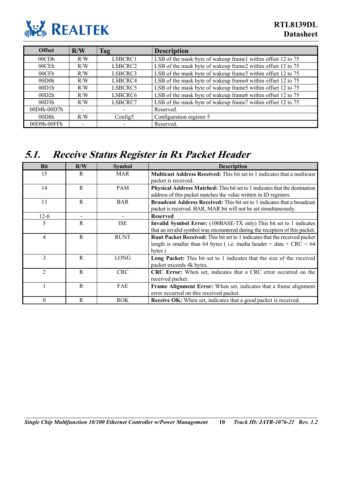

| <b>Offset</b> | R/W                      | Tag     | <b>Description</b>                                           |
|---------------|--------------------------|---------|--------------------------------------------------------------|
| 00CDh         | R/W                      | LSBCRC1 | LSB of the mask byte of wakeup framel within offset 12 to 75 |
| $00$ CEh      | R/W                      | LSBCRC2 | LSB of the mask byte of wakeup frame2 within offset 12 to 75 |
| 00CFh         | R/W                      | LSBCRC3 | LSB of the mask byte of wakeup frame3 within offset 12 to 75 |
| 00D0h         | R/W                      | LSBCRC4 | LSB of the mask byte of wakeup frame4 within offset 12 to 75 |
| 00D1h         | R/W                      | LSBCRC5 | LSB of the mask byte of wakeup frame5 within offset 12 to 75 |
| 00D2h         | R/W                      | LSBCRC6 | LSB of the mask byte of wakeup frame6 within offset 12 to 75 |
| 00D3h         | R/W                      | LSBCRC7 | LSB of the mask byte of wakeup frame7 within offset 12 to 75 |
| 00D4h-00D7h   | $\overline{\phantom{a}}$ |         | Reserved.                                                    |
| 00D8h         | R/W                      | Config5 | Configuration register 5                                     |
| 00D9h-00FFh   |                          |         | Reserved.                                                    |

### <span id="page-15-0"></span>**5.1. Receive Status Register in Rx Packet Header**

| <b>Bit</b>     | R/W          | <b>Symbol</b> | <b>Description</b>                                                                                                                                                    |  |  |  |  |
|----------------|--------------|---------------|-----------------------------------------------------------------------------------------------------------------------------------------------------------------------|--|--|--|--|
| 15             | R            | <b>MAR</b>    | <b>Multicast Address Received:</b> This bit set to 1 indicates that a multicast<br>packet is received.                                                                |  |  |  |  |
| 14             | $\mathbf{R}$ | <b>PAM</b>    | <b>Physical Address Matched:</b> This bit set to 1 indicates that the destination<br>address of this packet matches the value written in ID registers.                |  |  |  |  |
| 13             | R            | <b>BAR</b>    | <b>Broadcast Address Received:</b> This bit set to 1 indicates that a broadcast<br>packet is received. BAR, MAR bit will not be set simultaneously.                   |  |  |  |  |
| $12-6$         |              |               | <b>Reserved</b>                                                                                                                                                       |  |  |  |  |
| 5              | $\mathsf{R}$ | <b>ISE</b>    | <b>Invalid Symbol Error:</b> (100BASE-TX only) This bit set to 1 indicates<br>that an invalid symbol was encountered during the reception of this packet.             |  |  |  |  |
| 4              | R            | <b>RUNT</b>   | <b>Runt Packet Received:</b> This bit set to 1 indicates that the received packet<br>length is smaller than 64 bytes (i.e. media header + data + $CRC < 64$<br>bytes) |  |  |  |  |
| 3              | R            | <b>LONG</b>   | Long Packet: This bit set to 1 indicates that the size of the received<br>packet exceeds 4k bytes.                                                                    |  |  |  |  |
| $\mathfrak{D}$ | $\mathbf{R}$ | <b>CRC</b>    | CRC Error: When set, indicates that a CRC error occurred on the<br>received packet.                                                                                   |  |  |  |  |
|                | R            | <b>FAE</b>    | <b>Frame Alignment Error:</b> When set, indicates that a frame alignment<br>error occurred on this received packet.                                                   |  |  |  |  |
| 0              | R            | <b>ROK</b>    | Receive OK: When set, indicates that a good packet is received.                                                                                                       |  |  |  |  |

*Single Chip Multifunction 10/100 Ethernet Controller w/Power Management* **10** *Track ID: JATR-1076-21 Rev. 1.2*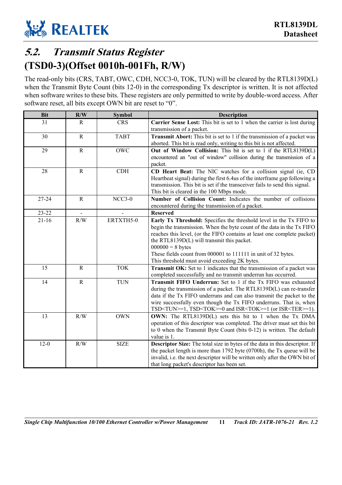

## <span id="page-16-0"></span>**5.2. Transmit Status Register (TSD0-3)(Offset 0010h-001Fh, R/W)**

The read-only bits (CRS, TABT, OWC, CDH, NCC3-0, TOK, TUN) will be cleared by the RTL8139D(L) when the Transmit Byte Count (bits 12-0) in the corresponding Tx descriptor is written. It is not affected when software writes to these bits. These registers are only permitted to write by double-word access. After software reset, all bits except OWN bit are reset to "0".

| <b>Bit</b> | R/W         | <b>Symbol</b> | <b>Description</b>                                                                                                                                                                                                                                                                                                                                                                                             |  |  |  |  |  |
|------------|-------------|---------------|----------------------------------------------------------------------------------------------------------------------------------------------------------------------------------------------------------------------------------------------------------------------------------------------------------------------------------------------------------------------------------------------------------------|--|--|--|--|--|
| 31         | R           | <b>CRS</b>    | Carrier Sense Lost: This bit is set to 1 when the carrier is lost during<br>transmission of a packet.                                                                                                                                                                                                                                                                                                          |  |  |  |  |  |
| 30         | ${\bf R}$   | <b>TABT</b>   | <b>Transmit Abort:</b> This bit is set to 1 if the transmission of a packet was<br>aborted. This bit is read only, writing to this bit is not affected.                                                                                                                                                                                                                                                        |  |  |  |  |  |
| 29         | ${\bf R}$   | <b>OWC</b>    | Out of Window Collision: This bit is set to 1 if the RTL8139D(L)<br>encountered an "out of window" collision during the transmission of a<br>packet.                                                                                                                                                                                                                                                           |  |  |  |  |  |
| 28         | $\mathbf R$ | <b>CDH</b>    | CD Heart Beat: The NIC watches for a collision signal (ie, CD<br>Heartbeat signal) during the first 6.4us of the interframe gap following a<br>transmission. This bit is set if the transceiver fails to send this signal.<br>This bit is cleared in the 100 Mbps mode.                                                                                                                                        |  |  |  |  |  |
| $27 - 24$  | $\mathbf R$ | $NCC3-0$      | Number of Collision Count: Indicates the number of collisions<br>encountered during the transmission of a packet.                                                                                                                                                                                                                                                                                              |  |  |  |  |  |
| $23 - 22$  |             |               | <b>Reserved</b>                                                                                                                                                                                                                                                                                                                                                                                                |  |  |  |  |  |
| $21 - 16$  | R/W         | ERTXTH5-0     | Early Tx Threshold: Specifies the threshold level in the Tx FIFO to<br>begin the transmission. When the byte count of the data in the Tx FIFO<br>reaches this level, (or the FIFO contains at least one complete packet)<br>the RTL8139D(L) will transmit this packet.<br>$000000 = 8$ bytes<br>These fields count from 000001 to 111111 in unit of 32 bytes.<br>This threshold must avoid exceeding 2K bytes. |  |  |  |  |  |
| 15         | $\mathbf R$ | <b>TOK</b>    | Transmit OK: Set to 1 indicates that the transmission of a packet was<br>completed successfully and no transmit underrun has occurred.                                                                                                                                                                                                                                                                         |  |  |  |  |  |
| 14         | $\mathbf R$ | <b>TUN</b>    | Transmit FIFO Underrun: Set to 1 if the Tx FIFO was exhausted<br>during the transmission of a packet. The RTL8139D(L) can re-transfer<br>data if the Tx FIFO underruns and can also transmit the packet to the<br>wire successfully even though the Tx FIFO underruns. That is, when<br>TSD <tun>=1, TSD<tok>=0 and ISR<tok>=1 (or ISR<ter>=1).</ter></tok></tok></tun>                                        |  |  |  |  |  |
| 13         | R/W         | <b>OWN</b>    | OWN: The RTL8139D(L) sets this bit to 1 when the Tx DMA<br>operation of this descriptor was completed. The driver must set this bit<br>to 0 when the Transmit Byte Count (bits $0-12$ ) is written. The default<br>value is 1.                                                                                                                                                                                 |  |  |  |  |  |
| $12-0$     | R/W         | <b>SIZE</b>   | Descriptor Size: The total size in bytes of the data in this descriptor. If<br>the packet length is more than $1792$ byte $(0700h)$ , the Tx queue will be<br>invalid, i.e. the next descriptor will be written only after the OWN bit of<br>that long packet's descriptor has been set.                                                                                                                       |  |  |  |  |  |

*Single Chip Multifunction 10/100 Ethernet Controller w/Power Management* **11** *Track ID: JATR-1076-21 Rev. 1.2*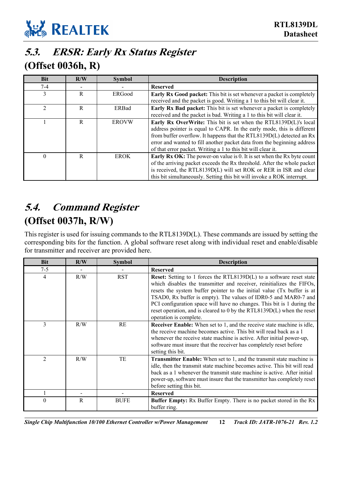

### <span id="page-17-0"></span>**5.3. ERSR: Early Rx Status Register (Offset 0036h, R)**

| <b>Bit</b>     | R/W | <b>Symbol</b> | <b>Description</b>                                                            |  |  |  |  |  |
|----------------|-----|---------------|-------------------------------------------------------------------------------|--|--|--|--|--|
| $7-4$          |     |               | <b>Reserved</b>                                                               |  |  |  |  |  |
| 3              | R   | ERGood        | <b>Early Rx Good packet:</b> This bit is set whenever a packet is completely  |  |  |  |  |  |
|                |     |               | received and the packet is good. Writing a 1 to this bit will clear it.       |  |  |  |  |  |
| $\mathfrak{D}$ | R   | ERBad         | <b>Early Rx Bad packet:</b> This bit is set whenever a packet is completely   |  |  |  |  |  |
|                |     |               | received and the packet is bad. Writing a 1 to this bit will clear it.        |  |  |  |  |  |
|                | R   | <b>EROVW</b>  | Early Rx OverWrite: This bit is set when the RTL8139D(L)'s local              |  |  |  |  |  |
|                |     |               | address pointer is equal to CAPR. In the early mode, this is different        |  |  |  |  |  |
|                |     |               | from buffer overflow. It happens that the RTL8139D(L) detected an Rx          |  |  |  |  |  |
|                |     |               | error and wanted to fill another packet data from the beginning address       |  |  |  |  |  |
|                |     |               | of that error packet. Writing a 1 to this bit will clear it.                  |  |  |  |  |  |
|                | R   | <b>EROK</b>   | <b>Early Rx OK:</b> The power-on value is 0. It is set when the Rx byte count |  |  |  |  |  |
|                |     |               | of the arriving packet exceeds the Rx threshold. After the whole packet       |  |  |  |  |  |
|                |     |               | is received, the RTL8139D(L) will set ROK or RER in ISR and clear             |  |  |  |  |  |
|                |     |               | this bit simultaneously. Setting this bit will invoke a ROK interrupt.        |  |  |  |  |  |

## <span id="page-17-1"></span>**5.4. Command Register (Offset 0037h, R/W)**

This register is used for issuing commands to the RTL8139D(L). These commands are issued by setting the corresponding bits for the function. A global software reset along with individual reset and enable/disable for transmitter and receiver are provided here.

| <b>Bit</b>     | R/W | <b>Symbol</b> | <b>Description</b>                                                                                                                                                                                                                                                                                                                                                                                                                                                              |
|----------------|-----|---------------|---------------------------------------------------------------------------------------------------------------------------------------------------------------------------------------------------------------------------------------------------------------------------------------------------------------------------------------------------------------------------------------------------------------------------------------------------------------------------------|
| $7 - 5$        |     |               | <b>Reserved</b>                                                                                                                                                                                                                                                                                                                                                                                                                                                                 |
| 4              | R/W | <b>RST</b>    | <b>Reset:</b> Setting to 1 forces the RTL8139D(L) to a software reset state<br>which disables the transmitter and receiver, reinitializes the FIFOs,<br>resets the system buffer pointer to the initial value (Tx buffer is at<br>TSAD0, Rx buffer is empty). The values of IDR0-5 and MAR0-7 and<br>PCI configuration space will have no changes. This bit is 1 during the<br>reset operation, and is cleared to 0 by the RTL8139D(L) when the reset<br>operation is complete. |
| 3              | R/W | RE            | <b>Receiver Enable:</b> When set to 1, and the receive state machine is idle,<br>the receive machine becomes active. This bit will read back as a 1<br>whenever the receive state machine is active. After initial power-up,<br>software must insure that the receiver has completely reset before<br>setting this bit.                                                                                                                                                         |
| $\overline{2}$ | R/W | TE            | <b>Transmitter Enable:</b> When set to 1, and the transmit state machine is<br>idle, then the transmit state machine becomes active. This bit will read<br>back as a 1 whenever the transmit state machine is active. After initial<br>power-up, software must insure that the transmitter has completely reset<br>before setting this bit.                                                                                                                                     |
|                |     |               | <b>Reserved</b>                                                                                                                                                                                                                                                                                                                                                                                                                                                                 |
| 0              | R   | <b>BUFE</b>   | <b>Buffer Empty:</b> Rx Buffer Empty. There is no packet stored in the Rx<br>buffer ring.                                                                                                                                                                                                                                                                                                                                                                                       |

*Single Chip Multifunction 10/100 Ethernet Controller w/Power Management* **12** *Track ID: JATR-1076-21 Rev. 1.2*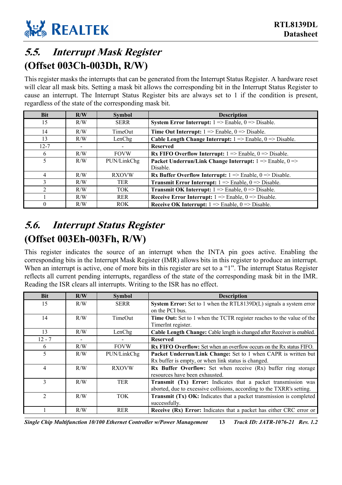

## <span id="page-18-0"></span>**5.5. Interrupt Mask Register (Offset 003Ch-003Dh, R/W)**

This register masks the interrupts that can be generated from the Interrupt Status Register. A hardware reset will clear all mask bits. Setting a mask bit allows the corresponding bit in the Interrupt Status Register to cause an interrupt. The Interrupt Status Register bits are always set to 1 if the condition is present, regardless of the state of the corresponding mask bit.

| <b>Bit</b> | R/W            | <b>Symbol</b> | <b>Description</b>                                                                     |  |  |  |  |  |
|------------|----------------|---------------|----------------------------------------------------------------------------------------|--|--|--|--|--|
| 15         | R/W            | <b>SERR</b>   | <b>System Error Interrupt:</b> $1 \Rightarrow$ Enable, $0 \Rightarrow$ Disable.        |  |  |  |  |  |
| 14         | R/W            | TimeOut       | <b>Time Out Interrupt:</b> $1 \Rightarrow$ Enable, $0 \Rightarrow$ Disable.            |  |  |  |  |  |
| 13         | R/W            | LenChg        | <b>Cable Length Change Interrupt:</b> $1 \Rightarrow$ Enable, $0 \Rightarrow$ Disable. |  |  |  |  |  |
| $12 - 7$   | $\blacksquare$ |               | <b>Reserved</b>                                                                        |  |  |  |  |  |
| 6          | R/W            | <b>FOVW</b>   | <b>Rx FIFO Overflow Interrupt:</b> $1 \Rightarrow$ Enable, $0 \Rightarrow$ Disable.    |  |  |  |  |  |
| 5          | R/W            | PUN/LinkChg   | Packet Underrun/Link Change Interrupt: $1 \Rightarrow$ Enable, $0 \Rightarrow$         |  |  |  |  |  |
|            |                |               | Disable.                                                                               |  |  |  |  |  |
| 4          | R/W            | <b>RXOVW</b>  | <b>Rx Buffer Overflow Interrupt:</b> $1 \Rightarrow$ Enable, $0 \Rightarrow$ Disable.  |  |  |  |  |  |
| 3          | R/W            | <b>TER</b>    | <b>Transmit Error Interrupt:</b> $1 \Rightarrow$ Enable, $0 \Rightarrow$ Disable.      |  |  |  |  |  |
| າ          | R/W            | TOK.          | <b>Transmit OK Interrupt:</b> $1 \Rightarrow$ Enable, $0 \Rightarrow$ Disable.         |  |  |  |  |  |
|            | R/W            | <b>RER</b>    | <b>Receive Error Interrupt:</b> $1 \Rightarrow$ Enable, $0 \Rightarrow$ Disable.       |  |  |  |  |  |
|            | R/W            | <b>ROK</b>    | <b>Receive OK Interrupt:</b> $1 \Rightarrow$ Enable, $0 \Rightarrow$ Disable.          |  |  |  |  |  |

### <span id="page-18-1"></span>**5.6. Interrupt Status Register (Offset 003Eh-003Fh, R/W)**

This register indicates the source of an interrupt when the INTA pin goes active. Enabling the corresponding bits in the Interrupt Mask Register (IMR) allows bits in this register to produce an interrupt. When an interrupt is active, one of more bits in this register are set to a "1". The interrupt Status Register reflects all current pending interrupts, regardless of the state of the corresponding mask bit in the IMR. Reading the ISR clears all interrupts. Writing to the ISR has no effect.

| <b>Bit</b>     | R/W | <b>Symbol</b>  | <b>Description</b>                                                          |  |  |  |  |
|----------------|-----|----------------|-----------------------------------------------------------------------------|--|--|--|--|
| 15             | R/W | <b>SERR</b>    | System Error: Set to 1 when the RTL8139D(L) signals a system error          |  |  |  |  |
|                |     |                | on the PCI bus.                                                             |  |  |  |  |
| 14             | R/W | <b>TimeOut</b> | Time Out: Set to 1 when the TCTR register reaches to the value of the       |  |  |  |  |
|                |     |                | TimerInt register.                                                          |  |  |  |  |
| 13             | R/W | LenChg         | Cable Length Change: Cable length is changed after Receiver is enabled.     |  |  |  |  |
| $12 - 7$       |     |                | <b>Reserved</b>                                                             |  |  |  |  |
| 6              | R/W | <b>FOVW</b>    | <b>Rx FIFO Overflow:</b> Set when an overflow occurs on the Rx status FIFO. |  |  |  |  |
| 5              | R/W | PUN/LinkChg    | Packet Underrun/Link Change: Set to 1 when CAPR is written but              |  |  |  |  |
|                |     |                | Rx buffer is empty, or when link status is changed.                         |  |  |  |  |
| 4              | R/W | <b>RXOVW</b>   | <b>Rx Buffer Overflow:</b> Set when receive (Rx) buffer ring storage        |  |  |  |  |
|                |     |                | resources have been exhausted.                                              |  |  |  |  |
| 3              | R/W | <b>TER</b>     | <b>Transmit (Tx) Error:</b> Indicates that a packet transmission was        |  |  |  |  |
|                |     |                | aborted, due to excessive collisions, according to the TXRR's setting.      |  |  |  |  |
| $\mathfrak{D}$ | R/W | TOK.           | Transmit (Tx) OK: Indicates that a packet transmission is completed         |  |  |  |  |
|                |     |                | successfully.                                                               |  |  |  |  |
|                | R/W | <b>RER</b>     | <b>Receive (Rx) Error:</b> Indicates that a packet has either CRC error or  |  |  |  |  |

*Single Chip Multifunction 10/100 Ethernet Controller w/Power Management* **13** *Track ID: JATR-1076-21 Rev. 1.2*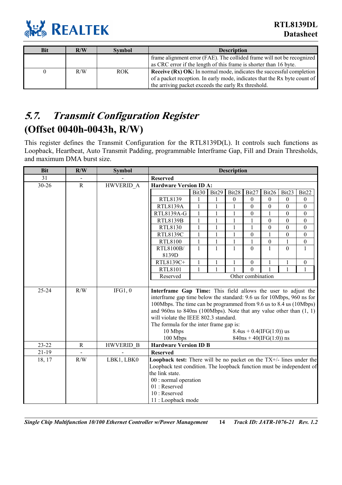

| <b>Bit</b> | R/W | <b>Symbol</b> | <b>Description</b>                                                          |
|------------|-----|---------------|-----------------------------------------------------------------------------|
|            |     |               | frame alignment error (FAE). The collided frame will not be recognized      |
|            |     |               | as CRC error if the length of this frame is shorter than 16 byte.           |
|            | R/W | <b>ROK</b>    | <b>Receive (Rx) OK:</b> In normal mode, indicates the successful completion |
|            |     |               | of a packet reception. In early mode, indicates that the Rx byte count of   |
|            |     |               | the arriving packet exceeds the early Rx threshold.                         |

### <span id="page-19-0"></span>**5.7. Transmit Configuration Register (Offset 0040h-0043h, R/W)**

This register defines the Transmit Configuration for the RTL8139D(L). It controls such functions as Loopback, Heartbeat, Auto Transmit Padding, programmable Interframe Gap, Fill and Drain Thresholds, and maximum DMA burst size.

| <b>Bit</b> | R/W         | <b>Symbol</b>    | <b>Description</b>                                                                                                                                                                                                                                                                                                             |              |              |              |                  |                             |                  |                  |
|------------|-------------|------------------|--------------------------------------------------------------------------------------------------------------------------------------------------------------------------------------------------------------------------------------------------------------------------------------------------------------------------------|--------------|--------------|--------------|------------------|-----------------------------|------------------|------------------|
| 31         |             |                  | <b>Reserved</b>                                                                                                                                                                                                                                                                                                                |              |              |              |                  |                             |                  |                  |
| 30-26      | $\mathbf R$ | HWVERID A        | <b>Hardware Version ID A:</b>                                                                                                                                                                                                                                                                                                  |              |              |              |                  |                             |                  |                  |
|            |             |                  |                                                                                                                                                                                                                                                                                                                                | Bit30        | Bit29        | Bit28        | Bit27            | Bit26                       | Bit23            | Bit22            |
|            |             |                  | RTL8139                                                                                                                                                                                                                                                                                                                        |              |              | $\mathbf{0}$ | $\theta$         | $\theta$                    | $\mathbf{0}$     | $\theta$         |
|            |             |                  | <b>RTL8139A</b>                                                                                                                                                                                                                                                                                                                | $\mathbf{1}$ | 1            | $\mathbf{1}$ | $\boldsymbol{0}$ | $\boldsymbol{0}$            | $\mathbf{0}$     | $\boldsymbol{0}$ |
|            |             |                  | RTL8139A-G                                                                                                                                                                                                                                                                                                                     | $\mathbf{1}$ | 1            | $\mathbf{1}$ | $\boldsymbol{0}$ | $\mathbf{1}$                | $\overline{0}$   | $\theta$         |
|            |             |                  | <b>RTL8139B</b>                                                                                                                                                                                                                                                                                                                | $\mathbf{1}$ | $\mathbf{1}$ | 1            | 1                | $\mathbf{0}$                | $\mathbf{0}$     | $\boldsymbol{0}$ |
|            |             |                  | RTL8130                                                                                                                                                                                                                                                                                                                        | $\mathbf{1}$ | $\mathbf{1}$ | $\mathbf{1}$ | 1                | $\overline{0}$              | $\overline{0}$   | $\overline{0}$   |
|            |             |                  | RTL8139C                                                                                                                                                                                                                                                                                                                       | $\mathbf{1}$ | 1            | $\mathbf{1}$ | $\boldsymbol{0}$ | $\mathbf{1}$                | $\boldsymbol{0}$ | $\theta$         |
|            |             |                  | RTL8100                                                                                                                                                                                                                                                                                                                        | $\mathbf{1}$ | 1            | $\mathbf{1}$ | 1                | $\boldsymbol{0}$            |                  | $\boldsymbol{0}$ |
|            |             |                  | RTL8100B/                                                                                                                                                                                                                                                                                                                      | $\mathbf{1}$ | 1            | $\mathbf{1}$ | $\mathbf{0}$     | $\mathbf{1}$                | $\Omega$         | $\mathbf{1}$     |
|            |             |                  | 8139D                                                                                                                                                                                                                                                                                                                          |              |              |              |                  |                             |                  |                  |
|            |             |                  | RTL8139C+                                                                                                                                                                                                                                                                                                                      | $\mathbf{1}$ |              | 1            | $\boldsymbol{0}$ | $\mathbf{1}$                |                  | $\theta$         |
|            |             |                  | RTL8101                                                                                                                                                                                                                                                                                                                        | $\mathbf{1}$ |              |              | $\mathbf{0}$     |                             |                  |                  |
|            |             |                  | Other combination<br>Reserved                                                                                                                                                                                                                                                                                                  |              |              |              |                  |                             |                  |                  |
|            |             |                  |                                                                                                                                                                                                                                                                                                                                |              |              |              |                  |                             |                  |                  |
| $25 - 24$  | R/W         | IFG1,0           | Interframe Gap Time: This field allows the user to adjust the<br>interframe gap time below the standard: 9.6 us for 10Mbps, 960 ns for<br>100Mbps. The time can be programmed from 9.6 us to 8.4 us (10Mbps)<br>and 960ns to 840ns (100Mbps). Note that any value other than $(1, 1)$<br>will violate the IEEE 802.3 standard. |              |              |              |                  |                             |                  |                  |
|            |             |                  | The formula for the inter frame gap is:                                                                                                                                                                                                                                                                                        |              |              |              |                  |                             |                  |                  |
|            |             |                  | 10 Mbps                                                                                                                                                                                                                                                                                                                        |              |              |              |                  | $8.4$ us + 0.4(IFG(1:0)) us |                  |                  |
|            |             |                  | 100 Mbps                                                                                                                                                                                                                                                                                                                       |              |              |              |                  | $840ns + 40(IFG(1:0))$ ns   |                  |                  |
| $23 - 22$  | $\mathbf R$ | <b>HWVERID B</b> | <b>Hardware Version ID B</b>                                                                                                                                                                                                                                                                                                   |              |              |              |                  |                             |                  |                  |
| $21 - 19$  |             |                  | <b>Reserved</b>                                                                                                                                                                                                                                                                                                                |              |              |              |                  |                             |                  |                  |
| 18, 17     | R/W         | LBK1, LBK0       | <b>Loopback test:</b> There will be no packet on the $TX+/-$ lines under the<br>Loopback test condition. The loopback function must be independent of<br>the link state.<br>00 : normal operation<br>01: Reserved<br>10 : Reserved                                                                                             |              |              |              |                  |                             |                  |                  |
|            |             |                  | 11 : Loopback mode                                                                                                                                                                                                                                                                                                             |              |              |              |                  |                             |                  |                  |

*Single Chip Multifunction 10/100 Ethernet Controller w/Power Management* **14** *Track ID: JATR-1076-21 Rev. 1.2*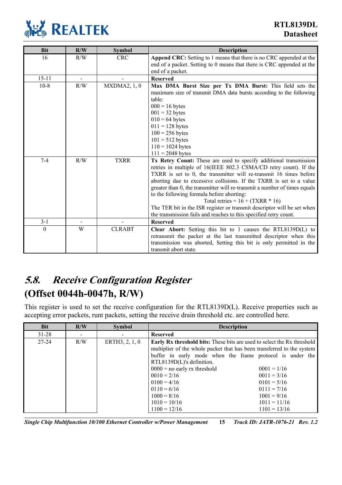

| <b>Bit</b> | R/W | <b>Symbol</b> | <b>Description</b>                                                        |
|------------|-----|---------------|---------------------------------------------------------------------------|
| 16         | R/W | <b>CRC</b>    | Append CRC: Setting to 1 means that there is no CRC appended at the       |
|            |     |               | end of a packet. Setting to 0 means that there is CRC appended at the     |
|            |     |               | end of a packet.                                                          |
| $15 - 11$  |     |               | <b>Reserved</b>                                                           |
| $10-8$     | R/W | MXDMA2, 1, 0  | Max DMA Burst Size per Tx DMA Burst: This field sets the                  |
|            |     |               | maximum size of transmit DMA data bursts according to the following       |
|            |     |               | table:                                                                    |
|            |     |               | $000 = 16$ bytes                                                          |
|            |     |               | $001 = 32$ bytes                                                          |
|            |     |               | $010 = 64$ bytes                                                          |
|            |     |               | $011 = 128$ bytes                                                         |
|            |     |               | $100 = 256$ bytes                                                         |
|            |     |               | $101 = 512$ bytes                                                         |
|            |     |               | $110 = 1024$ bytes                                                        |
|            |     |               | $111 = 2048$ bytes                                                        |
| $7 - 4$    | R/W | <b>TXRR</b>   | Tx Retry Count: These are used to specify additional transmission         |
|            |     |               | retries in multiple of 16(IEEE 802.3 CSMA/CD retry count). If the         |
|            |     |               | TXRR is set to 0, the transmitter will re-transmit 16 times before        |
|            |     |               | aborting due to excessive collisions. If the TXRR is set to a value       |
|            |     |               | greater than 0, the transmitter will re-transmit a number of times equals |
|            |     |               | to the following formula before aborting:                                 |
|            |     |               | Total retries = $16 + (TXRR * 16)$                                        |
|            |     |               | The TER bit in the ISR register or transmit descriptor will be set when   |
|            |     |               | the transmission fails and reaches to this specified retry count.         |
| $3 - 1$    |     |               | <b>Reserved</b>                                                           |
| $\theta$   | W   | <b>CLRABT</b> | Clear Abort: Setting this bit to 1 causes the RTL8139D(L) to              |
|            |     |               | retransmit the packet at the last transmitted descriptor when this        |
|            |     |               | transmission was aborted, Setting this bit is only permitted in the       |
|            |     |               | transmit abort state.                                                     |

## <span id="page-20-0"></span>**5.8. Receive Configuration Register (Offset 0044h-0047h, R/W)**

This register is used to set the receive configuration for the RTL8139D(L). Receive properties such as accepting error packets, runt packets, setting the receive drain threshold etc. are controlled here.

| <b>Bit</b> | R/W | <b>Symbol</b>  | <b>Description</b>                                                                                                                                                                                                                                                                                                                                                                                                                                                                                                    |
|------------|-----|----------------|-----------------------------------------------------------------------------------------------------------------------------------------------------------------------------------------------------------------------------------------------------------------------------------------------------------------------------------------------------------------------------------------------------------------------------------------------------------------------------------------------------------------------|
| $31 - 28$  |     |                | <b>Reserved</b>                                                                                                                                                                                                                                                                                                                                                                                                                                                                                                       |
| $27 - 24$  | R/W | ERTH3, 2, 1, 0 | <b>Early Rx threshold bits:</b> These bits are used to select the Rx threshold<br>multiplier of the whole packet that has been transferred to the system<br>buffer in early mode when the frame protocol is under the<br>RTL8139D(L)'s definition.<br>$0000$ = no early rx threshold<br>$0001 = 1/16$<br>$0010 = 2/16$<br>$0011 = 3/16$<br>$0100 = 4/16$<br>$0101 = 5/16$<br>$0110 = 6/16$<br>$0111 = 7/16$<br>$1000 = 8/16$<br>$1001 = 9/16$<br>$1010 = 10/16$<br>$1011 = 11/16$<br>$1100 = 12/16$<br>$1101 = 13/16$ |

*Single Chip Multifunction 10/100 Ethernet Controller w/Power Management* **15** *Track ID: JATR-1076-21 Rev. 1.2*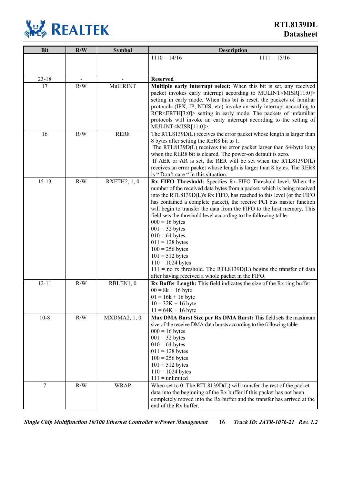

**RTL8139DL Datasheet**

| <b>Bit</b> | R/W | <b>Symbol</b>   | <b>Description</b>                                                                                                                                    |
|------------|-----|-----------------|-------------------------------------------------------------------------------------------------------------------------------------------------------|
|            |     |                 | $1110 = 14/16$<br>$1111 = 15/16$                                                                                                                      |
|            |     |                 |                                                                                                                                                       |
|            |     |                 |                                                                                                                                                       |
| $23 - 18$  |     |                 | <b>Reserved</b>                                                                                                                                       |
| 17         | R/W | <b>MulERINT</b> | Multiple early interrupt select: When this bit is set, any received                                                                                   |
|            |     |                 | packet invokes early interrupt according to MULINT <misr[11:0]></misr[11:0]>                                                                          |
|            |     |                 | setting in early mode. When this bit is reset, the packets of familiar                                                                                |
|            |     |                 | protocols (IPX, IP, NDIS, etc) invoke an early interrupt according to<br>RCR <erth[3:0]> setting in early mode. The packets of unfamiliar</erth[3:0]> |
|            |     |                 | protocols will invoke an early interrupt according to the setting of                                                                                  |
|            |     |                 | MULINT <misr[11:0]>.</misr[11:0]>                                                                                                                     |
| 16         | R/W | RER8            | The RTL8139D(L) receives the error packet whose length is larger than                                                                                 |
|            |     |                 | 8 bytes after setting the RER8 bit to 1.                                                                                                              |
|            |     |                 | The RTL8139D(L) receives the error packet larger than 64-byte long                                                                                    |
|            |     |                 | when the RER8 bit is cleared. The power-on default is zero.                                                                                           |
|            |     |                 | If AER or AR is set, the RER will be set when the RTL8139D $(L)$                                                                                      |
|            |     |                 | receives an error packet whose length is larger than 8 bytes. The RER8                                                                                |
|            |     |                 | is "Don't care " in this situation.                                                                                                                   |
| $15 - 13$  | R/W | RXFTH2, 1, 0    | Rx FIFO Threshold: Specifies Rx FIFO Threshold level. When the                                                                                        |
|            |     |                 | number of the received data bytes from a packet, which is being received<br>into the RTL8139D(L)'s Rx FIFO, has reached to this level (or the FIFO    |
|            |     |                 | has contained a complete packet), the receive PCI bus master function                                                                                 |
|            |     |                 | will begin to transfer the data from the FIFO to the host memory. This                                                                                |
|            |     |                 | field sets the threshold level according to the following table:                                                                                      |
|            |     |                 | $000 = 16$ bytes                                                                                                                                      |
|            |     |                 | $001 = 32$ bytes                                                                                                                                      |
|            |     |                 | $010 = 64$ bytes                                                                                                                                      |
|            |     |                 | $011 = 128$ bytes                                                                                                                                     |
|            |     |                 | $100 = 256$ bytes                                                                                                                                     |
|            |     |                 | $101 = 512$ bytes                                                                                                                                     |
|            |     |                 | $110 = 1024$ bytes                                                                                                                                    |
|            |     |                 | $111$ = no rx threshold. The RTL8139D(L) begins the transfer of data<br>after having received a whole packet in the FIFO.                             |
| $12 - 11$  | R/W | RBLEN1, 0       | Rx Buffer Length: This field indicates the size of the Rx ring buffer.                                                                                |
|            |     |                 | $00 = 8k + 16$ byte                                                                                                                                   |
|            |     |                 | $01 = 16k + 16$ byte                                                                                                                                  |
|            |     |                 | $10 = 32K + 16$ byte                                                                                                                                  |
|            |     |                 | $11 = 64K + 16$ byte                                                                                                                                  |
| $10-8$     | R/W | MXDMA2, 1, 0    | Max DMA Burst Size per Rx DMA Burst: This field sets the maximum                                                                                      |
|            |     |                 | size of the receive DMA data bursts according to the following table:                                                                                 |
|            |     |                 | $000 = 16$ bytes                                                                                                                                      |
|            |     |                 | $001 = 32$ bytes                                                                                                                                      |
|            |     |                 | $010 = 64$ bytes                                                                                                                                      |
|            |     |                 | $011 = 128$ bytes<br>$100 = 256$ bytes                                                                                                                |
|            |     |                 | $101 = 512$ bytes                                                                                                                                     |
|            |     |                 | $110 = 1024$ bytes                                                                                                                                    |
|            |     |                 | $111 =$ unlimited                                                                                                                                     |
| 7          | R/W | <b>WRAP</b>     | When set to 0: The RTL8139D(L) will transfer the rest of the packet                                                                                   |
|            |     |                 | data into the beginning of the Rx buffer if this packet has not been                                                                                  |
|            |     |                 | completely moved into the Rx buffer and the transfer has arrived at the                                                                               |
|            |     |                 | end of the Rx buffer.                                                                                                                                 |

*Single Chip Multifunction 10/100 Ethernet Controller w/Power Management* **16** *Track ID: JATR-1076-21 Rev. 1.2*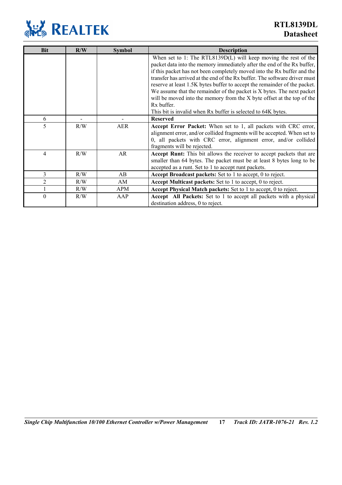

| <b>Bit</b>     | R/W                      | <b>Symbol</b> | <b>Description</b>                                                                                                                                                                                                                                                                                                                                                                                                                                                                                                                                                                                                 |
|----------------|--------------------------|---------------|--------------------------------------------------------------------------------------------------------------------------------------------------------------------------------------------------------------------------------------------------------------------------------------------------------------------------------------------------------------------------------------------------------------------------------------------------------------------------------------------------------------------------------------------------------------------------------------------------------------------|
|                |                          |               | When set to 1: The RTL8139D(L) will keep moving the rest of the<br>packet data into the memory immediately after the end of the Rx buffer,<br>if this packet has not been completely moved into the Rx buffer and the<br>transfer has arrived at the end of the Rx buffer. The software driver must<br>reserve at least 1.5K bytes buffer to accept the remainder of the packet.<br>We assume that the remainder of the packet is X bytes. The next packet<br>will be moved into the memory from the X byte offset at the top of the<br>Rx buffer.<br>This bit is invalid when Rx buffer is selected to 64K bytes. |
| 6              | $\overline{\phantom{a}}$ |               | <b>Reserved</b>                                                                                                                                                                                                                                                                                                                                                                                                                                                                                                                                                                                                    |
| 5              | R/W                      | <b>AER</b>    | Accept Error Packet: When set to 1, all packets with CRC error,<br>alignment error, and/or collided fragments will be accepted. When set to<br>0, all packets with CRC error, alignment error, and/or collided<br>fragments will be rejected.                                                                                                                                                                                                                                                                                                                                                                      |
| 4              | R/W                      | AR            | Accept Runt: This bit allows the receiver to accept packets that are<br>smaller than 64 bytes. The packet must be at least 8 bytes long to be<br>accepted as a runt. Set to 1 to accept runt packets.                                                                                                                                                                                                                                                                                                                                                                                                              |
| 3              | R/W                      | AB            | Accept Broadcast packets: Set to 1 to accept, 0 to reject.                                                                                                                                                                                                                                                                                                                                                                                                                                                                                                                                                         |
| $\overline{2}$ | R/W                      | AM            | Accept Multicast packets: Set to 1 to accept, 0 to reject.                                                                                                                                                                                                                                                                                                                                                                                                                                                                                                                                                         |
|                | R/W                      | <b>APM</b>    | Accept Physical Match packets: Set to 1 to accept, 0 to reject.                                                                                                                                                                                                                                                                                                                                                                                                                                                                                                                                                    |
| $\theta$       | R/W                      | AAP           | <b>Accept</b> All Packets: Set to 1 to accept all packets with a physical<br>destination address, 0 to reject.                                                                                                                                                                                                                                                                                                                                                                                                                                                                                                     |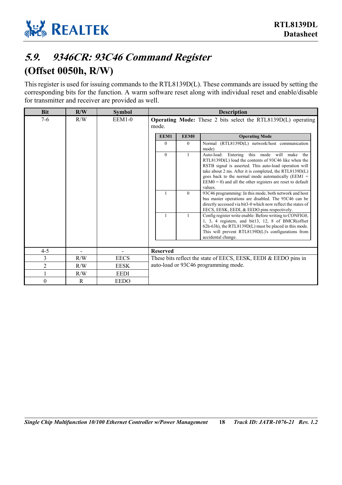

### <span id="page-23-0"></span>**5.9. 9346CR: 93C46 Command Register (Offset 0050h, R/W)**

This register is used for issuing commands to the RTL8139D(L). These commands are issued by setting the corresponding bits for the function. A warm software reset along with individual reset and enable/disable for transmitter and receiver are provided as well.

| <b>Bit</b>     | R/W    | <b>Symbol</b>                           |                 |              | <b>Description</b>                                                                                                                                                                                                                                                                                                                                               |
|----------------|--------|-----------------------------------------|-----------------|--------------|------------------------------------------------------------------------------------------------------------------------------------------------------------------------------------------------------------------------------------------------------------------------------------------------------------------------------------------------------------------|
| $7 - 6$        | R/W    | $EEM1-0$                                | mode.           |              | <b>Operating Mode:</b> These 2 bits select the RTL8139D(L) operating                                                                                                                                                                                                                                                                                             |
|                |        |                                         | EEM1            | <b>EEM0</b>  | <b>Operating Mode</b>                                                                                                                                                                                                                                                                                                                                            |
|                |        |                                         | $\theta$        | $\theta$     | Normal (RTL8139D(L) network/host communication<br>mode)                                                                                                                                                                                                                                                                                                          |
|                |        |                                         | $\theta$        | $\mathbf{1}$ | Auto-load: Entering this mode will make<br>the<br>RTL8139D(L) load the contents of 93C46 like when the<br>RSTB signal is asserted. This auto-load operation will<br>take about 2 ms. After it is completed, the RTL8139D(L)<br>goes back to the normal mode automatically ( $EEM1$ =<br>$EEM0 = 0$ ) and all the other registers are reset to default<br>values. |
|                |        |                                         | $\mathbf{1}$    | $\theta$     | 93C46 programming: In this mode, both network and host<br>bus master operations are disabled. The 93C46 can be<br>directly accessed via bit3-0 which now reflect the states of<br>EECS, EESK, EEDI, & EEDO pins respectively.                                                                                                                                    |
|                |        |                                         |                 |              | Config register write enable: Before writing to CONFIG0,<br>1, 3, 4 registers, and bit13, 12, 8 of BMCR(offset<br>62h-63h), the RTL8139D(L) must be placed in this mode.<br>This will prevent RTL8139D(L)'s configurations from<br>accidental change.                                                                                                            |
|                |        |                                         |                 |              |                                                                                                                                                                                                                                                                                                                                                                  |
| $4 - 5$<br>3   | $\sim$ | $\overline{\phantom{a}}$<br><b>EECS</b> | <b>Reserved</b> |              |                                                                                                                                                                                                                                                                                                                                                                  |
| $\overline{2}$ | R/W    |                                         |                 |              | These bits reflect the state of EECS, EESK, EEDI & EEDO pins in<br>auto-load or 93C46 programming mode.                                                                                                                                                                                                                                                          |
|                | R/W    | <b>EESK</b>                             |                 |              |                                                                                                                                                                                                                                                                                                                                                                  |
|                | R/W    | <b>EEDI</b>                             |                 |              |                                                                                                                                                                                                                                                                                                                                                                  |
| $\theta$       | R      | <b>EEDO</b>                             |                 |              |                                                                                                                                                                                                                                                                                                                                                                  |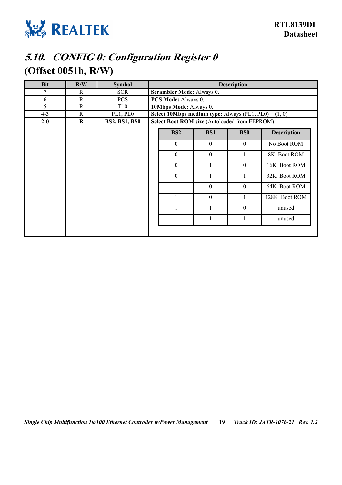

## <span id="page-24-0"></span>**5.10. CONFIG 0: Configuration Register 0 (Offset 0051h, R/W)**

| <b>Bit</b> | R/W         | <b>Symbol</b>        |                                                                |              | <b>Description</b> |                    |
|------------|-------------|----------------------|----------------------------------------------------------------|--------------|--------------------|--------------------|
| 7          | R           | <b>SCR</b>           | Scrambler Mode: Always 0.                                      |              |                    |                    |
| 6          | R           | <b>PCS</b>           | PCS Mode: Always 0.                                            |              |                    |                    |
| 5          | $\mathbf R$ | T <sub>10</sub>      | 10Mbps Mode: Always 0.                                         |              |                    |                    |
| $4 - 3$    | R           | PL1, PL0             | <b>Select 10Mbps medium type:</b> Always (PL1, PL0) = $(1, 0)$ |              |                    |                    |
| $2 - 0$    | $\mathbf R$ | <b>BS2, BS1, BS0</b> | Select Boot ROM size (Autoloaded from EEPROM)                  |              |                    |                    |
|            |             |                      | <b>BS2</b>                                                     | <b>BS1</b>   | <b>BS0</b>         | <b>Description</b> |
|            |             |                      | $\theta$                                                       | $\theta$     | $\mathbf{0}$       | No Boot ROM        |
|            |             |                      | $\theta$                                                       | $\theta$     |                    | 8K Boot ROM        |
|            |             |                      | $\overline{0}$                                                 |              | $\theta$           | 16K Boot ROM       |
|            |             |                      | $\theta$                                                       |              |                    | 32K Boot ROM       |
|            |             |                      |                                                                | $\mathbf{0}$ | $\boldsymbol{0}$   | 64K Boot ROM       |
|            |             |                      |                                                                | $\theta$     |                    | 128K Boot ROM      |
|            |             |                      |                                                                |              | $\theta$           | unused             |
|            |             |                      |                                                                |              |                    | unused             |
|            |             |                      |                                                                |              |                    |                    |

*Single Chip Multifunction 10/100 Ethernet Controller w/Power Management* **19** *Track ID: JATR-1076-21 Rev. 1.2*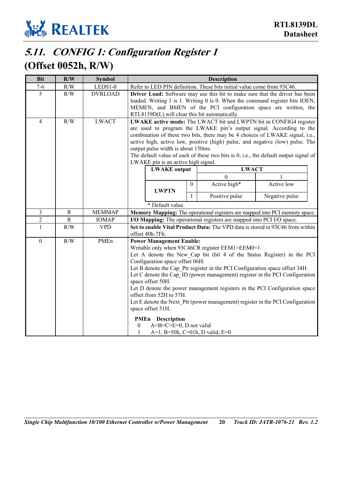

## <span id="page-25-0"></span>**5.11. CONFIG 1: Configuration Register 1**

### **(Offset 0052h, R/W)**

| <b>Bit</b>       | R/W         | <b>Symbol</b>  | <b>Description</b>                                                                                                                                                                                                                                                                                                                                                                                                                                                                 |                                                                                                                                                                                                                                                                                   |                                                                                                                                 |                                                                                                                                                                                                                                                                                                                        |  |
|------------------|-------------|----------------|------------------------------------------------------------------------------------------------------------------------------------------------------------------------------------------------------------------------------------------------------------------------------------------------------------------------------------------------------------------------------------------------------------------------------------------------------------------------------------|-----------------------------------------------------------------------------------------------------------------------------------------------------------------------------------------------------------------------------------------------------------------------------------|---------------------------------------------------------------------------------------------------------------------------------|------------------------------------------------------------------------------------------------------------------------------------------------------------------------------------------------------------------------------------------------------------------------------------------------------------------------|--|
| $7 - 6$          | R/W         | LEDS1-0        | Refer to LED PIN definition. These bits initial value come from 93C46.                                                                                                                                                                                                                                                                                                                                                                                                             |                                                                                                                                                                                                                                                                                   |                                                                                                                                 |                                                                                                                                                                                                                                                                                                                        |  |
| 5                | R/W         | <b>DVRLOAD</b> |                                                                                                                                                                                                                                                                                                                                                                                                                                                                                    | Driver Load: Software may use this bit to make sure that the driver has been<br>loaded. Writing 1 is 1. Writing 0 is 0. When the command register bits IOEN,<br>MEMEN, and BMEN of the PCI configuration space are written, the<br>RTL8139D(L) will clear this bit automatically. |                                                                                                                                 |                                                                                                                                                                                                                                                                                                                        |  |
| $\overline{4}$   | R/W         | <b>LWACT</b>   | LWAKE active mode: The LWACT bit and LWPTN bit in CONFIG4 register<br>are used to program the LWAKE pin's output signal. According to the<br>combination of these two bits, there may be 4 choices of LWAKE signal, i.e.,<br>active high, active low, positive (high) pulse, and negative (low) pulse. The<br>output pulse width is about 150ms.<br>The default value of each of these two bits is $0$ , i.e., the default output signal of<br>LWAKE pin is an active high signal. |                                                                                                                                                                                                                                                                                   |                                                                                                                                 |                                                                                                                                                                                                                                                                                                                        |  |
|                  |             |                | <b>LWAKE</b> output                                                                                                                                                                                                                                                                                                                                                                                                                                                                |                                                                                                                                                                                                                                                                                   | <b>LWACT</b>                                                                                                                    |                                                                                                                                                                                                                                                                                                                        |  |
|                  |             |                |                                                                                                                                                                                                                                                                                                                                                                                                                                                                                    |                                                                                                                                                                                                                                                                                   | $\Omega$                                                                                                                        |                                                                                                                                                                                                                                                                                                                        |  |
|                  |             |                | <b>LWPTN</b>                                                                                                                                                                                                                                                                                                                                                                                                                                                                       | $\mathbf{0}$                                                                                                                                                                                                                                                                      | Active high*                                                                                                                    | Active low                                                                                                                                                                                                                                                                                                             |  |
|                  |             |                |                                                                                                                                                                                                                                                                                                                                                                                                                                                                                    | $\mathbf{1}$                                                                                                                                                                                                                                                                      | Positive pulse                                                                                                                  | Negative pulse                                                                                                                                                                                                                                                                                                         |  |
|                  |             |                | * Default value.                                                                                                                                                                                                                                                                                                                                                                                                                                                                   |                                                                                                                                                                                                                                                                                   |                                                                                                                                 |                                                                                                                                                                                                                                                                                                                        |  |
| 3                | R           | <b>MEMMAP</b>  | Memory Mapping: The operational registers are mapped into PCI memory space.                                                                                                                                                                                                                                                                                                                                                                                                        |                                                                                                                                                                                                                                                                                   |                                                                                                                                 |                                                                                                                                                                                                                                                                                                                        |  |
| $\overline{c}$   | $\mathbf R$ | <b>IOMAP</b>   | I/O Mapping: The operational registers are mapped into PCI I/O space.                                                                                                                                                                                                                                                                                                                                                                                                              |                                                                                                                                                                                                                                                                                   |                                                                                                                                 |                                                                                                                                                                                                                                                                                                                        |  |
| $\mathbf{1}$     | R/W         | <b>VPD</b>     | offset 40h-7Fh.                                                                                                                                                                                                                                                                                                                                                                                                                                                                    |                                                                                                                                                                                                                                                                                   |                                                                                                                                 | Set to enable Vital Product Data: The VPD data is stored in 93C46 from within                                                                                                                                                                                                                                          |  |
| $\boldsymbol{0}$ | R/W         | PMEn           | <b>Power Management Enable:</b><br>Configuration space offset 06H.<br>space offset 50H.<br>offset from 52H to 57H.<br>space offset 51H.<br><b>PMEn</b> Description<br>$A=B=C=E=0$ , D not valid<br>$\theta$<br>A=1, B=50h, C=01h, D valid, E=0<br>1                                                                                                                                                                                                                                |                                                                                                                                                                                                                                                                                   | Writable only when 93C46CR register EEM1=EEM0=1<br>Let B denote the Cap Ptr register in the PCI Configuration space offset 34H. | Let A denote the New Cap bit (bit 4 of the Status Register) in the PCI<br>Let C denote the Cap ID (power management) register in the PCI Configuration<br>Let D denote the power management registers in the PCI Configuration space<br>Let E denote the Next Ptr (power management) register in the PCI Configuration |  |

*Single Chip Multifunction 10/100 Ethernet Controller w/Power Management* **20** *Track ID: JATR-1076-21 Rev. 1.2*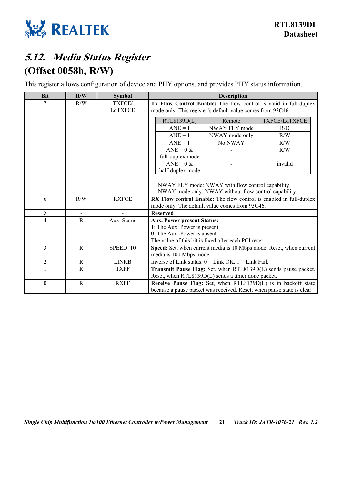

## <span id="page-26-0"></span>**5.12. Media Status Register (Offset 0058h, R/W)**

This register allows configuration of device and PHY options, and provides PHY status information.

| <b>Bit</b>     | R/W          | <b>Symbol</b>  | <b>Description</b>                                         |                                                         |                                                                        |
|----------------|--------------|----------------|------------------------------------------------------------|---------------------------------------------------------|------------------------------------------------------------------------|
| 7              | R/W          | TXFCE/         |                                                            |                                                         | Tx Flow Control Enable: The flow control is valid in full-duplex       |
|                |              | LdTXFCE        | mode only. This register's default value comes from 93C46. |                                                         |                                                                        |
|                |              |                | RTL8139D(L)                                                | Remote                                                  | TXFCE/LdTXFCE                                                          |
|                |              |                | $ANE = 1$                                                  | NWAY FLY mode                                           | R/O                                                                    |
|                |              |                | $ANE = 1$                                                  | NWAY mode only                                          | R/W                                                                    |
|                |              |                | $ANE = 1$                                                  | No NWAY                                                 | R/W                                                                    |
|                |              |                | $ANE = 0$ &                                                |                                                         | R/W                                                                    |
|                |              |                | full-duplex mode                                           |                                                         |                                                                        |
|                |              |                | $ANE = 0$ &                                                |                                                         | invalid                                                                |
|                |              |                | half-duplex mode                                           |                                                         |                                                                        |
|                |              |                |                                                            |                                                         |                                                                        |
|                |              |                |                                                            | NWAY FLY mode: NWAY with flow control capability        |                                                                        |
|                |              |                |                                                            | NWAY mode only: NWAY without flow control capability    |                                                                        |
| 6              | R/W          | <b>RXFCE</b>   |                                                            |                                                         | RX Flow control Enable: The flow control is enabled in full-duplex     |
|                |              |                |                                                            | mode only. The default value comes from 93C46.          |                                                                        |
| 5              | $\sim$       | $\overline{a}$ | <b>Reserved</b>                                            |                                                         |                                                                        |
| 4              | R            | Aux Status     | <b>Aux. Power present Status:</b>                          |                                                         |                                                                        |
|                |              |                | 1: The Aux. Power is present.                              |                                                         |                                                                        |
|                |              |                | 0: The Aux. Power is absent.                               |                                                         |                                                                        |
| 3              | $\mathbb{R}$ |                |                                                            | The value of this bit is fixed after each PCI reset.    |                                                                        |
|                |              | SPEED 10       | media is 100 Mbps mode.                                    |                                                         | Speed: Set, when current media is 10 Mbps mode. Reset, when current    |
| $\overline{2}$ | $\mathbf R$  | <b>LINKB</b>   |                                                            | Inverse of Link status. $0 =$ Link OK. $1 =$ Link Fail. |                                                                        |
|                | R            | <b>TXPF</b>    |                                                            |                                                         | Transmit Pause Flag: Set, when RTL8139D(L) sends pause packet.         |
|                |              |                |                                                            | Reset, when RTL8139D(L) sends a timer done packet.      |                                                                        |
| $\theta$       | $\mathbf R$  | <b>RXPF</b>    |                                                            |                                                         | Receive Pause Flag: Set, when RTL8139D(L) is in backoff state          |
|                |              |                |                                                            |                                                         | because a pause packet was received. Reset, when pause state is clear. |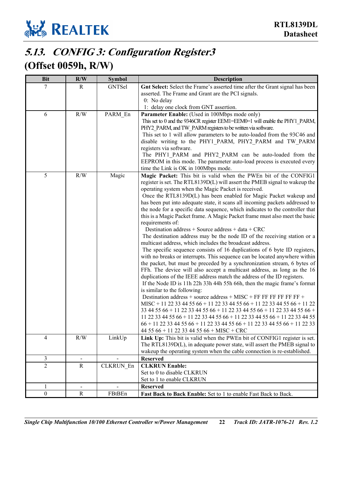

## <span id="page-27-0"></span>**5.13. CONFIG 3: Configuration Register3**

### **(Offset 0059h, R/W)**

| <b>Bit</b>     | R/W                      | <b>Symbol</b> | <b>Description</b>                                                                                                       |
|----------------|--------------------------|---------------|--------------------------------------------------------------------------------------------------------------------------|
| 7              | R                        | <b>GNTSel</b> | Gnt Select: Select the Frame's asserted time after the Grant signal has been                                             |
|                |                          |               | asserted. The Frame and Grant are the PCI signals.                                                                       |
|                |                          |               | 0: No delay                                                                                                              |
|                |                          |               | 1: delay one clock from GNT assertion.                                                                                   |
| 6              | R/W                      | PARM_En       | Parameter Enable: (Used in 100Mbps mode only)                                                                            |
|                |                          |               | This set to 0 and the 9346CR register EEM1=EEM0=1 will enable the PHY1 PARM,                                             |
|                |                          |               | PHY2 PARM, and TW PARM registers to be written via software.                                                             |
|                |                          |               | This set to 1 will allow parameters to be auto-loaded from the 93C46 and                                                 |
|                |                          |               | disable writing to the PHY1_PARM, PHY2_PARM and TW_PARM                                                                  |
|                |                          |               | registers via software.                                                                                                  |
|                |                          |               | The PHY1_PARM and PHY2_PARM can be auto-loaded from the                                                                  |
|                |                          |               | EEPROM in this mode. The parameter auto-load process is executed every                                                   |
| 5              |                          |               | time the Link is OK in 100Mbps mode.                                                                                     |
|                | R/W                      | Magic         | Magic Packet: This bit is valid when the PWEn bit of the CONFIG1                                                         |
|                |                          |               | register is set. The RTL8139D(L) will assert the PMEB signal to wakeup the                                               |
|                |                          |               | operating system when the Magic Packet is received.<br>Once the RTL8139D(L) has been enabled for Magic Packet wakeup and |
|                |                          |               | has been put into adequate state, it scans all incoming packets addressed to                                             |
|                |                          |               | the node for a specific data sequence, which indicates to the controller that                                            |
|                |                          |               | this is a Magic Packet frame. A Magic Packet frame must also meet the basic                                              |
|                |                          |               | requirements of:                                                                                                         |
|                |                          |               | Destination address + Source address + data + CRC                                                                        |
|                |                          |               | The destination address may be the node ID of the receiving station or a                                                 |
|                |                          |               | multicast address, which includes the broadcast address.                                                                 |
|                |                          |               | The specific sequence consists of 16 duplications of 6 byte ID registers,                                                |
|                |                          |               | with no breaks or interrupts. This sequence can be located anywhere within                                               |
|                |                          |               | the packet, but must be preceded by a synchronization stream, 6 bytes of                                                 |
|                |                          |               | FFh. The device will also accept a multicast address, as long as the 16                                                  |
|                |                          |               | duplications of the IEEE address match the address of the ID registers.                                                  |
|                |                          |               | If the Node ID is 11h 22h 33h 44h 55h 66h, then the magic frame's format                                                 |
|                |                          |               | is similar to the following:                                                                                             |
|                |                          |               | Destination address + source address + MISC + FF FF FF FF FF FF +                                                        |
|                |                          |               | MISC + 11 22 33 44 55 66 + 11 22 33 44 55 66 + 11 22 33 44 55 66 + 11 22                                                 |
|                |                          |               | 33 44 55 66 + 11 22 33 44 55 66 + 11 22 33 44 55 66 + 11 22 33 44 55 66 +                                                |
|                |                          |               | 11 22 33 44 55 66 + 11 22 33 44 55 66 + 11 22 33 44 55 66 + 11 22 33 44 55                                               |
|                |                          |               | $66 + 11$ 22 33 44 55 66 + 11 22 33 44 55 66 + 11 22 33 44 55 66 + 11 22 33                                              |
|                |                          |               | 44 55 66 + 11 22 33 44 55 66 + MISC + CRC                                                                                |
| $\overline{4}$ | R/W                      | LinkUp        | Link Up: This bit is valid when the PWEn bit of CONFIG1 register is set.                                                 |
|                |                          |               | The RTL8139D(L), in adequate power state, will assert the PMEB signal to                                                 |
|                |                          |               | wakeup the operating system when the cable connection is re-established.                                                 |
| $\overline{3}$ |                          |               | <b>Reserved</b>                                                                                                          |
| $\overline{2}$ | $\overline{R}$           | CLKRUN En     | <b>CLKRUN Enable:</b>                                                                                                    |
|                |                          |               | Set to 0 to disable CLKRUN                                                                                               |
|                |                          |               | Set to 1 to enable CLKRUN                                                                                                |
| $\mathbf{1}$   | $\overline{\phantom{0}}$ |               | <b>Reserved</b>                                                                                                          |
| $\mathbf{0}$   | ${\bf R}$                | FBtBEn        | Fast Back to Back Enable: Set to 1 to enable Fast Back to Back.                                                          |

*Single Chip Multifunction 10/100 Ethernet Controller w/Power Management* **22** *Track ID: JATR-1076-21 Rev. 1.2*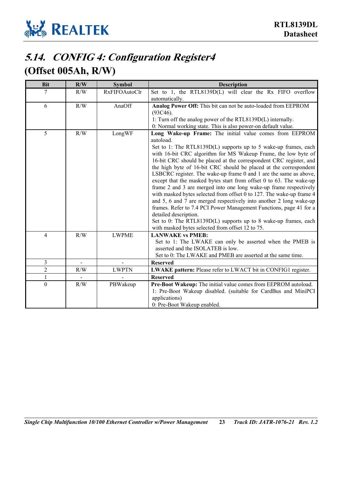

## <span id="page-28-0"></span>**5.14. CONFIG 4: Configuration Register4**

### **(Offset 005Ah, R/W)**

| <b>Bit</b>     | R/W | <b>Symbol</b>        | <b>Description</b>                                                                                                                                                                                                                                                                                                                                                                                                                                                                                                                                                                |
|----------------|-----|----------------------|-----------------------------------------------------------------------------------------------------------------------------------------------------------------------------------------------------------------------------------------------------------------------------------------------------------------------------------------------------------------------------------------------------------------------------------------------------------------------------------------------------------------------------------------------------------------------------------|
| 7              | R/W | <b>RxFIFOAutoClr</b> | Set to 1, the RTL8139D(L) will clear the Rx FIFO overflow                                                                                                                                                                                                                                                                                                                                                                                                                                                                                                                         |
|                |     |                      | automatically.                                                                                                                                                                                                                                                                                                                                                                                                                                                                                                                                                                    |
| 6              | R/W | AnaOff               | Analog Power Off: This bit can not be auto-loaded from EEPROM                                                                                                                                                                                                                                                                                                                                                                                                                                                                                                                     |
|                |     |                      | (93C46).                                                                                                                                                                                                                                                                                                                                                                                                                                                                                                                                                                          |
|                |     |                      | 1: Turn off the analog power of the RTL8139D(L) internally.                                                                                                                                                                                                                                                                                                                                                                                                                                                                                                                       |
|                |     |                      | 0: Normal working state. This is also power-on default value.                                                                                                                                                                                                                                                                                                                                                                                                                                                                                                                     |
| 5              | R/W | LongWF               | Long Wake-up Frame: The initial value comes from EEPROM<br>autoload.<br>Set to 1: The RTL8139D(L) supports up to 5 wake-up frames, each<br>with 16-bit CRC algorithm for MS Wakeup Frame, the low byte of<br>16-bit CRC should be placed at the correspondent CRC register, and<br>the high byte of 16-bit CRC should be placed at the correspondent                                                                                                                                                                                                                              |
|                |     |                      | LSBCRC register. The wake-up frame 0 and 1 are the same as above,<br>except that the masked bytes start from offset 0 to 63. The wake-up<br>frame 2 and 3 are merged into one long wake-up frame respectively<br>with masked bytes selected from offset 0 to 127. The wake-up frame 4<br>and 5, 6 and 7 are merged respectively into another 2 long wake-up<br>frames. Refer to 7.4 PCI Power Management Functions, page 41 for a<br>detailed description.<br>Set to 0: The RTL8139D(L) supports up to 8 wake-up frames, each<br>with masked bytes selected from offset 12 to 75. |
| $\overline{4}$ | R/W | <b>LWPME</b>         | <b>LANWAKE vs PMEB:</b><br>Set to 1: The LWAKE can only be asserted when the PMEB is<br>asserted and the ISOLATEB is low.<br>Set to 0: The LWAKE and PMEB are asserted at the same time.                                                                                                                                                                                                                                                                                                                                                                                          |
| 3              |     |                      | <b>Reserved</b>                                                                                                                                                                                                                                                                                                                                                                                                                                                                                                                                                                   |
| $\overline{2}$ |     |                      |                                                                                                                                                                                                                                                                                                                                                                                                                                                                                                                                                                                   |
|                | R/W | <b>LWPTN</b>         | LWAKE pattern: Please refer to LWACT bit in CONFIG1 register.                                                                                                                                                                                                                                                                                                                                                                                                                                                                                                                     |
| $\mathbf{1}$   |     |                      | <b>Reserved</b>                                                                                                                                                                                                                                                                                                                                                                                                                                                                                                                                                                   |
| $\Omega$       | R/W | PBWakeup             | Pre-Boot Wakeup: The initial value comes from EEPROM autoload.<br>1: Pre-Boot Wakeup disabled. (suitable for CardBus and MiniPCI<br>applications)<br>0: Pre-Boot Wakeup enabled.                                                                                                                                                                                                                                                                                                                                                                                                  |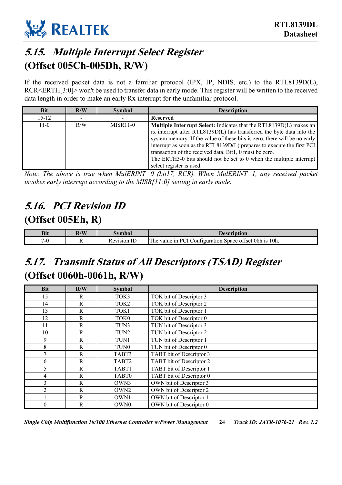

### <span id="page-29-0"></span>**5.15. Multiple Interrupt Select Register (Offset 005Ch-005Dh, R/W)**

If the received packet data is not a familiar protocol (IPX, IP, NDIS, etc.) to the RTL8139D(L), RCR<ERTH[3:0]> won't be used to transfer data in early mode. This register will be written to the received data length in order to make an early Rx interrupt for the unfamiliar protocol.

| <b>Bit</b> | R/W | <b>Symbol</b> | <b>Description</b>                                                                                                                                                                                                                                                                                                                                                                                                                                                      |
|------------|-----|---------------|-------------------------------------------------------------------------------------------------------------------------------------------------------------------------------------------------------------------------------------------------------------------------------------------------------------------------------------------------------------------------------------------------------------------------------------------------------------------------|
| $15 - 12$  |     |               | <b>Reserved</b>                                                                                                                                                                                                                                                                                                                                                                                                                                                         |
| $11-0$     | R/W | MISR11-0      | <b>Multiple Interrupt Select:</b> Indicates that the RTL8139D(L) makes an<br>rx interrupt after RTL8139D(L) has transferred the byte data into the<br>system memory. If the value of these bits is zero, there will be no early<br>interrupt as soon as the RTL8139D(L) prepares to execute the first PCI<br>transaction of the received data. Bit1, 0 must be zero.<br>The ERTH3-0 bits should not be set to 0 when the multiple interrupt<br>select register is used. |

*Note: The above is true when MulERINT=0 (bit17, RCR). When MulERINT=1, any received packet invokes early interrupt according to the MISR[11:0] setting in early mode.* 

### <span id="page-29-1"></span>**5.16. PCI Revision ID (Offset 005Eh, R)**

| <b>Bit</b> | $\mathbf{H}$ / $\mathbf{V}$<br>R/W | svmbol                   | Description                                                                                                                      |
|------------|------------------------------------|--------------------------|----------------------------------------------------------------------------------------------------------------------------------|
|            | . .                                | <b>TT</b><br>Revision IL | $\sim$<br>$10h$ .<br>$\alpha$<br><b>Property</b><br>DCI<br>$08h$ is<br>⊅onfiguration<br>value in<br>Space of the Space<br>. I he |

## <span id="page-29-2"></span>**5.17. Transmit Status of All Descriptors (TSAD) Register (Offset 0060h-0061h, R/W)**

| <b>Bit</b>     | R/W         | <b>Symbol</b>     | <b>Description</b>       |
|----------------|-------------|-------------------|--------------------------|
| 15             | R           | TOK3              | TOK bit of Descriptor 3  |
| 14             | R           | TOK <sub>2</sub>  | TOK bit of Descriptor 2  |
| 13             | R           | TOK1              | TOK bit of Descriptor 1  |
| 12             | R           | TOK <sub>0</sub>  | TOK bit of Descriptor 0  |
| 11             | R           | TUN3              | TUN bit of Descriptor 3  |
| 10             | R           | TUN2              | TUN bit of Descriptor 2  |
| 9              | R           | TUN1              | TUN bit of Descriptor 1  |
| 8              | R           | TUN0              | TUN bit of Descriptor 0  |
| 7              | R           | TABT3             | TABT bit of Descriptor 3 |
| 6              | R           | TABT <sub>2</sub> | TABT bit of Descriptor 2 |
| 5              | R           | TABT1             | TABT bit of Descriptor 1 |
| 4              | R           | TABT0             | TABT bit of Descriptor 0 |
| 3              | $\mathbf R$ | OWN3              | OWN bit of Descriptor 3  |
| $\overline{2}$ | $\mathbf R$ | OWN <sub>2</sub>  | OWN bit of Descriptor 2  |
|                | R           | OWN1              | OWN bit of Descriptor 1  |
| $\theta$       | R           | OWN0              | OWN bit of Descriptor 0  |

*Single Chip Multifunction 10/100 Ethernet Controller w/Power Management* **24** *Track ID: JATR-1076-21 Rev. 1.2*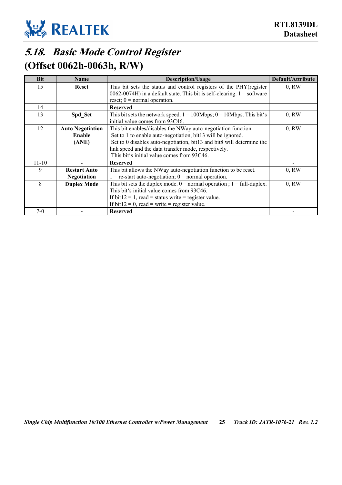

### <span id="page-30-0"></span>**5.18. Basic Mode Control Register (Offset 0062h-0063h, R/W)**

| <b>Bit</b> | <b>Name</b>             | Description/Usage                                                                                                                                | Default/Attribute |
|------------|-------------------------|--------------------------------------------------------------------------------------------------------------------------------------------------|-------------------|
| 15         | <b>Reset</b>            | This bit sets the status and control registers of the PHY(register<br>$0062-0074H$ ) in a default state. This bit is self-clearing. 1 = software | 0, RW             |
|            |                         | reset; $0 = normal operation$ .                                                                                                                  |                   |
| 14         |                         | <b>Reserved</b>                                                                                                                                  |                   |
| 13         | Spd Set                 | This bit sets the network speed. $1 = 100Mbps$ ; $0 = 10Mbps$ . This bit's<br>initial value comes from 93C46.                                    | 0, RW             |
| 12         | <b>Auto Negotiation</b> | This bit enables/disables the NWay auto-negotiation function.                                                                                    | 0, RW             |
|            | Enable                  | Set to 1 to enable auto-negotiation, bit13 will be ignored.                                                                                      |                   |
|            | (ANE)                   | Set to 0 disables auto-negotiation, bit13 and bit8 will determine the                                                                            |                   |
|            |                         | link speed and the data transfer mode, respectively.                                                                                             |                   |
|            |                         | This bit's initial value comes from 93C46.                                                                                                       |                   |
| $11 - 10$  |                         | <b>Reserved</b>                                                                                                                                  |                   |
| 9          | <b>Restart Auto</b>     | This bit allows the NWay auto-negotiation function to be reset.                                                                                  | 0, RW             |
|            | <b>Negotiation</b>      | $=$ re-start auto-negotiation; 0 = normal operation.                                                                                             |                   |
| 8          | <b>Duplex Mode</b>      | This bit sets the duplex mode. $0 = normal operation$ ; $1 = full-duplex$ .                                                                      | 0, RW             |
|            |                         | This bit's initial value comes from 93C46.                                                                                                       |                   |
|            |                         | If bit $12 = 1$ , read = status write = register value.                                                                                          |                   |
|            |                         | If bit12 = 0, read = write = register value.                                                                                                     |                   |
| $7-0$      |                         | <b>Reserved</b>                                                                                                                                  |                   |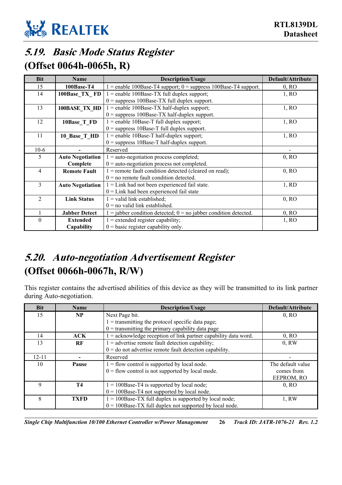

### <span id="page-31-0"></span>**5.19. Basic Mode Status Register (Offset 0064h-0065h, R)**

| <b>Bit</b>     | <b>Name</b>             | <b>Description/Usage</b>                                             | Default/Attribute |
|----------------|-------------------------|----------------------------------------------------------------------|-------------------|
| 15             | 100Base-T4              | $1 =$ enable 100Base-T4 support; 0 = suppress 100Base-T4 support.    | 0, RO             |
| 14             | 100Base TX FD           | $1$ = enable 100Base-TX full duplex support;                         | 1, RO             |
|                |                         | $0 =$ suppress 100Base-TX full duplex support.                       |                   |
| 13             | 100BASE TX HD           | $1 =$ enable 100Base-TX half-duplex support;                         | 1, RO             |
|                |                         | $0 =$ suppress 100Base-TX half-duplex support.                       |                   |
| 12             | 10Base T FD             | $1 =$ enable 10Base-T full duplex support;                           | 1, RO             |
|                |                         | $0 =$ suppress 10Base-T full duplex support.                         |                   |
| 11             | 10_Base_T_HD            | $1 =$ enable 10Base-T half-duplex support;                           | 1, RO             |
|                |                         | $0 =$ suppress 10Base-T half-duplex support.                         |                   |
| $10-6$         |                         | Reserved                                                             |                   |
| 5              | <b>Auto Negotiation</b> | $1 =$ auto-negotiation process completed;                            | 0, RO             |
|                | Complete                | $0 =$ auto-negotiation process not completed.                        |                   |
| 4              | <b>Remote Fault</b>     | $1$ = remote fault condition detected (cleared on read);             | 0, RO             |
|                |                         | $0 =$ no remote fault condition detected.                            |                   |
| 3              | <b>Auto Negotiation</b> | $1 =$ Link had not been experienced fail state.                      | $1$ , RD          |
|                |                         | $0 =$ Link had been experienced fail state                           |                   |
| $\mathfrak{D}$ | <b>Link Status</b>      | $1 =$ valid link established;                                        | 0, RO             |
|                |                         | $0 =$ no valid link established.                                     |                   |
|                | <b>Jabber Detect</b>    | $1 =$ jabber condition detected; $0 =$ no jabber condition detected. | 0, RO             |
| $\theta$       | <b>Extended</b>         | $1 =$ extended register capability;                                  | 1, RO             |
|                | Capability              | $0 = \text{basic register capability only.}$                         |                   |

### <span id="page-31-1"></span>**5.20. Auto-negotiation Advertisement Register (Offset 0066h-0067h, R/W)**

This register contains the advertised abilities of this device as they will be transmitted to its link partner during Auto-negotiation.

| <b>Bit</b> | <b>Name</b> | Description/Usage                                                 | Default/Attribute |
|------------|-------------|-------------------------------------------------------------------|-------------------|
| 15         | NP          | Next Page bit.                                                    | 0, RO             |
|            |             | $1 =$ transmitting the protocol specific data page;               |                   |
|            |             | $0 =$ transmitting the primary capability data page               |                   |
| 14         | <b>ACK</b>  | $1 =$ acknowledge reception of link partner capability data word. | 0, RO             |
| 13         | RF          | $1 =$ advertise remote fault detection capability;                | 0, RW             |
|            |             | $0 =$ do not advertise remote fault detection capability.         |                   |
| $12 - 11$  |             | Reserved                                                          |                   |
| 10         | Pause       | $1 =$ flow control is supported by local node.                    | The default value |
|            |             | $0 =$ flow control is not supported by local mode.                | comes from        |
|            |             |                                                                   | EEPROM, RO        |
| 9          | <b>T4</b>   | $1 = 100$ Base-T4 is supported by local node;                     | 0, RO             |
|            |             | $0 = 100$ Base-T4 not supported by local node.                    |                   |
| 8          | <b>TXFD</b> | $1 = 100$ Base-TX full duplex is supported by local node;         | 1. RW             |
|            |             | $0 = 100$ Base-TX full duplex not supported by local node.        |                   |

*Single Chip Multifunction 10/100 Ethernet Controller w/Power Management* **26** *Track ID: JATR-1076-21 Rev. 1.2*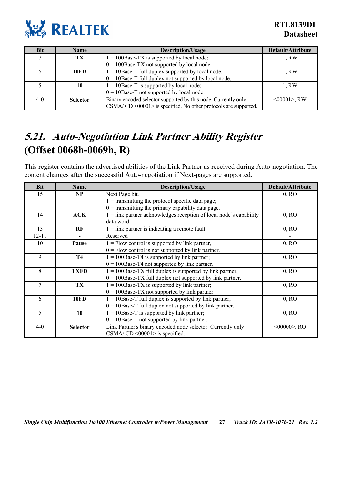

**RTL8139DL Datasheet**

| Bit          | <b>Name</b>     | <b>Description/Usage</b>                                          | Default/Attribute |
|--------------|-----------------|-------------------------------------------------------------------|-------------------|
| $\mathbf{r}$ | TX              | $1 = 100$ Base-TX is supported by local node;                     | 1, RW             |
|              |                 | $0 = 100$ Base-TX not supported by local node.                    |                   |
|              | 10FD            | $1 = 10$ Base-T full duplex supported by local node;              | 1. RW             |
|              |                 | $0 = 10$ Base-T full duplex not supported by local node.          |                   |
|              | 10              | $1 = 10$ Base-T is supported by local node;                       | 1, RW             |
|              |                 | $0 = 10$ Base-T not supported by local node.                      |                   |
| $4-0$        | <b>Selector</b> | Binary encoded selector supported by this node. Currently only    | $<00001$ , RW     |
|              |                 | $CSMA/CD < 00001$ is specified. No other protocols are supported. |                   |

### <span id="page-32-0"></span>**5.21. Auto-Negotiation Link Partner Ability Register (Offset 0068h-0069h, R)**

This register contains the advertised abilities of the Link Partner as received during Auto-negotiation. The content changes after the successful Auto-negotiation if Next-pages are supported.

| <b>Bit</b> | <b>Name</b>     | <b>Description/Usage</b>                                             | Default/Attribute |
|------------|-----------------|----------------------------------------------------------------------|-------------------|
| 15         | NP              | Next Page bit.                                                       | 0, RO             |
|            |                 | $1 =$ transmitting the protocol specific data page;                  |                   |
|            |                 | $0 =$ transmitting the primary capability data page.                 |                   |
| 14         | ACK             | $1 =$ link partner acknowledges reception of local node's capability | 0, RO             |
|            |                 | data word.                                                           |                   |
| 13         | RF              | $1 =$ link partner is indicating a remote fault.                     | 0, RO             |
| $12 - 11$  |                 | Reserved                                                             |                   |
| 10         | Pause           | $1 =$ Flow control is supported by link partner,                     | 0, RO             |
|            |                 | $0 =$ Flow control is not supported by link partner.                 |                   |
| 9          | <b>T4</b>       | $1 = 100$ Base-T4 is supported by link partner;                      | 0, RO             |
|            |                 | $0 = 100$ Base-T4 not supported by link partner.                     |                   |
| 8          | <b>TXFD</b>     | $1 = 100$ Base-TX full duplex is supported by link partner;          | 0, RO             |
|            |                 | $0 = 100$ Base-TX full duplex not supported by link partner.         |                   |
| 7          | TX              | $1 = 100$ Base-TX is supported by link partner;                      | 0, RO             |
|            |                 | $0 = 100$ Base-TX not supported by link partner.                     |                   |
| 6          | <b>10FD</b>     | $1 = 10$ Base-T full duplex is supported by link partner;            | 0, RO             |
|            |                 | $0 = 10$ Base-T full duplex not supported by link partner.           |                   |
| 5          | 10              | $1 = 10$ Base-T is supported by link partner;                        | 0, RO             |
|            |                 | $0 = 10$ Base-T not supported by link partner.                       |                   |
| $4 - 0$    | <b>Selector</b> | Link Partner's binary encoded node selector. Currently only          | $<00000>$ , RO    |
|            |                 | $CSMA/CD < 00001$ is specified.                                      |                   |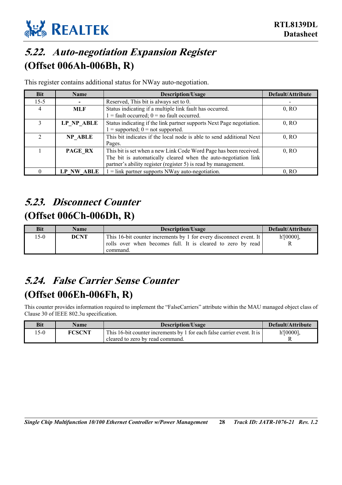

## <span id="page-33-0"></span>**5.22. Auto-negotiation Expansion Register (Offset 006Ah-006Bh, R)**

This register contains additional status for NWay auto-negotiation.

| <b>Bit</b> | <b>Name</b>   | Description/Usage                                                     | Default/Attribute |
|------------|---------------|-----------------------------------------------------------------------|-------------------|
| $15 - 5$   |               | Reserved, This bit is always set to 0.                                |                   |
| 4          | MLF           | Status indicating if a multiple link fault has occurred.              | 0, RO             |
|            |               | $1 =$ fault occurred; $0 =$ no fault occurred.                        |                   |
|            | LP NP ABLE    | Status indicating if the link partner supports Next Page negotiation. | 0, RO             |
|            |               | $1 =$ supported; $0 =$ not supported.                                 |                   |
| C.         | NP ABLE       | This bit indicates if the local node is able to send additional Next  | 0, RO             |
|            |               | Pages.                                                                |                   |
|            | PAGE RX       | This bit is set when a new Link Code Word Page has been received.     | 0, RO             |
|            |               | The bit is automatically cleared when the auto-negotiation link       |                   |
|            |               | partner's ability register (register 5) is read by management.        |                   |
|            | ABLE<br>LP NW | $1 =$ link partner supports NWay auto-negotiation.                    | 0, RO             |

## <span id="page-33-1"></span>**5.23. Disconnect Counter (Offset 006Ch-006Dh, R)**

| <b>Bit</b> | <b>Name</b> | Description/Usage                                                  | Default/Attribute |
|------------|-------------|--------------------------------------------------------------------|-------------------|
| $-5-0$     | <b>DCNT</b> | This 16-bit counter increments by 1 for every disconnect event. It | $h'[0000]$ ,      |
|            |             | rolls over when becomes full. It is cleared to zero by read        |                   |
|            |             | command.                                                           |                   |

### <span id="page-33-2"></span>**5.24. False Carrier Sense Counter (Offset 006Eh-006Fh, R)**

This counter provides information required to implement the "FalseCarriers" attribute within the MAU managed object class of Clause 30 of IEEE 802.3u specification.

| Bit   | Name          | <b>Description/Usage</b>                                                | Default/Attribute |
|-------|---------------|-------------------------------------------------------------------------|-------------------|
| $5-0$ | <b>FCSCNT</b> | This 16-bit counter increments by 1 for each false carrier event. It is | $h'[0000]$ ,      |
|       |               | cleared to zero by read command.                                        |                   |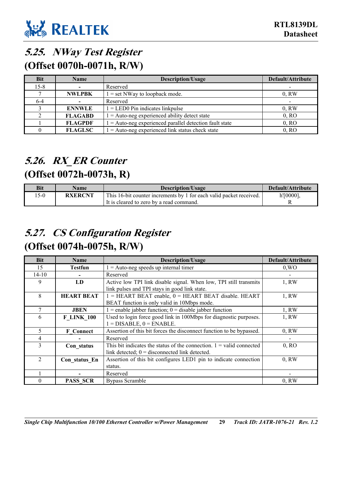

### <span id="page-34-0"></span>**5.25. NWay Test Register**

**(Offset 0070h-0071h, R/W)** 

| <b>Bit</b> | <b>Name</b>    | <b>Description/Usage</b>                                  | Default/Attribute        |
|------------|----------------|-----------------------------------------------------------|--------------------------|
| $15 - 8$   |                | Reserved                                                  |                          |
|            | <b>NWLPBK</b>  | $1 = set$ NWay to loopback mode.                          | 0, RW                    |
| 6-4        |                | Reserved                                                  | $\overline{\phantom{a}}$ |
|            | <b>ENNWLE</b>  | $1 =$ LED0 Pin indicates linkpulse                        | 0, RW                    |
|            | <b>FLAGABD</b> | $1 =$ Auto-neg experienced ability detect state           | 0, RO                    |
|            | <b>FLAGPDF</b> | $1 =$ Auto-neg experienced parallel detection fault state | 0, RO                    |
|            | <b>FLAGLSC</b> | $1 =$ Auto-neg experienced link status check state        | 0, RO                    |

### <span id="page-34-1"></span>**5.26. RX\_ER Counter**

### **(Offset 0072h-0073h, R)**

| Bit   | Name           | Description/Usage                                                   | Default/Attribute |
|-------|----------------|---------------------------------------------------------------------|-------------------|
| $5-0$ | <b>RXERCNT</b> | This 16-bit counter increments by 1 for each valid packet received. | $h'[0000]$ ,      |
|       |                | It is cleared to zero by a read command.                            |                   |

### <span id="page-34-2"></span>**5.27. CS Configuration Register (Offset 0074h-0075h, R/W)**

| Bit            | Name              | <b>Description/Usage</b>                                               | Default/Attribute |
|----------------|-------------------|------------------------------------------------------------------------|-------------------|
| 15             | <b>Testfun</b>    | $1 =$ Auto-neg speeds up internal timer                                | $0$ , WO          |
| $14 - 10$      |                   | Reserved                                                               |                   |
| 9              | LD                | Active low TPI link disable signal. When low, TPI still transmits      | 1, RW             |
|                |                   | link pulses and TPI stays in good link state.                          |                   |
| 8              | <b>HEART BEAT</b> | $1 = HEART BEAT enable$ , $0 = HEART BEAT disable$ . HEART             | 1, RW             |
|                |                   | BEAT function is only valid in 10Mbps mode.                            |                   |
|                | <b>JBEN</b>       | $1 =$ enable jabber function; $0 =$ disable jabber function            | 1. RW             |
| 6              | <b>F LINK 100</b> | Used to login force good link in 100Mbps for diagnostic purposes.      | 1, RW             |
|                |                   | $1 = DISABLE$ , $0 = ENABLE$ .                                         |                   |
| 5.             | <b>F</b> Connect  | Assertion of this bit forces the disconnect function to be bypassed.   | 0, RW             |
| 4              |                   | Reserved                                                               |                   |
| 3              | Con status        | This bit indicates the status of the connection. $1 =$ valid connected | 0, RO             |
|                |                   | link detected; $0 =$ disconnected link detected.                       |                   |
| $\mathfrak{D}$ | Con status En     | Assertion of this bit configures LED1 pin to indicate connection       | 0, RW             |
|                |                   | status.                                                                |                   |
|                |                   | Reserved                                                               |                   |
|                | <b>PASS SCR</b>   | <b>Bypass Scramble</b>                                                 | $0.$ RW           |

*Single Chip Multifunction 10/100 Ethernet Controller w/Power Management* **29** *Track ID: JATR-1076-21 Rev. 1.2*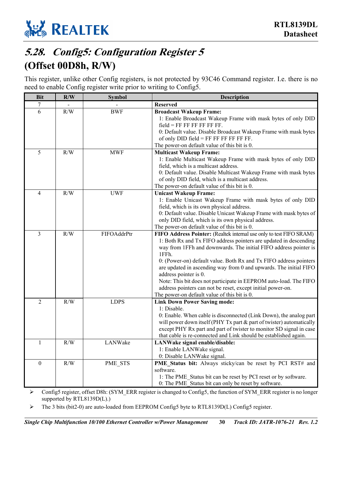

## <span id="page-35-0"></span>**5.28. Config5: Configuration Register 5 (Offset 00D8h, R/W)**

This register, unlike other Config registers, is not protected by 93C46 Command register. I.e. there is no need to enable Config register write prior to writing to Config5.

| <b>Bit</b>     | R/W | <b>Symbol</b> | Description                                                                                                                                                                                                                                                                                                                                                                                                                                                                                                                                                                  |
|----------------|-----|---------------|------------------------------------------------------------------------------------------------------------------------------------------------------------------------------------------------------------------------------------------------------------------------------------------------------------------------------------------------------------------------------------------------------------------------------------------------------------------------------------------------------------------------------------------------------------------------------|
| 7              |     |               | <b>Reserved</b>                                                                                                                                                                                                                                                                                                                                                                                                                                                                                                                                                              |
| 6              | R/W | <b>BWF</b>    | <b>Broadcast Wakeup Frame:</b><br>1: Enable Broadcast Wakeup Frame with mask bytes of only DID<br>$field = FF FF FF FF FF.$<br>0: Default value. Disable Broadcast Wakeup Frame with mask bytes<br>of only $DID$ field = $FF$ $FF$ $FF$ $FF$ $FF$ $FF$ .<br>The power-on default value of this bit is 0.                                                                                                                                                                                                                                                                     |
| 5              | R/W | <b>MWF</b>    | <b>Multicast Wakeup Frame:</b><br>1: Enable Multicast Wakeup Frame with mask bytes of only DID<br>field, which is a multicast address.<br>0: Default value. Disable Multicast Wakeup Frame with mask bytes<br>of only DID field, which is a multicast address.<br>The power-on default value of this bit is 0.                                                                                                                                                                                                                                                               |
| 4              | R/W | <b>UWF</b>    | <b>Unicast Wakeup Frame:</b><br>1: Enable Unicast Wakeup Frame with mask bytes of only DID<br>field, which is its own physical address.<br>0: Default value. Disable Unicast Wakeup Frame with mask bytes of<br>only DID field, which is its own physical address.<br>The power-on default value of this bit is 0.                                                                                                                                                                                                                                                           |
| 3              | R/W | FIFOAddrPtr   | FIFO Address Pointer: (Realtek internal use only to test FIFO SRAM)<br>1: Both Rx and Tx FIFO address pointers are updated in descending<br>way from 1FFh and downwards. The initial FIFO address pointer is<br>1FFh.<br>0: (Power-on) default value. Both Rx and Tx FIFO address pointers<br>are updated in ascending way from 0 and upwards. The initial FIFO<br>address pointer is 0.<br>Note: This bit does not participate in EEPROM auto-load. The FIFO<br>address pointers can not be reset, except initial power-on.<br>The power-on default value of this bit is 0. |
| $\overline{2}$ | R/W | <b>LDPS</b>   | <b>Link Down Power Saving mode:</b><br>1: Disable.<br>0: Enable. When cable is disconnected (Link Down), the analog part<br>will power down itself (PHY Tx part & part of twister) automatically<br>except PHY Rx part and part of twister to monitor SD signal in case<br>that cable is re-connected and Link should be established again.                                                                                                                                                                                                                                  |
| 1              | R/W | LANWake       | LANWake signal enable/disable:<br>1: Enable LANWake signal.<br>0: Disable LANWake signal.                                                                                                                                                                                                                                                                                                                                                                                                                                                                                    |
| $\Omega$       | R/W | PME_STS       | PME Status bit: Always sticky/can be reset by PCI RST# and<br>software.<br>1: The PME_Status bit can be reset by PCI reset or by software.<br>0: The PME Status bit can only be reset by software.                                                                                                                                                                                                                                                                                                                                                                           |

¾ Config5 register, offset D8h: (SYM\_ERR register is changed to Config5, the function of SYM\_ERR register is no longer supported by RTL8139D(L).)

¾ The 3 bits (bit2-0) are auto-loaded from EEPROM Config5 byte to RTL8139D(L) Config5 register.

*Single Chip Multifunction 10/100 Ethernet Controller w/Power Management* **30** *Track ID: JATR-1076-21 Rev. 1.2*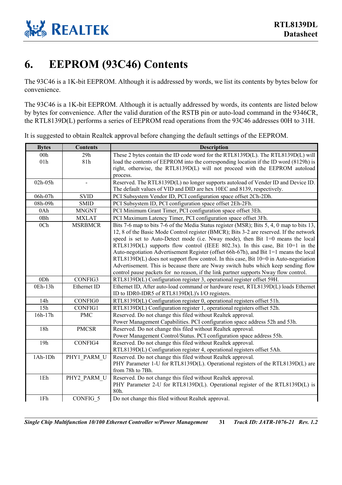

## <span id="page-36-0"></span>**6. EEPROM (93C46) Contents**

The 93C46 is a 1K-bit EEPROM. Although it is addressed by words, we list its contents by bytes below for convenience.

The 93C46 is a 1K-bit EEPROM. Although it is actually addressed by words, its contents are listed below by bytes for convenience. After the valid duration of the RSTB pin or auto-load command in the 9346CR, the RTL8139D(L) performs a series of EEPROM read operations from the 93C46 addresses 00H to 31H.

It is suggested to obtain Realtek approval before changing the default settings of the EEPROM.

| <b>Bytes</b>    | <b>Contents</b> | <b>Description</b>                                                                        |
|-----------------|-----------------|-------------------------------------------------------------------------------------------|
| 00h             | 29h             | These 2 bytes contain the ID code word for the RTL8139D(L). The RTL8139D(L) will          |
| 01h             | 81h             | load the contents of EEPROM into the corresponding location if the ID word (8129h) is     |
|                 |                 | right, otherwise, the RTL8139D(L) will not proceed with the EEPROM autoload               |
|                 |                 | process.                                                                                  |
| 02h-05h         |                 | Reserved. The RTL8139D(L) no longer supports autoload of Vender ID and Device ID.         |
|                 |                 | The default values of VID and DID are hex 10EC and 8139, respectively.                    |
| 06h-07h         | <b>SVID</b>     | PCI Subsystem Vendor ID, PCI configuration space offset 2Ch-2Dh.                          |
| 08h-09h         | <b>SMID</b>     | PCI Subsystem ID, PCI configuration space offset 2Eh-2Fh.                                 |
| 0Ah             | <b>MNGNT</b>    | PCI Minimum Grant Timer, PCI configuration space offset 3Eh.                              |
| 0Bh             | <b>MXLAT</b>    | PCI Maximum Latency Timer, PCI configuration space offset 3Fh.                            |
| 0 <sub>Ch</sub> | <b>MSRBMCR</b>  | Bits 7-6 map to bits 7-6 of the Media Status register (MSR); Bits 5, 4, 0 map to bits 13, |
|                 |                 | 12, 8 of the Basic Mode Control register (BMCR); Bits 3-2 are reserved. If the network    |
|                 |                 | speed is set to Auto-Detect mode (i.e. Nway mode), then Bit 1=0 means the local           |
|                 |                 | RTL8139D(L) supports flow control (IEEE 802.3x). In this case, Bit 10=1 in the            |
|                 |                 | Auto-negotiation Advertisement Register (offset 66h-67h), and Bit 1=1 means the local     |
|                 |                 | $RTL8139D(L)$ does not support flow control. In this case, Bit $10=0$ in Auto-negotiation |
|                 |                 | Advertisement. This is because there are Nway switch hubs which keep sending flow         |
|                 |                 | control pause packets for no reason, if the link partner supports Nway flow control.      |
| 0Dh             | CONFIG3         | RTL8139D(L) Configuration register 3, operational register offset 59H.                    |
| 0Eh-13h         | Ethernet ID     | Ethernet ID, After auto-load command or hardware reset, RTL8139D(L) loads Ethernet        |
|                 |                 | ID to IDR0-IDR5 of RTL8139D(L)'s I/O registers.                                           |
| 14h             | CONFIG0         | RTL8139D(L) Configuration register 0, operational registers offset 51h.                   |
| 15h             | CONFIG1         | RTL8139D(L) Configuration register 1, operational registers offset 52h.                   |
| $16h-17h$       | <b>PMC</b>      | Reserved. Do not change this filed without Realtek approval.                              |
|                 |                 | Power Management Capabilities. PCI configuration space address 52h and 53h.               |
| 18h             | <b>PMCSR</b>    | Reserved. Do not change this filed without Realtek approval.                              |
|                 |                 | Power Management Control/Status. PCI configuration space address 55h.                     |
| 19h             | CONFIG4         | Reserved. Do not change this filed without Realtek approval.                              |
|                 |                 | RTL8139D(L) Configuration register 4, operational registers offset 5Ah.                   |
| 1Ah-1Dh         | PHY1 PARM U     | Reserved. Do not change this filed without Realtek approval.                              |
|                 |                 | PHY Parameter 1-U for RTL8139D(L). Operational registers of the RTL8139D(L) are           |
|                 |                 | from 78h to 7Bh.                                                                          |
| 1Eh             | PHY2_PARM_U     | Reserved. Do not change this filed without Realtek approval.                              |
|                 |                 | PHY Parameter 2-U for RTL8139D(L). Operational register of the RTL8139D(L) is             |
|                 |                 | 80h.                                                                                      |
| 1Fh             | CONFIG 5        | Do not change this filed without Realtek approval.                                        |

*Single Chip Multifunction 10/100 Ethernet Controller w/Power Management* **31** *Track ID: JATR-1076-21 Rev. 1.2*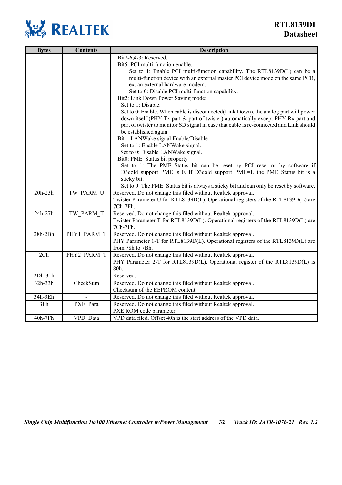

| <b>Bytes</b> | <b>Contents</b> | Description                                                                                                                                                                                                                                                                                                                                                                                                                                                                                                                                                                                                                                                                                                       |
|--------------|-----------------|-------------------------------------------------------------------------------------------------------------------------------------------------------------------------------------------------------------------------------------------------------------------------------------------------------------------------------------------------------------------------------------------------------------------------------------------------------------------------------------------------------------------------------------------------------------------------------------------------------------------------------------------------------------------------------------------------------------------|
|              |                 | Bit7-6,4-3: Reserved.<br>Bit5: PCI multi-function enable.<br>Set to 1: Enable PCI multi-function capability. The RTL8139D(L) can be a<br>multi-function device with an external master PCI device mode on the same PCB,<br>ex. an external hardware modem.<br>Set to 0: Disable PCI multi-function capability.<br>Bit2: Link Down Power Saving mode:<br>Set to 1: Disable.<br>Set to 0: Enable. When cable is disconnected (Link Down), the analog part will power<br>down itself (PHY Tx part & part of twister) automatically except PHY Rx part and<br>part of twister to monitor SD signal in case that cable is re-connected and Link should<br>be established again.<br>Bit1: LANWake signal Enable/Disable |
|              |                 | Set to 1: Enable LANWake signal.<br>Set to 0: Disable LANWake signal.<br>Bit0: PME Status bit property<br>Set to 1: The PME Status bit can be reset by PCI reset or by software if<br>D3cold support PME is 0. If D3cold support PME=1, the PME Status bit is a<br>sticky bit.<br>Set to 0: The PME_Status bit is always a sticky bit and can only be reset by software.                                                                                                                                                                                                                                                                                                                                          |
| 20h-23h      | TW PARM U       | Reserved. Do not change this filed without Realtek approval.<br>Twister Parameter U for RTL8139D(L). Operational registers of the RTL8139D(L) are<br>7Ch-7Fh.                                                                                                                                                                                                                                                                                                                                                                                                                                                                                                                                                     |
| 24h-27h      | TW PARM T       | Reserved. Do not change this filed without Realtek approval.<br>Twister Parameter T for RTL8139D(L). Operational registers of the RTL8139D(L) are<br>7Ch-7Fh.                                                                                                                                                                                                                                                                                                                                                                                                                                                                                                                                                     |
| $28h-2Bh$    | PHY1 PARM T     | Reserved. Do not change this filed without Realtek approval.<br>PHY Parameter 1-T for RTL8139D(L). Operational registers of the RTL8139D(L) are<br>from 78h to 7Bh.                                                                                                                                                                                                                                                                                                                                                                                                                                                                                                                                               |
| 2Ch          | PHY2 PARM T     | Reserved. Do not change this filed without Realtek approval.<br>PHY Parameter 2-T for RTL8139D(L). Operational register of the RTL8139D(L) is<br>80h.                                                                                                                                                                                                                                                                                                                                                                                                                                                                                                                                                             |
| $2Dh-31h$    |                 | Reserved.                                                                                                                                                                                                                                                                                                                                                                                                                                                                                                                                                                                                                                                                                                         |
| 32h-33h      | CheckSum        | Reserved. Do not change this filed without Realtek approval.<br>Checksum of the EEPROM content.                                                                                                                                                                                                                                                                                                                                                                                                                                                                                                                                                                                                                   |
| 34h-3Eh      |                 | Reserved. Do not change this filed without Realtek approval.                                                                                                                                                                                                                                                                                                                                                                                                                                                                                                                                                                                                                                                      |
| 3Fh          | PXE Para        | Reserved. Do not change this filed without Realtek approval.<br>PXE ROM code parameter.                                                                                                                                                                                                                                                                                                                                                                                                                                                                                                                                                                                                                           |
| 40h-7Fh      | VPD Data        | VPD data filed. Offset 40h is the start address of the VPD data.                                                                                                                                                                                                                                                                                                                                                                                                                                                                                                                                                                                                                                                  |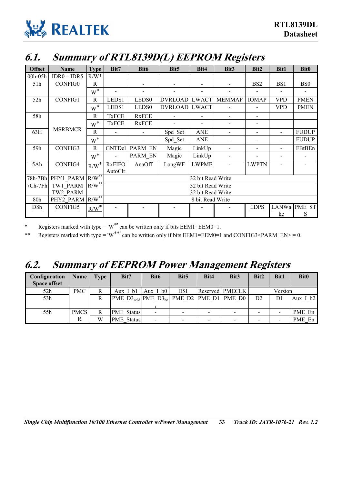

### <span id="page-38-0"></span>**6.1. Summary of RTL8139D(L) EEPROM Registers**

| <b>Offset</b> | Name            | <b>Type</b>      | Bit7                     | Bit <sub>6</sub>         | Bit <sub>5</sub> | Bit4              | Bit3                     | Bit2                     | Bit1                     | <b>Bit0</b>         |
|---------------|-----------------|------------------|--------------------------|--------------------------|------------------|-------------------|--------------------------|--------------------------|--------------------------|---------------------|
| 00h-05h       | $IDR0 - IDR5$   | $R/W^*$          |                          |                          |                  |                   |                          |                          |                          |                     |
| 51h           | <b>CONFIG0</b>  | R                |                          |                          |                  |                   |                          | BS <sub>2</sub>          | BS1                      | BS <sub>0</sub>     |
|               |                 | $W^*$            |                          |                          |                  |                   |                          |                          |                          |                     |
| 52h           | CONFIG1         | $\mathbf R$      | LEDS1                    | LEDS <sub>0</sub>        | DVRLOAD LWACT    |                   | <b>MEMMAP</b>            | <b>IOMAP</b>             | <b>VPD</b>               | <b>PMEN</b>         |
|               |                 | $W^*$            | LEDS1                    | LEDS <sub>0</sub>        | DVRLOAD LWACT    |                   |                          |                          | <b>VPD</b>               | <b>PMEN</b>         |
| 58h           |                 | R                | <b>TxFCE</b>             | <b>RxFCE</b>             |                  |                   | -                        | $\overline{\phantom{a}}$ |                          |                     |
|               |                 | $W^*$            | <b>TxFCE</b>             | <b>RxFCE</b>             |                  |                   | $\overline{a}$           |                          |                          |                     |
| 63H           | <b>MSRBMCR</b>  | R                |                          | $\blacksquare$           | Spd Set          | <b>ANE</b>        | $\overline{a}$           | $\overline{\phantom{a}}$ |                          | <b>FUDUP</b>        |
|               |                 | $W^*$            | $\overline{\phantom{a}}$ | $\overline{\phantom{0}}$ | Spd_Set          | <b>ANE</b>        | $\overline{\phantom{a}}$ | $\blacksquare$           |                          | <b>FUDUP</b>        |
| 59h           | CONFIG3         | R                | GNTDel                   | PARM EN                  | Magic            | LinkUp            |                          |                          |                          | FBtBEn              |
|               |                 | $W^*$            | $\blacksquare$           | PARM EN                  | Magic            | LinkUp            |                          |                          | $\overline{\phantom{a}}$ |                     |
| 5Ah           | CONFIG4         | $R/W^*$          | <b>RxFIFO</b>            | AnaOff                   | LongWF           | <b>LWPME</b>      |                          | <b>LWPTN</b>             |                          |                     |
|               |                 |                  | AutoClr                  |                          |                  |                   |                          |                          |                          |                     |
| 78h-7Bh       | PHY1 PARM       | $R/W^{\ast\ast}$ |                          |                          |                  | 32 bit Read Write |                          |                          |                          |                     |
| 7Ch-7Fh       | TW1 PARM        | $R/W^{\ast\ast}$ |                          | 32 bit Read Write        |                  |                   |                          |                          |                          |                     |
|               | TW2 PARM        |                  | 32 bit Read Write        |                          |                  |                   |                          |                          |                          |                     |
| 80h           | PHY2_PARM R/W** |                  | 8 bit Read Write         |                          |                  |                   |                          |                          |                          |                     |
| D8h           | <b>CONFIG5</b>  | $R/W^*$          |                          |                          |                  |                   |                          | <b>LDPS</b>              |                          | <b>LANWa PME ST</b> |
|               |                 |                  |                          |                          |                  |                   |                          |                          | ke                       | ${\bf S}$           |

\* Registers marked with type =  $W^*$  can be written only if bits EEM1=EEM0=1.

\*\* Registers marked with type = 'W<sup>\*\*'</sup> can be written only if bits EEM1=EEM0=1 and CONFIG3<PARM\_EN> = 0.

### <span id="page-38-1"></span>**6.2. Summary of EEPROM Power Management Registers**

| Configuration<br><b>Space offset</b> | <b>Name</b> | <b>Type</b> | Bit7                                                | Bit <sub>6</sub> | Bit <sub>5</sub> | Bit4 | Bit <sub>3</sub>  | Bit2 | <b>Bit1</b> | <b>Bit0</b> |
|--------------------------------------|-------------|-------------|-----------------------------------------------------|------------------|------------------|------|-------------------|------|-------------|-------------|
| 52h                                  | PMC         | R           | Aux I bl                                            | Aux I b0         | <b>DSI</b>       |      | Reserved   PMECLK |      | Version     |             |
| 53h                                  |             |             | PME $D3_{cold}$ PME $D3_{bol}$ PME D2 PME D1 PME D0 |                  |                  |      |                   | D2   | D1          | Aux I $b2$  |
|                                      |             |             |                                                     |                  |                  |      |                   |      |             |             |
| 55h                                  | <b>PMCS</b> | R           | <b>PME</b> Status                                   | $\blacksquare$   |                  |      | $\,$              |      |             | PME En      |
|                                      | R           | W           | <b>PME</b> Status                                   | ۰                |                  |      | $\,$              |      |             | PME En      |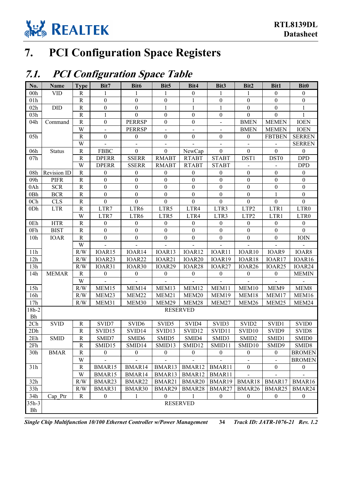

## <span id="page-39-0"></span>**7. PCI Configuration Space Registers**

### <span id="page-39-1"></span>**7.1. PCI Configuration Space Table**

| No.             | Name               | <b>Type</b>    | Bit7             | Bit6              | Bit <sub>5</sub> | Bit4               | Bit3                     | Bit2               | Bit1                     | <b>Bit0</b>       |
|-----------------|--------------------|----------------|------------------|-------------------|------------------|--------------------|--------------------------|--------------------|--------------------------|-------------------|
| 00h             | <b>VID</b>         | R              | 1                | 1                 | 1                | $\boldsymbol{0}$   | 1                        | 1                  | $\mathbf{0}$             | $\boldsymbol{0}$  |
| 01h             |                    | $\mathbf R$    | $\boldsymbol{0}$ | $\boldsymbol{0}$  | $\boldsymbol{0}$ | 1                  | $\boldsymbol{0}$         | $\boldsymbol{0}$   | $\boldsymbol{0}$         | $\boldsymbol{0}$  |
| 02h             | DID                | ${\bf R}$      | $\boldsymbol{0}$ | $\boldsymbol{0}$  | $\mathbf{1}$     | 1                  | 1                        | $\boldsymbol{0}$   | $\boldsymbol{0}$         | $\mathbf{1}$      |
| 03h             |                    | $\mathbf R$    | $\mathbf{1}$     | $\boldsymbol{0}$  | $\boldsymbol{0}$ | $\boldsymbol{0}$   | $\boldsymbol{0}$         | $\boldsymbol{0}$   | $\boldsymbol{0}$         |                   |
| 04h             | Command            | $\mathbf R$    | $\boldsymbol{0}$ | <b>PERRSP</b>     | $\boldsymbol{0}$ | $\boldsymbol{0}$   | $\overline{\phantom{a}}$ | <b>BMEN</b>        | <b>MEMEN</b>             | <b>IOEN</b>       |
|                 |                    | W              | $\blacksquare$   | <b>PERRSP</b>     |                  |                    |                          | <b>BMEN</b>        | <b>MEMEN</b>             | <b>IOEN</b>       |
| 05h             |                    | ${\bf R}$      | $\boldsymbol{0}$ | $\boldsymbol{0}$  | $\boldsymbol{0}$ | $\boldsymbol{0}$   | $\mathbf{0}$             | $\mathbf{0}$       | <b>FBTBEN</b>            | <b>SERREN</b>     |
|                 |                    | W              |                  |                   |                  |                    |                          |                    |                          | <b>SERREN</b>     |
| 06h             | <b>Status</b>      | ${\bf R}$      | <b>FBBC</b>      | $\boldsymbol{0}$  | $\boldsymbol{0}$ | NewCap             | $\boldsymbol{0}$         | $\boldsymbol{0}$   | $\overline{0}$           | $\boldsymbol{0}$  |
| 07h             |                    | $\mathbf R$    | <b>DPERR</b>     | <b>SSERR</b>      | <b>RMABT</b>     | <b>RTABT</b>       | <b>STABT</b>             | DST1               | DST <sub>0</sub>         | <b>DPD</b>        |
|                 |                    | W              | <b>DPERR</b>     | <b>SSERR</b>      | <b>RMABT</b>     | <b>RTABT</b>       | <b>STABT</b>             |                    |                          | <b>DPD</b>        |
| 08h             | <b>Revision ID</b> | ${\bf R}$      | $\boldsymbol{0}$ | $\boldsymbol{0}$  | $\boldsymbol{0}$ | $\boldsymbol{0}$   | $\boldsymbol{0}$         | $\boldsymbol{0}$   | $\boldsymbol{0}$         | $\boldsymbol{0}$  |
| 09h             | <b>PIFR</b>        | ${\bf R}$      | $\boldsymbol{0}$ | $\boldsymbol{0}$  | $\boldsymbol{0}$ | $\boldsymbol{0}$   | $\theta$                 | $\boldsymbol{0}$   | $\boldsymbol{0}$         | $\boldsymbol{0}$  |
| 0Ah             | <b>SCR</b>         | ${\bf R}$      | $\boldsymbol{0}$ | $\boldsymbol{0}$  | $\boldsymbol{0}$ | $\boldsymbol{0}$   | $\boldsymbol{0}$         | $\boldsymbol{0}$   | $\boldsymbol{0}$         | $\boldsymbol{0}$  |
| 0Bh             | <b>BCR</b>         | $\mathbf R$    | $\boldsymbol{0}$ | $\boldsymbol{0}$  | $\boldsymbol{0}$ | $\boldsymbol{0}$   | $\boldsymbol{0}$         | $\boldsymbol{0}$   |                          | $\boldsymbol{0}$  |
| 0 <sub>Ch</sub> | <b>CLS</b>         | ${\bf R}$      | $\boldsymbol{0}$ | $\boldsymbol{0}$  | $\mathbf{0}$     | $\boldsymbol{0}$   | $\boldsymbol{0}$         | $\boldsymbol{0}$   | $\boldsymbol{0}$         | $\boldsymbol{0}$  |
| 0Dh             | <b>LTR</b>         | $\mathbf R$    | LTR7             | LTR6              | LTR5             | LTR4               | LTR3                     | LTP2               | LTR1                     | LTR0              |
|                 |                    | W              | LTR7             | LTR6              | LTR5             | LTR4               | LTR3                     | LTP2               | LTR1                     | LTR <sub>0</sub>  |
| 0Eh             | <b>HTR</b>         | ${\bf R}$      | $\boldsymbol{0}$ | $\boldsymbol{0}$  | $\boldsymbol{0}$ | $\mathbf{0}$       | $\boldsymbol{0}$         | $\mathbf{0}$       | $\boldsymbol{0}$         | $\boldsymbol{0}$  |
| 0Fh             | <b>BIST</b>        | ${\bf R}$      | $\mathbf{0}$     | $\boldsymbol{0}$  | $\boldsymbol{0}$ | $\mathbf{0}$       | $\boldsymbol{0}$         | $\boldsymbol{0}$   | $\boldsymbol{0}$         | $\overline{0}$    |
| 10 <sub>h</sub> | <b>IOAR</b>        | $\mathbf R$    | $\boldsymbol{0}$ | $\boldsymbol{0}$  | $\boldsymbol{0}$ | $\boldsymbol{0}$   | $\boldsymbol{0}$         | $\boldsymbol{0}$   | $\boldsymbol{0}$         | IOIN              |
|                 |                    | W              |                  |                   |                  |                    |                          |                    |                          |                   |
| 11h             |                    | R/W            | IOAR15           | IOAR14            | IOAR13           | IOAR12             | IOAR11                   | IOAR10             | IOAR9                    | IOAR8             |
| 12h             |                    | R/W            | IOAR23           | IOAR22            | IOAR21           | IOAR <sub>20</sub> | IOAR19                   | IOAR18             | IOAR17                   | IOAR16            |
| 13h             |                    | R/W            | IOAR31           | IOAR30            | IOAR29           | IOAR28             | IOAR27                   | IOAR <sub>26</sub> | IOAR25                   | IOAR24            |
| 14h             | <b>MEMAR</b>       | ${\bf R}$      | $\boldsymbol{0}$ | $\boldsymbol{0}$  | $\boldsymbol{0}$ | $\boldsymbol{0}$   | $\boldsymbol{0}$         | $\boldsymbol{0}$   | $\boldsymbol{0}$         | <b>MEMIN</b>      |
|                 |                    | W              |                  |                   |                  |                    |                          |                    |                          |                   |
| 15h             |                    | R/W            | MEM15            | MEM14             | MEM13            | MEM12              | MEM11                    | MEM10              | MEM9                     | MEM8              |
| 16h             |                    | R/W            | MEM23            | MEM22             | MEM21            | MEM20              | MEM19                    | MEM18              | MEM17                    | MEM16             |
| 17h             |                    | R/W            | MEM31            | MEM30             | MEM29            | MEM28              | MEM27                    | MEM26              | MEM25                    | MEM24             |
| $18h-2$         |                    |                |                  |                   | <b>RESERVED</b>  |                    |                          |                    |                          |                   |
| <b>Bh</b>       |                    |                |                  |                   |                  |                    |                          |                    |                          |                   |
| 2Ch             | <b>SVID</b>        | ${\bf R}$      | SVID7            | SVID <sub>6</sub> | SVID5            | SVID4              | SVID3                    | SVID <sub>2</sub>  | SVID1                    | SVID <sub>0</sub> |
| 2Dh             |                    | $\overline{R}$ | SVID15           | SVID14            | SVID13           | SVID12             | SVID11                   | SVID10             | SVID9                    | SVID <sub>8</sub> |
| 2Eh             | <b>SMID</b>        | R              | SMID7            | SMID <sub>6</sub> | SMID5            | SMID4              | SMID3                    | SMID <sub>2</sub>  | SMID1                    | SMID <sub>0</sub> |
| 2Fh             |                    | R              | SMID15           | SMID14            | SMID13           | SMID12             | SMID11                   | SMID10             | SMID9                    | SMID <sub>8</sub> |
| 30 <sub>h</sub> | <b>BMAR</b>        | $\mathbb{R}$   | $\boldsymbol{0}$ | $\boldsymbol{0}$  | $\boldsymbol{0}$ | $\mathbf{0}$       | $\boldsymbol{0}$         | $\mathbf{0}$       | $\boldsymbol{0}$         | <b>BROMEN</b>     |
|                 |                    | W              |                  |                   |                  |                    |                          |                    | $\overline{\phantom{m}}$ | <b>BROMEN</b>     |
| 31h             |                    | R              | BMAR15           | BMAR14            | BMAR13           | BMAR12             | BMAR11                   | $\overline{0}$     | $\boldsymbol{0}$         | $\boldsymbol{0}$  |
|                 |                    | W              | BMAR15           | BMAR14            | BMAR13           | BMAR12             | BMAR11                   |                    |                          |                   |
| 32h             |                    | R/W            | BMAR23           | BMAR22            | BMAR21           | BMAR20             | BMAR19                   | BMAR18             | BMAR17                   | BMAR16            |
| 33h             |                    | R/W            | BMAR31           | BMAR30            | BMAR29           | BMAR28             | BMAR27                   | BMAR26             | BMAR25                   | BMAR24            |
| 34h             | Cap Ptr            | R              | $\boldsymbol{0}$ | 1                 | $\overline{0}$   |                    | $\boldsymbol{0}$         | $\boldsymbol{0}$   | $\boldsymbol{0}$         | $\boldsymbol{0}$  |
| $35h-3$         |                    |                |                  |                   | <b>RESERVED</b>  |                    |                          |                    |                          |                   |
| Bh              |                    |                |                  |                   |                  |                    |                          |                    |                          |                   |

*Single Chip Multifunction 10/100 Ethernet Controller w/Power Management* **34** *Track ID: JATR-1076-21 Rev. 1.2*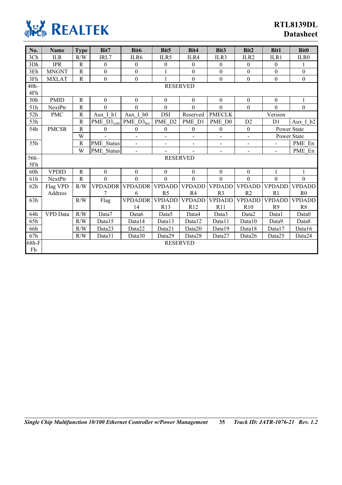

| No.     | <b>Name</b>     | <b>Type</b>  | Bit7                                      | Bit <sub>6</sub>             | Bit <sub>5</sub>         | Bit4             | Bit <sub>3</sub>         | Bit2             | <b>Bit1</b>      | <b>Bit0</b>      |
|---------|-----------------|--------------|-------------------------------------------|------------------------------|--------------------------|------------------|--------------------------|------------------|------------------|------------------|
| 3Ch     | <b>ILR</b>      | R/W          | IRL7                                      | ILR6                         | ILR5                     | ILR4             | ILR3                     | ILR <sub>2</sub> | ILR1             | ILR0             |
| 3Dh     | <b>IPR</b>      | $\mathbb{R}$ | $\mathbf{0}$                              | $\mathbf{0}$                 | $\theta$                 | $\boldsymbol{0}$ | $\mathbf{0}$             | $\overline{0}$   | $\mathbf{0}$     |                  |
| 3Eh     | <b>MNGNT</b>    | $\mathbf R$  | $\boldsymbol{0}$                          | $\boldsymbol{0}$             |                          | $\boldsymbol{0}$ | $\boldsymbol{0}$         | $\boldsymbol{0}$ | $\boldsymbol{0}$ | $\boldsymbol{0}$ |
| 3Fh     | <b>MXLAT</b>    | $\mathbf R$  | $\boldsymbol{0}$                          | $\boldsymbol{0}$             | 1                        | $\mathbf{0}$     | $\boldsymbol{0}$         | $\boldsymbol{0}$ | $\boldsymbol{0}$ | $\boldsymbol{0}$ |
| $40h -$ |                 |              |                                           |                              | <b>RESERVED</b>          |                  |                          |                  |                  |                  |
| 4Fh     |                 |              |                                           |                              |                          |                  |                          |                  |                  |                  |
| 50h     | <b>PMID</b>     | ${\bf R}$    | $\boldsymbol{0}$                          | $\boldsymbol{0}$             | $\boldsymbol{0}$         | $\boldsymbol{0}$ | $\boldsymbol{0}$         | $\boldsymbol{0}$ | $\boldsymbol{0}$ | $\mathbf{1}$     |
| 51h     | NextPtr         | R            | $\theta$                                  | $\mathbf{0}$                 | $\mathbf{0}$             | $\overline{0}$   | $\overline{0}$           | $\boldsymbol{0}$ | $\overline{0}$   | $\mathbf{0}$     |
| 52h     | <b>PMC</b>      | ${\bf R}$    | Aux I bl                                  | Aux I b0                     | <b>DSI</b>               | Reserved         | <b>PMECLK</b>            |                  | Version          |                  |
| 53h     |                 | $\mathbf R$  | $\overline{\text{PME\_D3}_{\text{cold}}}$ | $PME_D3_{hot}$               | PME D2                   | PME D1           | PME D0                   | D2               | D1               | Aux I b2         |
| 54h     | <b>PMCSR</b>    | $\mathbb{R}$ | $\boldsymbol{0}$                          | $\boldsymbol{0}$             | $\boldsymbol{0}$         | $\boldsymbol{0}$ | $\boldsymbol{0}$         | $\boldsymbol{0}$ | Power State      |                  |
|         |                 | W            |                                           | $\overline{a}$               | $\overline{a}$           | $\overline{a}$   | $\overline{a}$           | $\overline{a}$   | Power State      |                  |
| 55h     |                 | $\mathbf R$  | <b>PME</b> Status                         | $\overline{\phantom{0}}$     | $\overline{\phantom{0}}$ | $\overline{a}$   | $\overline{\phantom{a}}$ | $\overline{a}$   | $\blacksquare$   | PME En           |
|         |                 | W            | <b>PME</b> Status                         | $\qquad \qquad \blacksquare$ |                          |                  | $\overline{\phantom{0}}$ | $\blacksquare$   | $\blacksquare$   | PME En           |
| $56h-$  |                 |              |                                           |                              | <b>RESERVED</b>          |                  |                          |                  |                  |                  |
| 5Fh     |                 |              |                                           |                              |                          |                  |                          |                  |                  |                  |
| 60h     | <b>VPDID</b>    | $\mathbb{R}$ | $\theta$                                  | $\boldsymbol{0}$             | $\boldsymbol{0}$         | $\boldsymbol{0}$ | $\boldsymbol{0}$         | $\boldsymbol{0}$ | 1                |                  |
| 61h     | NextPtr         | $\mathbf R$  | $\mathbf{0}$                              | $\mathbf{0}$                 | $\mathbf{0}$             | $\mathbf{0}$     | $\mathbf{0}$             | $\mathbf{0}$     | $\mathbf{0}$     | $\boldsymbol{0}$ |
| 62h     | Flag VPD        | R/W          | <b>VPDADDR</b>                            | <b>VPDADDR</b>               | <b>VPDADD</b>            | <b>VPDADD</b>    | <b>VPDADD</b>            | <b>VPDADD</b>    | <b>VPDADD</b>    | <b>VPDADD</b>    |
|         | Address         |              | 7                                         | 6                            | R <sub>5</sub>           | R <sub>4</sub>   | R <sub>3</sub>           | R <sub>2</sub>   | R1               | R <sub>0</sub>   |
| 63h     |                 | R/W          | Flag                                      | <b>VPDADDR</b>               | <b>VPDADD</b>            | <b>VPDADD</b>    | <b>VPDADD</b>            | <b>VPDADD</b>    | <b>VPDADD</b>    | <b>VPDADD</b>    |
|         |                 |              |                                           | 14                           | R13                      | R12              | R11                      | R10              | R <sub>9</sub>   | R8               |
| 64h     | <b>VPD</b> Data | R/W          | Data7                                     | Data6                        | Data <sub>5</sub>        | Data4            | Data3                    | Data2            | Datal            | Data0            |
| 65h     |                 | R/W          | Data15                                    | Data14                       | Data13                   | Data12           | Data11                   | Data10           | Data9            | Data8            |
| 66h     |                 | R/W          | Data23                                    | Data22                       | Data21                   | Data20           | Data19                   | Data18           | Data17           | Data16           |
| 67h     |                 | R/W          | Data31                                    | Data30                       | Data29                   | Data28           | Data27                   | Data26           | Data25           | Data24           |
| 68h-F   |                 |              |                                           |                              | <b>RESERVED</b>          |                  |                          |                  |                  |                  |
| Fh      |                 |              |                                           |                              |                          |                  |                          |                  |                  |                  |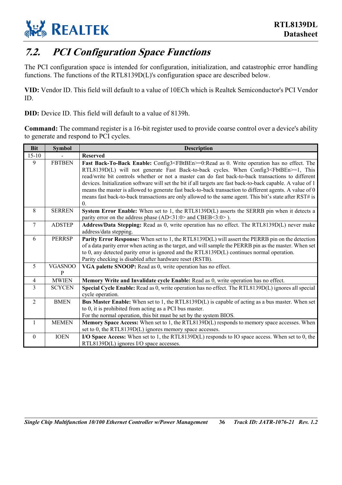

### <span id="page-41-0"></span>**7.2. PCI Configuration Space Functions**

The PCI configuration space is intended for configuration, initialization, and catastrophic error handling functions. The functions of the RTL8139D(L)'s configuration space are described below.

**VID:** Vendor ID. This field will default to a value of 10ECh which is Realtek Semiconductor's PCI Vendor ID.

**DID:** Device ID. This field will default to a value of 8139h.

**Command:** The command register is a 16-bit register used to provide coarse control over a device's ability to generate and respond to PCI cycles.

| <b>Bit</b>     | <b>Symbol</b>       | <b>Description</b>                                                                                                                                                                                    |
|----------------|---------------------|-------------------------------------------------------------------------------------------------------------------------------------------------------------------------------------------------------|
| $15 - 10$      |                     | <b>Reserved</b>                                                                                                                                                                                       |
| 9              | <b>FBTBEN</b>       | Fast Back-To-Back Enable: Config3 <fbtben>=0:Read as 0. Write operation has no effect. The</fbtben>                                                                                                   |
|                |                     | RTL8139D(L) will not generate Fast Back-to-back cycles. When Config3 <fbtben>=1, This<br/>read/write bit controls whether or not a master can do fast back-to-back transactions to different</fbtben> |
|                |                     | devices. Initialization software will set the bit if all targets are fast back-to-back capable. A value of 1                                                                                          |
|                |                     | means the master is allowed to generate fast back-to-back transaction to different agents. A value of 0                                                                                               |
|                |                     | means fast back-to-back transactions are only allowed to the same agent. This bit's state after RST# is                                                                                               |
|                |                     | $\Omega$ .                                                                                                                                                                                            |
| 8              | <b>SERREN</b>       | System Error Enable: When set to 1, the RTL8139D(L) asserts the SERRB pin when it detects a                                                                                                           |
|                |                     | parity error on the address phase (AD<31:0> and CBEB<3:0>).                                                                                                                                           |
| 7              | <b>ADSTEP</b>       | Address/Data Stepping: Read as 0, write operation has no effect. The RTL8139D(L) never make                                                                                                           |
|                |                     | address/data stepping.                                                                                                                                                                                |
| 6              | <b>PERRSP</b>       | Parity Error Response: When set to 1, the RTL8139D(L) will assert the PERRB pin on the detection                                                                                                      |
|                |                     | of a data parity error when acting as the target, and will sample the PERRB pin as the master. When set                                                                                               |
|                |                     | to 0, any detected parity error is ignored and the RTL8139D( $L$ ) continues normal operation.<br>Parity checking is disabled after hardware reset (RSTB).                                            |
|                |                     |                                                                                                                                                                                                       |
| 5              | <b>VGASNOO</b><br>P | VGA palette SNOOP: Read as 0, write operation has no effect.                                                                                                                                          |
| $\overline{4}$ | <b>MWIEN</b>        | Memory Write and Invalidate cycle Enable: Read as 0, write operation has no effect.                                                                                                                   |
| $\overline{3}$ | <b>SCYCEN</b>       | Special Cycle Enable: Read as 0, write operation has no effect. The RTL8139D(L) ignores all special                                                                                                   |
|                |                     | cycle operation.                                                                                                                                                                                      |
| $\overline{2}$ | <b>BMEN</b>         | Bus Master Enable: When set to 1, the RTL8139D(L) is capable of acting as a bus master. When set                                                                                                      |
|                |                     | to 0, it is prohibited from acting as a PCI bus master.                                                                                                                                               |
|                |                     | For the normal operation, this bit must be set by the system BIOS.                                                                                                                                    |
| $\mathbf{1}$   | <b>MEMEN</b>        | Memory Space Access: When set to 1, the RTL8139D(L) responds to memory space accesses. When                                                                                                           |
|                |                     | set to 0, the RTL8139D(L) ignores memory space accesses.                                                                                                                                              |
| $\theta$       | <b>IOEN</b>         | I/O Space Access: When set to 1, the RTL8139D(L) responds to IO space access. When set to 0, the                                                                                                      |
|                |                     | RTL8139D(L) ignores I/O space accesses.                                                                                                                                                               |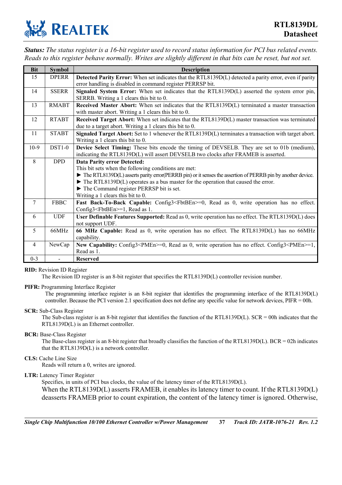

*Status: The status register is a 16-bit register used to record status information for PCI bus related events. Reads to this register behave normally. Writes are slightly different in that bits can be reset, but not set.* 

| <b>Bit</b>     | <b>Symbol</b>  | <b>Description</b>                                                                                                                                                                                                                                                                                                                                                                                  |
|----------------|----------------|-----------------------------------------------------------------------------------------------------------------------------------------------------------------------------------------------------------------------------------------------------------------------------------------------------------------------------------------------------------------------------------------------------|
| 15             | <b>DPERR</b>   | Detected Parity Error: When set indicates that the RTL8139D(L) detected a parity error, even if parity<br>error handling is disabled in command register PERRSP bit.                                                                                                                                                                                                                                |
| 14             | <b>SSERR</b>   | Signaled System Error: When set indicates that the RTL8139D(L) asserted the system error pin,<br>SERRB. Writing a 1 clears this bit to 0.                                                                                                                                                                                                                                                           |
| 13             | <b>RMABT</b>   | Received Master Abort: When set indicates that the RTL8139D(L) terminated a master transaction<br>with master abort. Writing a 1 clears this bit to 0.                                                                                                                                                                                                                                              |
| 12             | <b>RTABT</b>   | Received Target Abort: When set indicates that the RTL8139D(L) master transaction was terminated<br>due to a target abort. Writing a 1 clears this bit to 0.                                                                                                                                                                                                                                        |
| 11             | <b>STABT</b>   | Signaled Target Abort: Set to 1 whenever the RTL8139D(L) terminates a transaction with target abort.<br>Writing a 1 clears this bit to $0$ .                                                                                                                                                                                                                                                        |
| $10-9$         | <b>DST1-0</b>  | Device Select Timing: These bits encode the timing of DEVSELB. They are set to 01b (medium),<br>indicating the RTL8139D(L) will assert DEVSELB two clocks after FRAMEB is asserted.                                                                                                                                                                                                                 |
| 8              | <b>DPD</b>     | <b>Data Parity error Detected:</b><br>This bit sets when the following conditions are met:<br>The RTL8139D(L) asserts parity error(PERRB pin) or it senses the assertion of PERRB pin by another device.<br>$\blacktriangleright$ The RTL8139D(L) operates as a bus master for the operation that caused the error.<br>The Command register PERRSP bit is set.<br>Writing a 1 clears this bit to 0. |
| $\overline{7}$ | <b>FBBC</b>    | Fast Back-To-Back Capable: Config3 <fbtben>=0, Read as 0, write operation has no effect.<br/>Config3<fbtben>=1, Read as 1.</fbtben></fbtben>                                                                                                                                                                                                                                                        |
| 6              | <b>UDF</b>     | User Definable Features Supported: Read as 0, write operation has no effect. The RTL8139D(L) does<br>not support UDF.                                                                                                                                                                                                                                                                               |
| 5              | 66MHz          | 66 MHz Capable: Read as 0, write operation has no effect. The RTL8139D(L) has no 66MHz<br>capability.                                                                                                                                                                                                                                                                                               |
| $\overline{4}$ | NewCap         | New Capability: Config3 <pmen>=0, Read as 0, write operation has no effect. Config3<pmen>=1,<br/>Read as 1.</pmen></pmen>                                                                                                                                                                                                                                                                           |
| $0 - 3$        | $\overline{a}$ | <b>Reserved</b>                                                                                                                                                                                                                                                                                                                                                                                     |

#### **RID:** Revision ID Register

The Revision ID register is an 8-bit register that specifies the RTL8139D(L) controller revision number.

#### **PIFR:** Programming Interface Register

The programming interface register is an 8-bit register that identifies the programming interface of the RTL8139D(L) controller. Because the PCI version 2.1 specification does not define any specific value for network devices, PIFR = 00h.

#### **SCR:** Sub-Class Register

The Sub-class register is an 8-bit register that identifies the function of the RTL8139D(L). SCR = 00h indicates that the RTL8139D(L) is an Ethernet controller.

#### **BCR:** Base-Class Register

The Base-class register is an 8-bit register that broadly classifies the function of the RTL8139D(L). BCR = 02h indicates that the RTL8139D(L) is a network controller.

#### **CLS:** Cache Line Size

Reads will return a 0, writes are ignored.

#### **LTR:** Latency Timer Register

Specifies, in units of PCI bus clocks, the value of the latency timer of the RTL8139D(L).

When the RTL8139D(L) asserts FRAMEB, it enables its latency timer to count. If the RTL8139D(L) deasserts FRAMEB prior to count expiration, the content of the latency timer is ignored. Otherwise,

*Single Chip Multifunction 10/100 Ethernet Controller w/Power Management* **37** *Track ID: JATR-1076-21 Rev. 1.2*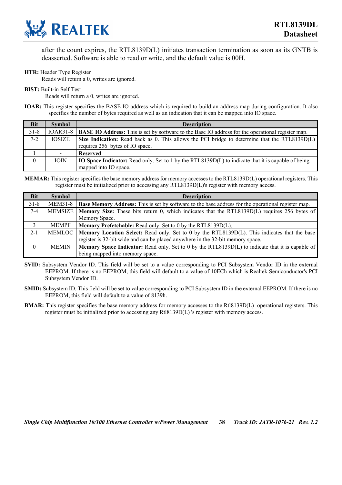

after the count expires, the RTL8139D(L) initiates transaction termination as soon as its GNTB is deasserted. Software is able to read or write, and the default value is 00H.

#### **HTR:** Header Type Register

Reads will return a 0, writes are ignored.

**BIST:** Built-in Self Test

Reads will return a 0, writes are ignored.

**IOAR:** This register specifies the BASE IO address which is required to build an address map during configuration. It also specifies the number of bytes required as well as an indication that it can be mapped into IO space.

| <b>Bit</b> | <b>Symbol</b>  | <b>Description</b>                                                                                                  |
|------------|----------------|---------------------------------------------------------------------------------------------------------------------|
| $31 - 8$   |                | IOAR31-8   <b>BASE IO Address:</b> This is set by software to the Base IO address for the operational register map. |
| $7 - 2$    | <b>IOSIZE</b>  | Size Indication: Read back as 0. This allows the PCI bridge to determine that the RTL8139D $(L)$                    |
|            |                | requires 256 bytes of IO space.                                                                                     |
|            | $\blacksquare$ | <b>Reserved</b>                                                                                                     |
| $\theta$   | <b>IOIN</b>    | IO Space Indicator: Read only. Set to 1 by the RTL8139D(L) to indicate that it is capable of being                  |
|            |                | mapped into IO space.                                                                                               |

**MEMAR:** This register specifies the base memory address for memory accesses to the RTL8139D(L) operational registers. This register must be initialized prior to accessing any RTL8139D(L)'s register with memory access.

| <b>Bit</b> | <b>Symbol</b>  | <b>Description</b>                                                                                        |
|------------|----------------|-----------------------------------------------------------------------------------------------------------|
| $31 - 8$   | <b>MEM31-8</b> | <b>Base Memory Address:</b> This is set by software to the base address for the operational register map. |
| $7 - 4$    |                | MEMSIZE   Memory Size: These bits return 0, which indicates that the RTL8139D(L) requires 256 bytes of    |
|            |                | Memory Space.                                                                                             |
| 3          | <b>MEMPF</b>   | Memory Prefetchable: Read only. Set to 0 by the RTL8139D(L).                                              |
| $2 - 1$    | MEMLOC         | Memory Location Select: Read only. Set to 0 by the RTL8139D(L). This indicates that the base              |
|            |                | register is 32-bit wide and can be placed anywhere in the 32-bit memory space.                            |
| $\theta$   | <b>MEMIN</b>   | <b>Memory Space Indicator:</b> Read only. Set to 0 by the RTL8139D(L) to indicate that it is capable of   |
|            |                | being mapped into memory space.                                                                           |

- **SVID:** Subsystem Vendor ID. This field will be set to a value corresponding to PCI Subsystem Vendor ID in the external EEPROM. If there is no EEPROM, this field will default to a value of 10ECh which is Realtek Semiconductor's PCI Subsystem Vendor ID.
- **SMID:** Subsystem ID. This field will be set to value corresponding to PCI Subsystem ID in the external EEPROM. If there is no EEPROM, this field will default to a value of 8139h.
- **BMAR:** This register specifies the base memory address for memory accesses to the Rtl8139D(L) operational registers. This register must be initialized prior to accessing any Rtl8139D(L) 's register with memory access.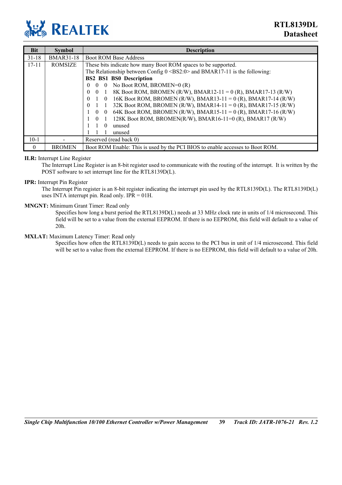

| <b>Bit</b> | <b>Symbol</b>    | <b>Description</b>                                                                     |
|------------|------------------|----------------------------------------------------------------------------------------|
| $31 - 18$  | <b>BMAR31-18</b> | <b>Boot ROM Base Address</b>                                                           |
| $17 - 11$  | <b>ROMSIZE</b>   | These bits indicate how many Boot ROM spaces to be supported.                          |
|            |                  | The Relationship between Config $0 \leq BS2:0$ and BMAR17-11 is the following:         |
|            |                  | <b>BS2 BS1 BS0 Description</b>                                                         |
|            |                  | No Boot ROM, BROMEN=0 (R)<br>0<br>$\theta$<br>$\theta$                                 |
|            |                  | 8K Boot ROM, BROMEN (R/W), BMAR12-11 = 0 (R), BMAR17-13 (R/W)<br>$\Omega$<br>$\Omega$  |
|            |                  | 16K Boot ROM, BROMEN (R/W), BMAR13-11 = 0 (R), BMAR17-14 (R/W)<br>$\Omega$<br>$\theta$ |
|            |                  | 32K Boot ROM, BROMEN (R/W), BMAR14-11 = 0 (R), BMAR17-15 (R/W)<br>$\theta$             |
|            |                  | 64K Boot ROM, BROMEN (R/W), BMAR15-11 = 0 (R), BMAR17-16 (R/W)<br>$\theta$<br>$\theta$ |
|            |                  | 128K Boot ROM, BROMEN(R/W), BMAR16-11=0 (R), BMAR17 (R/W)<br>$\theta$                  |
|            |                  | unused<br>$\Omega$                                                                     |
|            |                  | unused                                                                                 |
| $10-1$     |                  | Reserved (read back 0)                                                                 |
| $\theta$   | <b>BROMEN</b>    | Boot ROM Enable: This is used by the PCI BIOS to enable accesses to Boot ROM.          |

#### **ILR:** Interrupt Line Register

The Interrupt Line Register is an 8-bit register used to communicate with the routing of the interrupt. It is written by the POST software to set interrupt line for the RTL8139D(L).

#### **IPR:** Interrupt Pin Register

The Interrupt Pin register is an 8-bit register indicating the interrupt pin used by the RTL8139D(L). The RTL8139D(L) uses INTA interrupt pin. Read only.  $IPR = 01H$ .

#### **MNGNT:** Minimum Grant Timer: Read only

Specifies how long a burst period the RTL8139D(L) needs at 33 MHz clock rate in units of 1/4 microsecond. This field will be set to a value from the external EEPROM. If there is no EEPROM, this field will default to a value of 20h.

#### **MXLAT:** Maximum Latency Timer: Read only

Specifies how often the RTL8139D(L) needs to gain access to the PCI bus in unit of 1/4 microsecond. This field will be set to a value from the external EEPROM. If there is no EEPROM, this field will default to a value of 20h.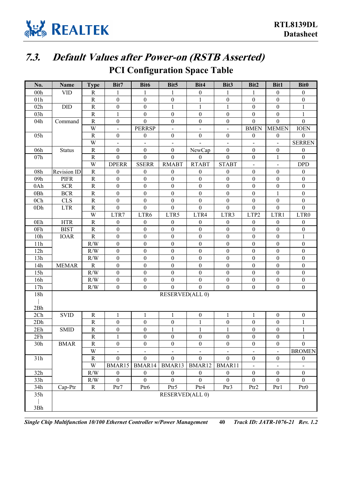

## <span id="page-45-0"></span>**7.3. Default Values after Power-on (RSTB Asserted)**

### **PCI Configuration Space Table**

| No.             | <b>Name</b>   | <b>Type</b>          | Bit7                               | Bit6                                 | Bit <sub>5</sub>                 | Bit4                             | Bit3                             | Bit2                                 | Bit1                                         | <b>Bit0</b>                        |
|-----------------|---------------|----------------------|------------------------------------|--------------------------------------|----------------------------------|----------------------------------|----------------------------------|--------------------------------------|----------------------------------------------|------------------------------------|
| 00h             | <b>VID</b>    | $\mathbb{R}$         | 1                                  | 1                                    | 1                                | $\boldsymbol{0}$                 | 1                                | 1                                    | $\boldsymbol{0}$                             | $\mathbf{0}$                       |
| 01h             |               | ${\bf R}$            | $\boldsymbol{0}$                   | $\boldsymbol{0}$                     | $\boldsymbol{0}$                 | $\mathbf{1}$                     | $\boldsymbol{0}$                 | $\boldsymbol{0}$                     | $\boldsymbol{0}$                             | $\boldsymbol{0}$                   |
| 02h             | <b>DID</b>    | ${\bf R}$            | $\boldsymbol{0}$                   | $\boldsymbol{0}$                     | $\mathbf{1}$                     | $\mathbf{1}$                     | 1                                | $\boldsymbol{0}$                     | $\boldsymbol{0}$                             | 1                                  |
| 03h             |               | $\mathbf R$          | $\mathbf{1}$                       | $\boldsymbol{0}$                     | $\boldsymbol{0}$                 | $\boldsymbol{0}$                 | $\boldsymbol{0}$                 | $\boldsymbol{0}$                     | $\boldsymbol{0}$                             | 1                                  |
| 04h             | Command       | ${\bf R}$            | $\boldsymbol{0}$                   | $\overline{0}$                       | $\boldsymbol{0}$                 | $\boldsymbol{0}$                 | $\boldsymbol{0}$                 | $\boldsymbol{0}$                     | $\boldsymbol{0}$                             | $\theta$                           |
|                 |               | W                    | $\overline{\phantom{a}}$           | <b>PERRSP</b>                        | $\overline{\phantom{a}}$         | $\blacksquare$                   | $\overline{\phantom{a}}$         | <b>BMEN</b>                          | <b>MEMEN</b>                                 | <b>IOEN</b>                        |
| 05h             |               | ${\bf R}$            | $\boldsymbol{0}$                   | $\boldsymbol{0}$                     | $\boldsymbol{0}$                 | $\boldsymbol{0}$                 | $\boldsymbol{0}$                 | $\boldsymbol{0}$                     | $\boldsymbol{0}$                             | $\mathbf{0}$                       |
|                 |               | W                    | $\overline{\phantom{0}}$           | $\blacksquare$                       | $\overline{\phantom{a}}$         |                                  | $\blacksquare$                   |                                      |                                              | <b>SERREN</b>                      |
| 06h             | <b>Status</b> | ${\bf R}$            | $\boldsymbol{0}$                   | $\boldsymbol{0}$                     | $\boldsymbol{0}$                 | NewCap                           | $\boldsymbol{0}$                 | $\boldsymbol{0}$                     | $\boldsymbol{0}$                             | $\boldsymbol{0}$                   |
| 07h             |               | ${\bf R}$            | $\boldsymbol{0}$                   | $\boldsymbol{0}$                     | $\overline{0}$                   | $\theta$                         | $\theta$                         | $\boldsymbol{0}$                     | $\mathbf{1}$                                 | $\theta$                           |
|                 |               | W                    | <b>DPERR</b>                       | <b>SSERR</b>                         | <b>RMABT</b>                     | <b>RTABT</b>                     | <b>STABT</b>                     | $\blacksquare$                       | $\blacksquare$                               | <b>DPD</b>                         |
| 08h             | Revision ID   | ${\bf R}$            | $\boldsymbol{0}$                   | $\boldsymbol{0}$                     | $\boldsymbol{0}$                 | $\boldsymbol{0}$                 | $\boldsymbol{0}$                 | $\boldsymbol{0}$                     | $\boldsymbol{0}$                             | $\boldsymbol{0}$                   |
| 09h             | <b>PIFR</b>   | $\mathbb{R}$         | $\boldsymbol{0}$                   | $\boldsymbol{0}$                     | $\boldsymbol{0}$                 | $\boldsymbol{0}$                 | $\boldsymbol{0}$                 | $\boldsymbol{0}$                     | $\boldsymbol{0}$                             | $\boldsymbol{0}$                   |
| 0Ah             | <b>SCR</b>    | ${\bf R}$            | $\boldsymbol{0}$                   | $\boldsymbol{0}$                     | $\boldsymbol{0}$                 | $\boldsymbol{0}$                 | $\boldsymbol{0}$                 | $\boldsymbol{0}$                     | $\boldsymbol{0}$                             | $\mathbf{0}$                       |
| 0Bh             | <b>BCR</b>    | ${\bf R}$            | $\boldsymbol{0}$                   | $\boldsymbol{0}$                     | $\boldsymbol{0}$                 | $\boldsymbol{0}$                 | $\boldsymbol{0}$                 | $\boldsymbol{0}$                     | $\mathbf{1}$                                 | $\boldsymbol{0}$                   |
| 0 <sub>Ch</sub> | <b>CLS</b>    | ${\bf R}$            | $\boldsymbol{0}$                   | $\boldsymbol{0}$                     | $\boldsymbol{0}$                 | $\boldsymbol{0}$                 | $\boldsymbol{0}$                 | $\boldsymbol{0}$                     | $\boldsymbol{0}$                             | $\boldsymbol{0}$                   |
| 0Dh             | <b>LTR</b>    | $\mathbb{R}$         | $\boldsymbol{0}$                   | $\boldsymbol{0}$                     | $\boldsymbol{0}$                 | $\overline{0}$                   | $\boldsymbol{0}$                 | $\mathbf{0}$                         | $\boldsymbol{0}$                             | $\theta$                           |
|                 |               | W                    | LTR7                               | LTR6                                 | LTR5                             | LTR4                             | LTR3                             | LTP2                                 | LTR1                                         | LTR0                               |
| 0Eh             | <b>HTR</b>    | ${\bf R}$            | $\boldsymbol{0}$                   | $\boldsymbol{0}$                     | $\boldsymbol{0}$                 | $\boldsymbol{0}$                 | $\boldsymbol{0}$                 | $\boldsymbol{0}$                     | $\boldsymbol{0}$                             | $\mathbf{0}$                       |
| 0Fh             | <b>BIST</b>   | ${\bf R}$            | $\boldsymbol{0}$                   | $\boldsymbol{0}$                     | $\theta$                         | $\theta$                         | $\theta$                         | $\boldsymbol{0}$                     | $\boldsymbol{0}$                             | $\mathbf{0}$                       |
| 10h             | <b>IOAR</b>   | $\mathbb{R}$         | $\mathbf{0}$                       | $\boldsymbol{0}$                     | $\overline{0}$                   | $\boldsymbol{0}$                 | $\theta$                         | $\boldsymbol{0}$                     | $\boldsymbol{0}$                             | 1                                  |
| 11h             |               | R/W                  | $\boldsymbol{0}$                   | $\boldsymbol{0}$                     | $\boldsymbol{0}$                 | $\boldsymbol{0}$                 | $\boldsymbol{0}$                 | $\boldsymbol{0}$                     | $\boldsymbol{0}$                             | $\mathbf{0}$                       |
| 12h             |               | R/W                  | $\boldsymbol{0}$                   | $\boldsymbol{0}$                     | $\boldsymbol{0}$                 | $\boldsymbol{0}$                 | $\boldsymbol{0}$                 | $\boldsymbol{0}$                     | $\boldsymbol{0}$                             | $\boldsymbol{0}$                   |
| 13h             |               | R/W                  | $\boldsymbol{0}$                   | $\boldsymbol{0}$                     | $\boldsymbol{0}$                 | $\boldsymbol{0}$                 | $\boldsymbol{0}$                 | $\boldsymbol{0}$                     | $\boldsymbol{0}$                             | $\boldsymbol{0}$                   |
| 14h             | <b>MEMAR</b>  | ${\bf R}$            | $\boldsymbol{0}$                   | $\boldsymbol{0}$                     | $\boldsymbol{0}$                 | $\boldsymbol{0}$                 | $\boldsymbol{0}$                 | $\boldsymbol{0}$                     | $\boldsymbol{0}$                             | $\mathbf{0}$                       |
| 15h             |               | R/W                  | $\boldsymbol{0}$                   | $\boldsymbol{0}$                     | $\boldsymbol{0}$                 | $\boldsymbol{0}$                 | $\boldsymbol{0}$                 | $\boldsymbol{0}$                     | $\boldsymbol{0}$                             | $\boldsymbol{0}$                   |
| 16h             |               | R/W                  | $\boldsymbol{0}$                   | $\boldsymbol{0}$                     | $\theta$                         | $\boldsymbol{0}$                 | $\theta$                         | $\boldsymbol{0}$                     | $\boldsymbol{0}$                             | $\boldsymbol{0}$                   |
| 17h             |               | R/W                  | $\boldsymbol{0}$                   | $\boldsymbol{0}$                     | $\overline{0}$                   | $\overline{0}$                   | $\boldsymbol{0}$                 | $\boldsymbol{0}$                     | $\boldsymbol{0}$                             | $\boldsymbol{0}$                   |
| 18h             |               |                      |                                    |                                      | <b>RESERVED(ALL 0)</b>           |                                  |                                  |                                      |                                              |                                    |
|                 |               |                      |                                    |                                      |                                  |                                  |                                  |                                      |                                              |                                    |
| 2Bh             |               |                      |                                    |                                      | $\mathbf{1}$                     |                                  | $\mathbf{1}$                     |                                      |                                              |                                    |
| 2Ch             | <b>SVID</b>   | ${\bf R}$            | $\mathbf{1}$                       | 1                                    |                                  | $\boldsymbol{0}$                 |                                  | $\mathbf{1}$                         | $\boldsymbol{0}$                             | $\boldsymbol{0}$                   |
| 2Dh             |               | ${\bf R}$            | $\boldsymbol{0}$                   | $\boldsymbol{0}$                     | $\boldsymbol{0}$                 | $\mathbf{1}$<br>$\mathbf{1}$     | $\boldsymbol{0}$                 | $\boldsymbol{0}$<br>$\boldsymbol{0}$ | $\boldsymbol{0}$                             |                                    |
| 2Eh<br>2Fh      | <b>SMID</b>   | ${\bf R}$<br>$\rm R$ | $\boldsymbol{0}$<br>$\mathbf{1}$   | $\boldsymbol{0}$<br>$\boldsymbol{0}$ | $\mathbf{1}$<br>$\boldsymbol{0}$ | $\boldsymbol{0}$                 | $\mathbf{1}$<br>$\boldsymbol{0}$ | $\mathbf{0}$                         | $\boldsymbol{0}$<br>$\boldsymbol{0}$         | $\mathbf{1}$                       |
| 30h             |               | ${\bf R}$            | $\boldsymbol{0}$                   | $\boldsymbol{0}$                     | $\boldsymbol{0}$                 | $\boldsymbol{0}$                 | $\boldsymbol{0}$                 | $\boldsymbol{0}$                     | $\boldsymbol{0}$                             | $\boldsymbol{0}$                   |
|                 | <b>BMAR</b>   | W                    |                                    |                                      |                                  |                                  |                                  |                                      |                                              | <b>BROMEN</b>                      |
| 31h             |               | $\mathbf R$          | $\blacksquare$<br>$\boldsymbol{0}$ | $\blacksquare$<br>$\overline{0}$     | $\blacksquare$<br>$\overline{0}$ | $\blacksquare$<br>$\overline{0}$ | $\blacksquare$<br>$\overline{0}$ | $\blacksquare$                       | $\blacksquare$                               |                                    |
|                 |               | W                    | BMAR15                             | BMAR14                               | BMAR13                           | BMAR12                           | BMAR11                           | $\boldsymbol{0}$                     | $\boldsymbol{0}$                             | $\boldsymbol{0}$                   |
| 32h             |               | R/W                  | $\boldsymbol{0}$                   | $\boldsymbol{0}$                     | $\overline{0}$                   | $\boldsymbol{0}$                 | $\boldsymbol{0}$                 | $\blacksquare$<br>$\boldsymbol{0}$   | $\overline{\phantom{a}}$<br>$\boldsymbol{0}$ | $\blacksquare$<br>$\boldsymbol{0}$ |
| 33h             |               | R/W                  | $\boldsymbol{0}$                   | $\overline{0}$                       | $\overline{0}$                   | $\overline{0}$                   | $\overline{0}$                   | $\boldsymbol{0}$                     | $\theta$                                     | $\theta$                           |
| 34h             | Cap-Ptr       | $\mathbf R$          | Ptr7                               | Ptr6                                 | $P$ tr5                          | Ptr4                             | Ptr3                             | Ptr2                                 | Ptr1                                         | Ptr <sub>0</sub>                   |
| 35h             |               |                      |                                    |                                      | <b>RESERVED(ALL 0)</b>           |                                  |                                  |                                      |                                              |                                    |
|                 |               |                      |                                    |                                      |                                  |                                  |                                  |                                      |                                              |                                    |
| 3Bh             |               |                      |                                    |                                      |                                  |                                  |                                  |                                      |                                              |                                    |
|                 |               |                      |                                    |                                      |                                  |                                  |                                  |                                      |                                              |                                    |

*Single Chip Multifunction 10/100 Ethernet Controller w/Power Management* **40** *Track ID: JATR-1076-21 Rev. 1.2*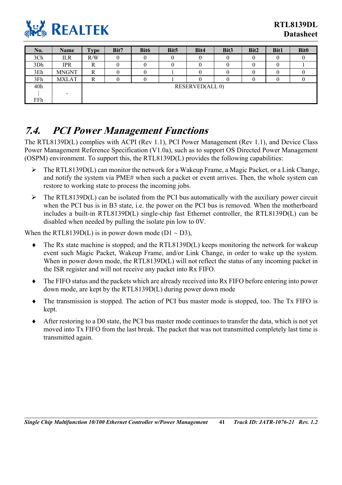

| No. | Name         | <b>Type</b> | Bit7                   | Bit <sub>6</sub> | Bit <sub>5</sub> | Bit4 | Bit <sub>3</sub> | Bit2 | <b>Bit1</b> | <b>Bit0</b> |
|-----|--------------|-------------|------------------------|------------------|------------------|------|------------------|------|-------------|-------------|
| 3Ch | ILR          | R/W         |                        |                  |                  |      |                  |      |             |             |
| 3Dh | <b>IPR</b>   | n           |                        |                  |                  |      |                  |      |             |             |
| 3Eh | <b>MNGNT</b> | R           |                        |                  |                  |      |                  |      |             |             |
| 3Fh | <b>MXLAT</b> | R           |                        |                  |                  |      |                  |      |             |             |
| 40h |              |             | <b>RESERVED(ALL 0)</b> |                  |                  |      |                  |      |             |             |
|     |              |             |                        |                  |                  |      |                  |      |             |             |
| FFh |              |             |                        |                  |                  |      |                  |      |             |             |

### <span id="page-46-0"></span>**7.4. PCI Power Management Functions**

The RTL8139D(L) complies with ACPI (Rev 1.1), PCI Power Management (Rev 1.1), and Device Class Power Management Reference Specification (V1.0a), such as to support OS Directed Power Management (OSPM) environment. To support this, the RTL8139D(L) provides the following capabilities:

- $\triangleright$  The RTL8139D(L) can monitor the network for a Wakeup Frame, a Magic Packet, or a Link Change, and notify the system via PME# when such a packet or event arrives. Then, the whole system can restore to working state to process the incoming jobs.
- $\triangleright$  The RTL8139D(L) can be isolated from the PCI bus automatically with the auxiliary power circuit when the PCI bus is in B3 state, i.e. the power on the PCI bus is removed. When the motherboard includes a built-in RTL8139D(L) single-chip fast Ethernet controller, the RTL8139D(L) can be disabled when needed by pulling the isolate pin low to 0V.

When the RTL8139D(L) is in power down mode ( $D1 \sim D3$ ),

- ♦ The Rx state machine is stopped, and the RTL8139D(L) keeps monitoring the network for wakeup event such Magic Packet, Wakeup Frame, and/or Link Change, in order to wake up the system. When in power down mode, the RTL8139D(L) will not reflect the status of any incoming packet in the ISR register and will not receive any packet into Rx FIFO.
- ♦ The FIFO status and the packets which are already received into Rx FIFO before entering into power down mode, are kept by the RTL8139D(L) during power down mode
- ♦ The transmission is stopped. The action of PCI bus master mode is stopped, too. The Tx FIFO is kept.
- After restoring to a D0 state, the PCI bus master mode continues to transfer the data, which is not yet moved into Tx FIFO from the last break. The packet that was not transmitted completely last time is transmitted again.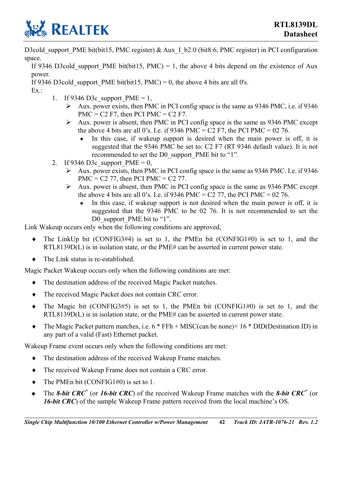

D3cold\_support\_PME bit(bit15, PMC register) & Aux\_I\_b2:0 (bit8:6, PMC register) in PCI configuration space.

If 9346 D3cold support PME bit(bit15, PMC) = 1, the above 4 bits depend on the existence of Aux power.

If 9346 D3cold support PME bit(bit15, PMC) = 0, the above 4 bits are all 0's.

Ex.:

- 1. If 9346 D3c, support  $PME = 1$ .
	- $\triangleright$  Aux. power exists, then PMC in PCI config space is the same as 9346 PMC, i.e. if 9346  $PMC = C2 F7$ , then PCI PMC = C2 F7.
	- $\triangleright$  Aux. power is absent, then PMC in PCI config space is the same as 9346 PMC except the above 4 bits are all 0's. I.e. if 9346 PMC = C2 F7, the PCI PMC = 02 76.
		- In this case, if wakeup support is desired when the main power is off, it is suggested that the 9346 PMC be set to: C2 F7 (RT 9346 default value). It is not recommended to set the D0\_support\_PME bit to "1".
- 2. If 9346 D3c support  $PME = 0$ ,
	- $\blacktriangleright$  Aux. power exists, then PMC in PCI config space is the same as 9346 PMC. I.e. if 9346 PMC =  $C2$  77, then PCI PMC =  $C2$  77.
	- $\triangleright$  Aux. power is absent, then PMC in PCI config space is the same as 9346 PMC except the above 4 bits are all 0's. I.e. if 9346 PMC =  $C2$  77, the PCI PMC = 02 76.
		- In this case, if wakeup support is not desired when the main power is off, it is suggested that the 9346 PMC to be 02 76. It is not recommended to set the D0\_support\_PME bit to "1".

Link Wakeup occurs only when the following conditions are approved,

- $\bullet$  The LinkUp bit (CONFIG3#4) is set to 1, the PMEn bit (CONFIG1#0) is set to 1, and the RTL8139D(L) is in isolation state, or the PME# can be asserted in current power state.
- The Link status is re-established.

Magic Packet Wakeup occurs only when the following conditions are met:

- ♦ The destination address of the received Magic Packet matches.
- ♦ The received Magic Packet does not contain CRC error.
- $\bullet$  The Magic bit (CONFIG3#5) is set to 1, the PMEn bit (CONFIG1#0) is set to 1, and the RTL8139D(L) is in isolation state, or the PME# can be asserted in current power state.
- ♦ The Magic Packet pattern matches, i.e. 6 \* FFh + MISC(can be none)+ 16 \* DID(Destination ID) in any part of a valid (Fast) Ethernet packet.

Wakeup Frame event occurs only when the following conditions are met:

- ♦ The destination address of the received Wakeup Frame matches.
- ♦ The received Wakeup Frame does not contain a CRC error.
- ♦ The PMEn bit (CONFIG1#0) is set to 1.
- ◆ The *8-bit CRC<sup>\*</sup>* (or *16-bit CRC*) of the received Wakeup Frame matches with the *8-bit CRC<sup>\*</sup>* (or *16-bit CRC*) of the sample Wakeup Frame pattern received from the local machine's OS.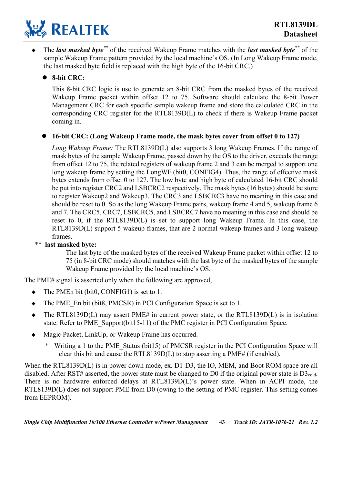

 The *last masked byte\*\** of the received Wakeup Frame matches with the *last masked byte\*\** of the sample Wakeup Frame pattern provided by the local machine's OS. (In Long Wakeup Frame mode, the last masked byte field is replaced with the high byte of the 16-bit CRC.)

### z **8-bit CRC:**

This 8-bit CRC logic is use to generate an 8-bit CRC from the masked bytes of the received Wakeup Frame packet within offset 12 to 75. Software should calculate the 8-bit Power Management CRC for each specific sample wakeup frame and store the calculated CRC in the corresponding CRC register for the RTL8139D(L) to check if there is Wakeup Frame packet coming in.

#### z **16-bit CRC: (Long Wakeup Frame mode, the mask bytes cover from offset 0 to 127)**

*Long Wakeup Frame:* The RTL8139D(L) also supports 3 long Wakeup Frames. If the range of mask bytes of the sample Wakeup Frame, passed down by the OS to the driver, exceeds the range from offset 12 to 75, the related registers of wakeup frame 2 and 3 can be merged to support one long wakeup frame by setting the LongWF (bit0, CONFIG4). Thus, the range of effective mask bytes extends from offset 0 to 127. The low byte and high byte of calculated 16-bit CRC should be put into register CRC2 and LSBCRC2 respectively. The mask bytes (16 bytes) should be store to register Wakeup2 and Wakeup3. The CRC3 and LSBCRC3 have no meaning in this case and should be reset to 0. So as the long Wakeup Frame pairs, wakeup frame 4 and 5, wakeup frame 6 and 7. The CRC5, CRC7, LSBCRC5, and LSBCRC7 have no meaning in this case and should be reset to 0, if the RTL8139D(L) is set to support long Wakeup Frame. In this case, the RTL8139D(L) support 5 wakeup frames, that are 2 normal wakeup frames and 3 long wakeup frames.

#### \*\* **last masked byte:**

The last byte of the masked bytes of the received Wakeup Frame packet within offset 12 to 75 (in 8-bit CRC mode) should matches with the last byte of the masked bytes of the sample Wakeup Frame provided by the local machine's OS.

The PME# signal is asserted only when the following are approved,

- $\bullet$  The PMEn bit (bit0, CONFIG1) is set to 1.
- The PME En bit (bit8, PMCSR) in PCI Configuration Space is set to 1.
- $\blacklozenge$  The RTL8139D(L) may assert PME# in current power state, or the RTL8139D(L) is in isolation state. Refer to PME\_Support(bit15-11) of the PMC register in PCI Configuration Space.
- Magic Packet, LinkUp, or Wakeup Frame has occurred.
	- \* Writing a 1 to the PME\_Status (bit15) of PMCSR register in the PCI Configuration Space will clear this bit and cause the RTL8139D(L) to stop asserting a PME# (if enabled).

When the RTL8139D(L) is in power down mode, ex. D1-D3, the IO, MEM, and Boot ROM space are all disabled. After RST# asserted, the power state must be changed to D0 if the original power state is  $D3_{\text{cold}}$ . There is no hardware enforced delays at RTL8139D(L)'s power state. When in ACPI mode, the RTL8139D(L) does not support PME from D0 (owing to the setting of PMC register. This setting comes from EEPROM).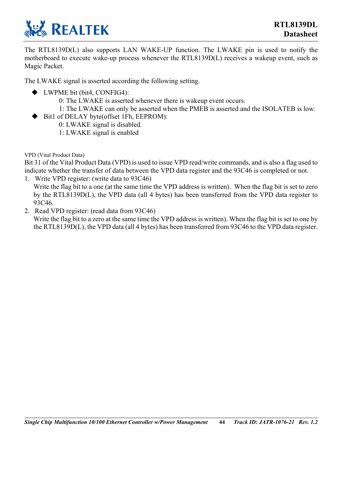

The RTL8139D(L) also supports LAN WAKE-UP function. The LWAKE pin is used to notify the motherboard to execute wake-up process whenever the RTL8139D(L) receives a wakeup event, such as Magic Packet.

The LWAKE signal is asserted according the following setting.

- ◆ LWPME bit (bit4, CONFIG4):
	- 0: The LWAKE is asserted whenever there is wakeup event occurs.
	- 1: The LWAKE can only be asserted when the PMEB is asserted and the ISOLATEB is low.
- ◆ Bit1 of DELAY byte(offset 1Fh, EEPROM):
	- 0: LWAKE signal is disabled.
	- 1: LWAKE signal is enabled

VPD (Vital Product Data)

Bit 31 of the Vital Product Data (VPD) is used to issue VPD read/write commands, and is also a flag used to indicate whether the transfer of data between the VPD data register and the 93C46 is completed or not.

- 1. Write VPD register: (write data to 93C46) Write the flag bit to a one (at the same time the VPD address is written). When the flag bit is set to zero by the RTL8139D(L), the VPD data (all 4 bytes) has been transferred from the VPD data register to 93C46.
- 2. Read VPD register: (read data from 93C46)

Write the flag bit to a zero at the same time the VPD address is written). When the flag bit is set to one by the RTL8139D(L), the VPD data (all 4 bytes) has been transferred from 93C46 to the VPD data register.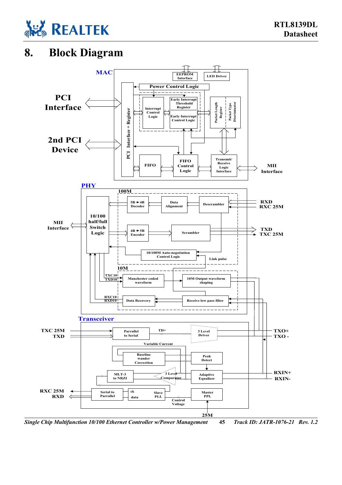

### **8. Block Diagram**

<span id="page-50-0"></span>

*Single Chip Multifunction 10/100 Ethernet Controller w/Power Management* **45** *Track ID: JATR-1076-21 Rev. 1.2*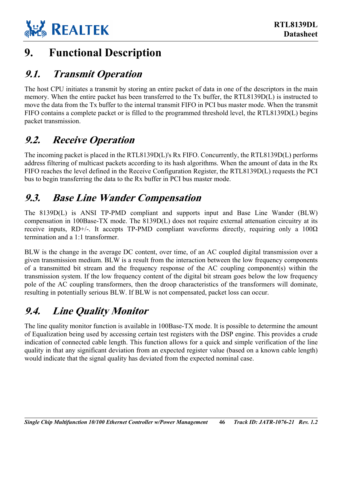

## <span id="page-51-0"></span>**9. Functional Description**

### <span id="page-51-1"></span>**9.1. Transmit Operation**

The host CPU initiates a transmit by storing an entire packet of data in one of the descriptors in the main memory. When the entire packet has been transferred to the Tx buffer, the RTL8139D(L) is instructed to move the data from the Tx buffer to the internal transmit FIFO in PCI bus master mode. When the transmit FIFO contains a complete packet or is filled to the programmed threshold level, the RTL8139D(L) begins packet transmission.

### <span id="page-51-2"></span>**9.2. Receive Operation**

The incoming packet is placed in the RTL8139D(L)'s Rx FIFO. Concurrently, the RTL8139D(L) performs address filtering of multicast packets according to its hash algorithms. When the amount of data in the Rx FIFO reaches the level defined in the Receive Configuration Register, the RTL8139D(L) requests the PCI bus to begin transferring the data to the Rx buffer in PCI bus master mode.

### <span id="page-51-3"></span>**9.3. Base Line Wander Compensation**

The 8139D(L) is ANSI TP-PMD compliant and supports input and Base Line Wander (BLW) compensation in 100Base-TX mode. The 8139D(L) does not require external attenuation circuitry at its receive inputs, RD+/-. It accepts TP-PMD compliant waveforms directly, requiring only a  $100\Omega$ termination and a 1:1 transformer.

BLW is the change in the average DC content, over time, of an AC coupled digital transmission over a given transmission medium. BLW is a result from the interaction between the low frequency components of a transmitted bit stream and the frequency response of the AC coupling component(s) within the transmission system. If the low frequency content of the digital bit stream goes below the low frequency pole of the AC coupling transformers, then the droop characteristics of the transformers will dominate, resulting in potentially serious BLW. If BLW is not compensated, packet loss can occur.

## <span id="page-51-4"></span>**9.4. Line Quality Monitor**

The line quality monitor function is available in 100Base-TX mode. It is possible to determine the amount of Equalization being used by accessing certain test registers with the DSP engine. This provides a crude indication of connected cable length. This function allows for a quick and simple verification of the line quality in that any significant deviation from an expected register value (based on a known cable length) would indicate that the signal quality has deviated from the expected nominal case.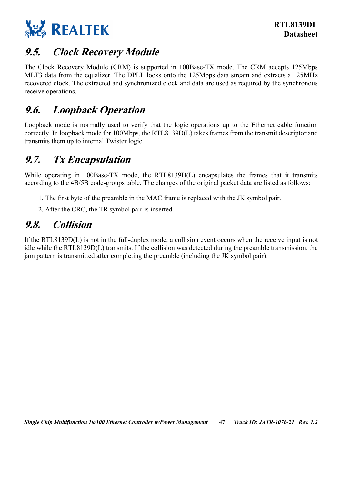

### <span id="page-52-0"></span>**9.5. Clock Recovery Module**

The Clock Recovery Module (CRM) is supported in 100Base-TX mode. The CRM accepts 125Mbps MLT3 data from the equalizer. The DPLL locks onto the 125Mbps data stream and extracts a 125MHz recovered clock. The extracted and synchronized clock and data are used as required by the synchronous receive operations.

### <span id="page-52-1"></span>**9.6. Loopback Operation**

Loopback mode is normally used to verify that the logic operations up to the Ethernet cable function correctly. In loopback mode for 100Mbps, the RTL8139D(L) takes frames from the transmit descriptor and transmits them up to internal Twister logic.

### <span id="page-52-2"></span>**9.7. Tx Encapsulation**

While operating in 100Base-TX mode, the RTL8139D(L) encapsulates the frames that it transmits according to the 4B/5B code-groups table. The changes of the original packet data are listed as follows:

- 1. The first byte of the preamble in the MAC frame is replaced with the JK symbol pair.
- <span id="page-52-3"></span>2. After the CRC, the TR symbol pair is inserted.

### **9.8. Collision**

If the RTL8139D(L) is not in the full-duplex mode, a collision event occurs when the receive input is not idle while the RTL8139D(L) transmits. If the collision was detected during the preamble transmission, the jam pattern is transmitted after completing the preamble (including the JK symbol pair).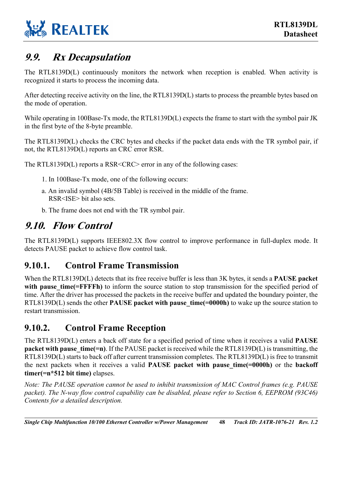

### <span id="page-53-0"></span>**9.9. Rx Decapsulation**

The RTL8139D(L) continuously monitors the network when reception is enabled. When activity is recognized it starts to process the incoming data.

After detecting receive activity on the line, the RTL8139D(L) starts to process the preamble bytes based on the mode of operation.

While operating in 100Base-Tx mode, the RTL8139D(L) expects the frame to start with the symbol pair JK in the first byte of the 8-byte preamble.

The RTL8139D(L) checks the CRC bytes and checks if the packet data ends with the TR symbol pair, if not, the RTL8139D(L) reports an CRC error RSR.

The RTL8139D(L) reports a RSR<CRC> error in any of the following cases:

- 1. In 100Base-Tx mode, one of the following occurs:
- a. An invalid symbol (4B/5B Table) is received in the middle of the frame. RSR<ISE> bit also sets.
- <span id="page-53-1"></span>b. The frame does not end with the TR symbol pair.

### **9.10. Flow Control**

The RTL8139D(L) supports IEEE802.3X flow control to improve performance in full-duplex mode. It detects PAUSE packet to achieve flow control task.

### <span id="page-53-2"></span>**9.10.1. Control Frame Transmission**

When the RTL8139D(L) detects that its free receive buffer is less than 3K bytes, it sends a **PAUSE packet**  with pause time(=FFFFh) to inform the source station to stop transmission for the specified period of time. After the driver has processed the packets in the receive buffer and updated the boundary pointer, the RTL8139D(L) sends the other **PAUSE** packet with pause time(=0000h) to wake up the source station to restart transmission.

### <span id="page-53-3"></span>**9.10.2. Control Frame Reception**

The RTL8139D(L) enters a back off state for a specified period of time when it receives a valid **PAUSE packet with pause time(=n)**. If the PAUSE packet is received while the RTL8139D(L) is transmitting, the RTL8139D(L) starts to back off after current transmission completes. The RTL8139D(L) is free to transmit the next packets when it receives a valid **PAUSE** packet with pause time(=0000h) or the **backoff timer(=n\*512 bit time)** elapses.

*Note: The PAUSE operation cannot be used to inhibit transmission of MAC Control frames (e.g. PAUSE packet). The N-way flow control capability can be disabled, please refer to Section 6, EEPROM (93C46) Contents for a detailed description.* 

*Single Chip Multifunction 10/100 Ethernet Controller w/Power Management* **48** *Track ID: JATR-1076-21 Rev. 1.2*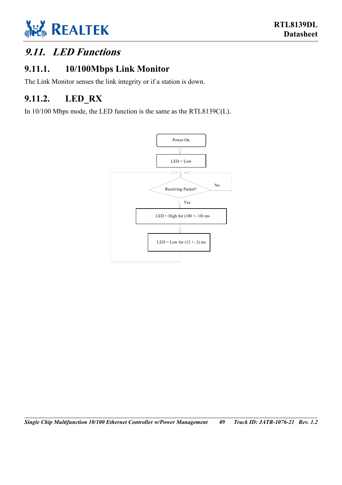

### <span id="page-54-0"></span>**9.11. LED Functions**

### <span id="page-54-1"></span>**9.11.1. 10/100Mbps Link Monitor**

The Link Monitor senses the link integrity or if a station is down.

### <span id="page-54-2"></span>**9.11.2. LED\_RX**

In 10/100 Mbps mode, the LED function is the same as the RTL8139C(L).

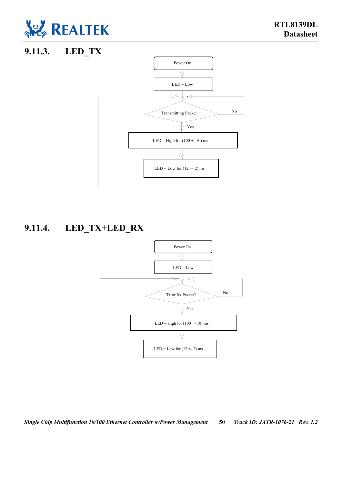

### **9.11.3. LED\_TX**

<span id="page-55-0"></span>

### **9.11.4. LED\_TX+LED\_RX**

<span id="page-55-1"></span>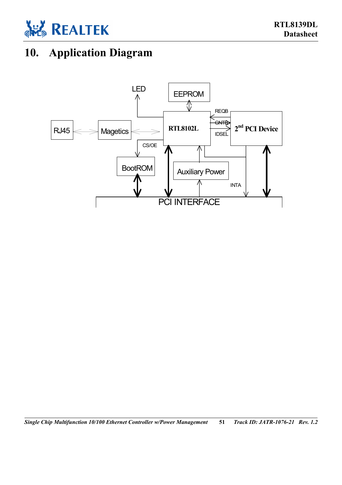

## <span id="page-56-0"></span>**10. Application Diagram**



*Single Chip Multifunction 10/100 Ethernet Controller w/Power Management* **51** *Track ID: JATR-1076-21 Rev. 1.2*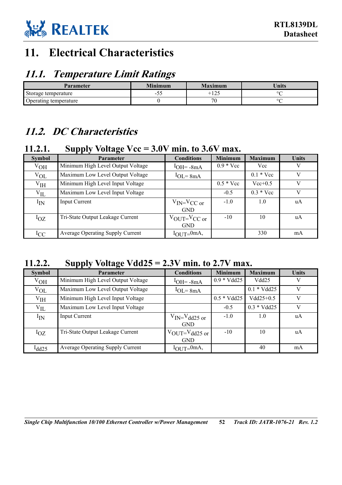

## <span id="page-57-0"></span>**11. Electrical Characteristics**

### <span id="page-57-1"></span>**11.1. Temperature Limit Ratings**

| Parameter             | <b>Minimum</b>                                    | Maximum                   | <b>Units</b> |
|-----------------------|---------------------------------------------------|---------------------------|--------------|
| Storage temperature   | $\overline{\phantom{0}}$<br>$\tilde{\phantom{a}}$ | $1 \cap F$<br>-<br>ن که 1 | ٥r           |
| Operating temperature |                                                   | 70                        | ∩r           |

### <span id="page-57-2"></span>**11.2. DC Characteristics**

### <span id="page-57-3"></span>**11.2.1. Supply Voltage Vcc = 3.0V min. to 3.6V max.**

| <b>Symbol</b>  | <b>Parameter</b>                  | <b>Conditions</b>                   | <b>Minimum</b>     | <b>Maximum</b>     | <b>Units</b> |
|----------------|-----------------------------------|-------------------------------------|--------------------|--------------------|--------------|
| $V_{OH}$       | Minimum High Level Output Voltage | $1$ OH = $-8$ mA                    | $0.9 * \text{Vcc}$ | Vcc                | V            |
| $V_{OL}$       | Maximum Low Level Output Voltage  | $1_{\text{OL}} = 8 \text{mA}$       |                    | $0.1 * \text{Vcc}$ | V            |
| ${\rm V_{IH}}$ | Minimum High Level Input Voltage  |                                     | $0.5 * Vec$        | $Vec{+}0.5$        | V            |
| $V_{IL}$       | Maximum Low Level Input Voltage   |                                     | $-0.5$             | $0.3 * Vcc$        | V            |
| $I_{IN}$       | Input Current                     | $V_{IN} = V_{CC}$ or                | $-1.0$             | 1.0                | uA           |
|                |                                   | <b>GND</b>                          |                    |                    |              |
| $I_{OZ}$       | Tri-State Output Leakage Current  | $V_{\text{OUT}}=V_{\text{CC}}$ or   | $-10$              | 10                 | uA           |
|                |                                   | <b>GND</b>                          |                    |                    |              |
| $_{\rm{ICC}}$  | Average Operating Supply Current  | $I_{\text{OI}}$ <sub>JT=</sub> 0mA, |                    | 330                | mA           |

### <span id="page-57-4"></span>**11.2.2. Supply Voltage Vdd25 = 2.3V min. to 2.7V max.**

| <b>Symbol</b>   | <b>Parameter</b>                        | <b>Conditions</b>                    | <b>Minimum</b> | <b>Maximum</b> | <b>Units</b> |
|-----------------|-----------------------------------------|--------------------------------------|----------------|----------------|--------------|
| $V_{OH}$        | Minimum High Level Output Voltage       | $1$ OH = $-8$ mA                     | $0.9 * Vdd25$  | Vdd25          | V            |
| $V_{OL}$        | Maximum Low Level Output Voltage        | $1_{\text{OL}} = 8 \text{mA}$        |                | $0.1 * Vdd25$  | V            |
| V <sub>IH</sub> | Minimum High Level Input Voltage        |                                      | $0.5 * Vdd25$  | $Vdd25+0.5$    | V            |
| $V_{IL}$        | Maximum Low Level Input Voltage         |                                      | $-0.5$         | $0.3 * Vdd25$  | V            |
| $I_{IN}$        | <b>Input Current</b>                    | $V_{\text{IN}} = V_{\text{dd}25}$ or | $-1.0$         | 1.0            | uA           |
|                 |                                         | <b>GND</b>                           |                |                |              |
| $I_{OZ}$        | Tri-State Output Leakage Current        | $V_{\text{OUT}}=V_{\text{dd25}}$ or  | $-10$          | 10             | uA           |
|                 |                                         | <b>GND</b>                           |                |                |              |
| $l_{dd25}$      | <b>Average Operating Supply Current</b> | $I_{\text{OUT}} = 0$ mA,             |                | 40             | mA           |

*Single Chip Multifunction 10/100 Ethernet Controller w/Power Management* **52** *Track ID: JATR-1076-21 Rev. 1.2*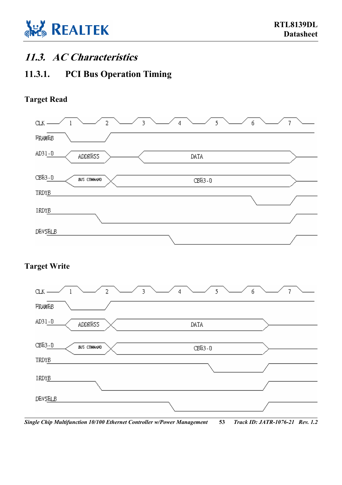

### <span id="page-58-0"></span>**11.3. AC Characteristics**

### <span id="page-58-1"></span>**11.3.1. PCI Bus Operation Timing**

### **Target Read**



### **Target Write**



*Single Chip Multifunction 10/100 Ethernet Controller w/Power Management* **53** *Track ID: JATR-1076-21 Rev. 1.2*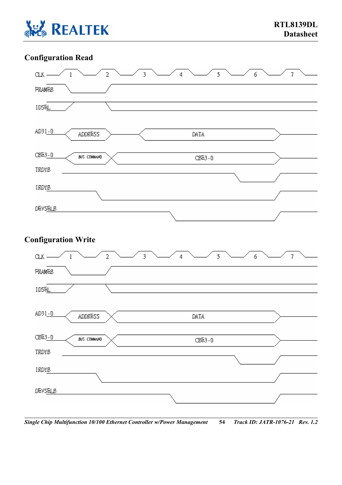

### **Configuration Read**



*Single Chip Multifunction 10/100 Ethernet Controller w/Power Management* **54** *Track ID: JATR-1076-21 Rev. 1.2*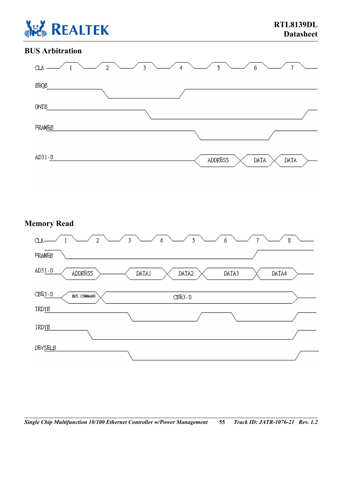

### **BUS Arbitration**



### **Memory Read**



*Single Chip Multifunction 10/100 Ethernet Controller w/Power Management* **55** *Track ID: JATR-1076-21 Rev. 1.2*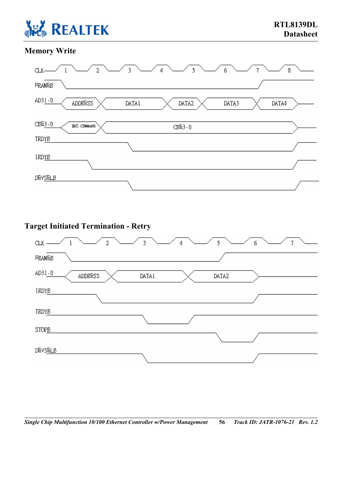

### **Memory Write**



### **Target Initiated Termination - Retry**

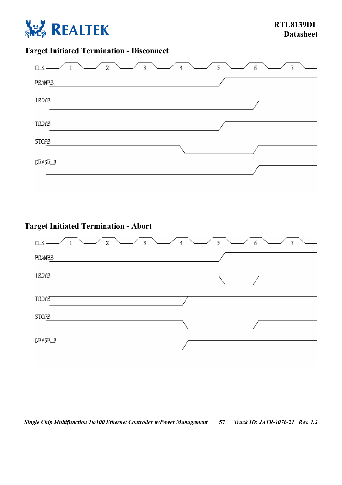

### **Target Initiated Termination - Disconnect**



### **Target Initiated Termination - Abort**

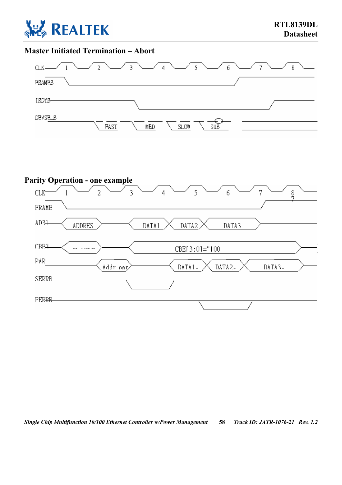

### **Master Initiated Termination – Abort**



#### **Parity Operation - one example**  $CLK^ \overline{2}$  $\overline{3}$  $\overline{5}$  $\frac{8}{7}$  $\mathbf{1}$  $\overline{4}$ 6 7 FRAME AD34 **ADDRES** DATA1 DATA2 DATA3 CBE<sub>3</sub> are cannon CBEI3:01="100 PAR Addr par DATA1-DATA2-DATA3-**SERRB** PERRB-

*Single Chip Multifunction 10/100 Ethernet Controller w/Power Management* **58** *Track ID: JATR-1076-21 Rev. 1.2*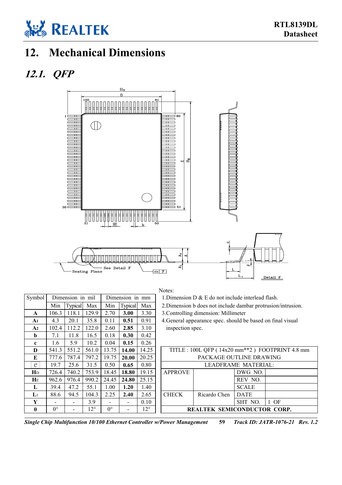

## <span id="page-64-0"></span>**12. Mechanical Dimensions**

### **12.1. QFP**

<span id="page-64-1"></span>

### Notes:

 $\text{Nbol}$  Dimension in mil Dimension in mm 1.Dimension D & E do not include interlead flash.

2.Dimension b does not include dambar protrusion/intrusion.

**A1** 4.3 20.1 35.8 0.11 **0.51** 0.91 4.General appearance spec. should be based on final visual inspection spec.

| D        | 541.3       |       |              | 551.2 561.0 13.75 14.00 |              | 14.25        |                | TITLE: 100L QFP (14x20 mm <sup>**</sup> 2) FOOTPRINT 4.8 mm |                     |    |  |  |
|----------|-------------|-------|--------------|-------------------------|--------------|--------------|----------------|-------------------------------------------------------------|---------------------|----|--|--|
| E        | 777.6       | 787.4 | 797.2        | 19.75                   | <b>20.00</b> | 20.25        |                | PACKAGE OUTLINE DRAWING                                     |                     |    |  |  |
| e        | 19.7        | 25.6  | 31.5         | 0.50                    | 0.65         | 0.80         |                |                                                             | LEADFRAME MATERIAL: |    |  |  |
| Ŧр       | 726.4       | 740.2 | 753.9        | 18.45                   | 18.80        | 19.15        | <b>APPROVE</b> |                                                             | DWG NO.             |    |  |  |
| HЕ       | 962.6       | 976.4 | 990.2        | 24.45                   | 24.80        | 25.15        |                |                                                             | REV NO.             |    |  |  |
| L        | 39.4        | 47.2  | 55.1         | 1.00                    | 1.20         | 1.40         |                |                                                             | <b>SCALE</b>        |    |  |  |
| $L_1$    | 88.6        | 94.5  | 104.3        | 2.25                    | 2.40         | 2.65         | <b>CHECK</b>   | Ricardo Chen                                                | DATE                |    |  |  |
| Y        |             |       | 3.9          |                         |              | 0.10         |                |                                                             | SHT NO.             | OF |  |  |
| $\theta$ | $0^{\circ}$ |       | $12^{\circ}$ | $0^{\circ}$             |              | $12^{\circ}$ |                | <b>REALTEK SEMICONDUCTOR CORP.</b>                          |                     |    |  |  |

| Single Chip Multifunction 10/100 Ethernet Controller w/Power Management |  | 59 Track ID: JATR-1076-21 Rev. 1.2 |  |
|-------------------------------------------------------------------------|--|------------------------------------|--|
|-------------------------------------------------------------------------|--|------------------------------------|--|

| Symbol         |             | Dimension in mil |              |             | Dimension in   | mm           |                                             | 1. Dimension D $\alpha$ E do not include interlead |                         |  |
|----------------|-------------|------------------|--------------|-------------|----------------|--------------|---------------------------------------------|----------------------------------------------------|-------------------------|--|
|                | Min         | <b>Typical</b>   | Max          | Min         | <b>Typical</b> | Max          |                                             | 2. Dimension b does not include dambar prot        |                         |  |
| $\mathbf{A}$   | 106.3       | 118.1            | 129.9        | 2.70        | 3.00           | 3.30         | 3. Controlling dimension: Millimeter        |                                                    |                         |  |
| A1             | 4.3         | 20.1             | 35.8         | 0.11        | 0.51           | 0.91         | 4. General appearance spec. should be based |                                                    |                         |  |
| A2             | 102.4       | 112.2            | 122.0        | 2.60        | 2.85           | 3.10         | inspection spec.                            |                                                    |                         |  |
| b              | 7.1         | 11.8             | 16.5         | 0.18        | 0.30           | 0.42         |                                             |                                                    |                         |  |
| $\mathbf{c}$   | 1.6         | 5.9              | 10.2         | 0.04        | 0.15           | 0.26         |                                             |                                                    |                         |  |
| D              | 541.3       | 551.2            | 561.0        | 13.75       | 14.00          | 14.25        |                                             | TITLE: 100L QFP (14x20 mm**2) FC                   |                         |  |
| E              | 777.6       | 787.4            | 797.2        | 19.75       | 20.00          | 20.25        |                                             | PACKAGE OUTLINE DRA                                |                         |  |
| e              | 19.7        | 25.6             | 31.5         | 0.50        | 0.65           | 0.80         |                                             |                                                    | <b>LEADFRAME MATERI</b> |  |
| H <sub>D</sub> | 726.4       | 740.2            | 753.9        | 18.45       | 18.80          | 19.15        | <b>APPROVE</b>                              |                                                    | DWG NO.                 |  |
| $H_E$          | 962.6       | 976.4            | 990.2        | 24.45       | 24.80          | 25.15        |                                             |                                                    | REV NO.                 |  |
| L              | 39.4        | 47.2             | 55.1         | 1.00        | 1.20           | 1.40         |                                             |                                                    | <b>SCALE</b>            |  |
| $\mathbf{L}$   | 88.6        | 94.5             | 104.3        | 2.25        | 2.40           | 2.65         | <b>CHECK</b>                                | Ricardo Chen                                       | <b>DATE</b>             |  |
| Y              |             |                  | 3.9          |             |                | 0.10         |                                             |                                                    | SHT NO.                 |  |
| $\theta$       | $0^{\circ}$ |                  | $12^{\circ}$ | $0^{\circ}$ | -              | $12^{\circ}$ |                                             | <b>REALTEK SEMICONDUCTO</b>                        |                         |  |
|                |             |                  |              |             |                |              |                                             |                                                    |                         |  |
|                |             |                  |              |             |                |              |                                             |                                                    |                         |  |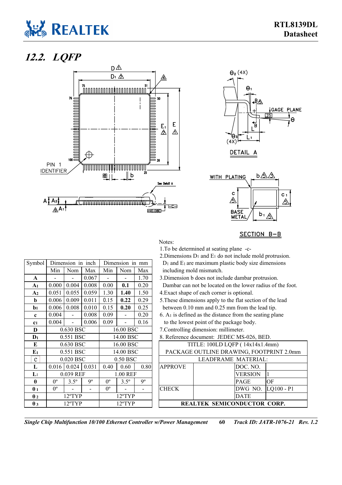

### **12.2. LQFP**

<span id="page-65-0"></span>





SECTION B-B

1.To be determined at seating plane -c-

2.Dimensions  $D_1$  and  $E_1$  do not include mold protrusion.<br>  $D_1$  and  $E_1$  are maximum plastic body size dimensions

| Symbol   Dimension in inch   Dimension in mm |                                   |  |  | $D_1$ and E <sub>1</sub> are maximum plastic body size dimensions |
|----------------------------------------------|-----------------------------------|--|--|-------------------------------------------------------------------|
|                                              | Min   Nom   Max   Min   Nom   Max |  |  | including mold mismatch.                                          |

3.Dimension b does not include dambar protrusion. Dambar can not be located on the lower radius of the foot.

**b** 0.006 0.009 0.011 0.15 **0.22** 0.29 5.These dimensions apply to the flat section of the lead between 0.10 mm and 0.25 mm from the lead tip.

 $6. A<sub>1</sub>$  is defined as the distance from the seating plane to the lowest point of the package body.

| TITLE: 100LD LQFP (14x14x1.4mm)<br>$0.630$ BSC<br>16.00 BSC<br>E<br>0.551 BSC<br>14.00 BSC<br>$0.50$ BSC<br>0.020 BSC<br>LEADFRAME MATERIAL:<br>e |                                          |  |  |  |  |
|---------------------------------------------------------------------------------------------------------------------------------------------------|------------------------------------------|--|--|--|--|
| ${\bf E_1}$                                                                                                                                       |                                          |  |  |  |  |
|                                                                                                                                                   | PACKAGE OUTLINE DRAWING, FOOTPRINT 2.0mm |  |  |  |  |
|                                                                                                                                                   |                                          |  |  |  |  |
| $0.024 \mid 0.031$<br>0.80<br><b>APPROVE</b><br>DOC. NO.<br>0.40<br>0.60<br>0.016<br>L                                                            |                                          |  |  |  |  |
| <b>VERSION</b><br>$\mathbf{L}_1$<br>0.039 REF<br>1.00 REF                                                                                         |                                          |  |  |  |  |
| q°<br>$3.5^{\circ}$<br>$3.5^{\circ}$<br>0 <sup>o</sup><br>$\theta$<br>OF<br>$0^{\circ}$<br><b>PAGE</b><br>$0^{\circ}$                             |                                          |  |  |  |  |
| DWG NO.<br>$LQ100 - P1$<br>$0^{\circ}$<br>$0^{\circ}$<br><b>CHECK</b><br>$\theta$ 1                                                               |                                          |  |  |  |  |
| $12^{\circ}$ TYP<br><b>DATE</b><br>$\theta$ 2<br>12°TYP                                                                                           |                                          |  |  |  |  |
| REALTEK SEMICONDUCTOR CORP.<br>$\theta$ 3<br>$12^{\circ}$ TYP<br>$12^{\circ}$ TYP                                                                 |                                          |  |  |  |  |

*Single Chip Multifunction 10/100 Ethernet Controller w/Power Management* **60** *Track ID: JATR-1076-21 Rev. 1.2*

| <b>SYMDOL</b>         |             | Dimension in inch |             |             | Dumension in min |             |                                                        | Dr and El are maximum plastic body size dimens    |                |     |  |  |
|-----------------------|-------------|-------------------|-------------|-------------|------------------|-------------|--------------------------------------------------------|---------------------------------------------------|----------------|-----|--|--|
|                       | Min         | Nom               | Max         | Min         | Nom              | Max         | including mold mismatch.                               |                                                   |                |     |  |  |
| A                     |             |                   | 0.067       |             |                  | 1.70        |                                                        | 3. Dimension b does not include dambar protrusion |                |     |  |  |
| A <sub>1</sub>        | 0.000       | 0.004             | 0.008       | 0.00        | 0.1              | 0.20        |                                                        | Dambar can not be located on the lower radius of  |                |     |  |  |
| A <sub>2</sub>        | 0.051       | 0.055             | 0.059       | 1.30        | 1.40             | 1.50        | 4. Exact shape of each corner is optional.             |                                                   |                |     |  |  |
| b                     | 0.006       | 0.009             | 0.011       | 0.15        | 0.22             | 0.29        | 5. These dimensions apply to the flat section of the   |                                                   |                |     |  |  |
| $b1$                  | 0.006       | 0.008             | 0.010       | 0.15        | 0.20             | 0.25        | between 0.10 mm and 0.25 mm from the lead tip          |                                                   |                |     |  |  |
| $\mathbf{c}$          | 0.004       |                   | 0.008       | 0.09        |                  | 0.20        | $6. A1$ is defined as the distance from the seating pl |                                                   |                |     |  |  |
| C <sub>1</sub>        | 0.004       |                   | 0.006       | 0.09        |                  | 0.16        | to the lowest point of the package body.               |                                                   |                |     |  |  |
| D                     | 0.630 BSC   |                   |             |             | 16.00 BSC        |             |                                                        | 7. Controlling dimension: millimeter.             |                |     |  |  |
| $\mathbf{D}_1$        | 0.551 BSC   |                   |             |             | 14.00 BSC        |             |                                                        | 8. Reference document: JEDEC MS-026, BED.         |                |     |  |  |
| E                     |             | 0.630 BSC         |             |             | 16.00 BSC        |             |                                                        | TITLE: 100LD LQFP (14x14x1.4mn                    |                |     |  |  |
| $E_1$                 |             | 0.551 BSC         |             |             | 14.00 BSC        |             |                                                        | PACKAGE OUTLINE DRAWING, FOOTPRI                  |                |     |  |  |
| e                     |             | $0.020$ BSC       |             |             | 0.50 BSC         |             |                                                        | LEADFRAME MATERIAL:                               |                |     |  |  |
| L                     | 0.016       | 0.024             | 0.031       | 0.40        | 0.60             | 0.80        | <b>APPROVE</b>                                         |                                                   | DOC. NO.       |     |  |  |
| $\mathbf{L}_1$        |             | 0.039 REF         |             |             | 1.00 REF         |             |                                                        |                                                   | <b>VERSION</b> | 1   |  |  |
| $\theta$              | $0^{\circ}$ | $3.5^\circ$       | $9^{\circ}$ | $0^{\circ}$ | $3.5^\circ$      | $9^{\circ}$ |                                                        |                                                   | PAGE           | OF  |  |  |
| $\theta_1$            | $0^{\circ}$ |                   |             | $0^{\circ}$ |                  |             | <b>CHECK</b>                                           |                                                   | DWG NO.        | LQ. |  |  |
| $\theta$ <sub>2</sub> |             | $12^{\circ}$ TYP  |             |             | $12^{\circ}$ TYP |             |                                                        |                                                   | <b>DATE</b>    |     |  |  |
| $\theta_3$            |             | 12°TYP            |             |             | 12°TYP           |             |                                                        | <b>REALTEK SEMICONDUCTOR CO</b>                   |                |     |  |  |
|                       |             |                   |             |             |                  |             |                                                        |                                                   |                |     |  |  |